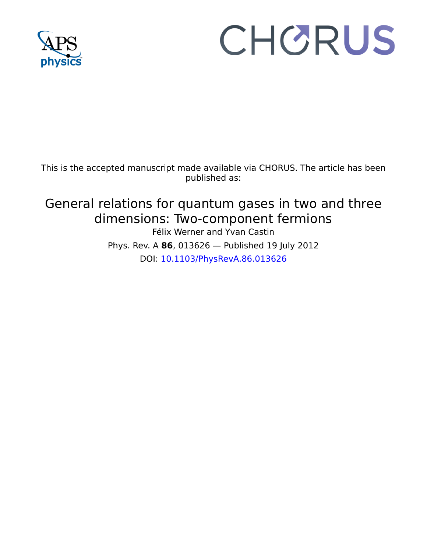

# CHORUS

This is the accepted manuscript made available via CHORUS. The article has been published as:

# General relations for quantum gases in two and three dimensions: Two-component fermions

Félix Werner and Yvan Castin Phys. Rev. A **86**, 013626 — Published 19 July 2012 DOI: [10.1103/PhysRevA.86.013626](http://dx.doi.org/10.1103/PhysRevA.86.013626)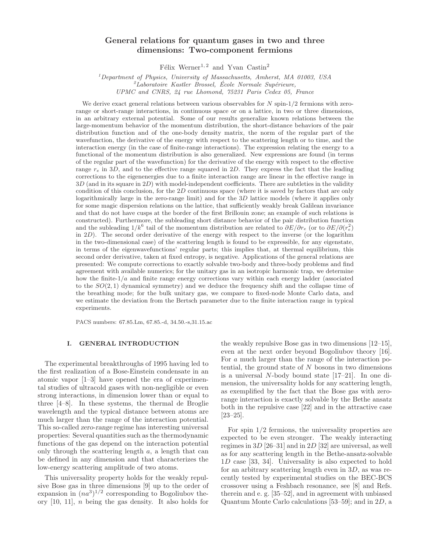# General relations for quantum gases in two and three dimensions: Two-component fermions

 $Félix Werner<sup>1, 2</sup> and Yvan Castin<sup>2</sup>$ 

 $1$ Department of Physics, University of Massachusetts, Amherst, MA 01003, USA  ${}^{2}$ Laboratoire Kastler Brossel, École Normale Supérieure, UPMC and CNRS, 24 rue Lhomond, 75231 Paris Cedex 05, France

regular part of the wavefunction) for the derivative of the energy with<br>regular part of the vary and to the effective range squared in 2D. They express<br>tions to the eigenenergies due to a finite interaction range are line We<br>method the another of the density win respect to the scheduler, the case<br>of the form of the film and the case of finite-range interactions). The expression redship<br>case is a conservant distribution is also generated. N We derive exact general relations between various observables for  $N$  spin-1/2 fermions with zerorange or short-range interactions, in continuous space or on a lattice, in two or three dimensions, in an arbitrary external potential. Some of our results generalize known relations between the large-momentum behavior of the momentum distribution, the short-distance behaviors of the pair distribution function and of the one-body density matrix, the norm of the regular part of the wavefunction, the derivative of the energy with respect to the scattering length or to time, and the interaction energy (in the case of finite-range interactions). The expression relating the energy to a functional of the momentum distribution is also generalized. New expressions are found (in terms of the regular part of the wavefunction) for the derivative of the energy with respect to the effective range  $r_e$  in 3D, and to the effective range squared in 2D. They express the fact that the leading corrections to the eigenenergies due to a finite interaction range are linear in the effective range in  $3D$  (and in its square in  $2D$ ) with model-independent coefficients. There are subtleties in the validity condition of this conclusion, for the 2D continuous space (where it is saved by factors that are only logarithmically large in the zero-range limit) and for the  $3D$  lattice models (where it applies only for some magic dispersion relations on the lattice, that sufficiently weakly break Galilean invariance and that do not have cusps at the border of the first Brillouin zone; an example of such relations is constructed). Furthermore, the subleading short distance behavior of the pair distribution function and the subleading  $1/k^6$  tail of the momentum distribution are related to  $\partial E/\partial r_e$  (or to  $\partial E/\partial (r_e^2)$ ) in 2D). The second order derivative of the energy with respect to the inverse (or the logarithm in the two-dimensional case) of the scattering length is found to be expressible, for any eigenstate, in terms of the eigenwavefunctions' regular parts; this implies that, at thermal equilibrium, this second order derivative, taken at fixed entropy, is negative. Applications of the general relations are presented: We compute corrections to exactly solvable two-body and three-body problems and find agreement with available numerics; for the unitary gas in an isotropic harmonic trap, we determine how the finite- $1/a$  and finite range energy corrections vary within each energy ladder (associated to the  $SO(2,1)$  dynamical symmetry) and we deduce the frequency shift and the collapse time of the breathing mode; for the bulk unitary gas, we compare to fixed-node Monte Carlo data, and we estimate the deviation from the Bertsch parameter due to the finite interaction range in typical experiments.

PACS numbers: 67.85.Lm, 67.85.-d, 34.50.-s,31.15.ac

# I. GENERAL INTRODUCTION

The experimental breakthroughs of 1995 having led to the first realization of a Bose-Einstein condensate in an atomic vapor [1–3] have opened the era of experimental studies of ultracold gases with non-negligible or even strong interactions, in dimension lower than or equal to three [4–8]. In these systems, the thermal de Broglie wavelength and the typical distance between atoms are much larger than the range of the interaction potential. This so-called zero-range regime has interesting universal properties: Several quantities such as the thermodynamic functions of the gas depend on the interaction potential only through the scattering length  $a$ , a length that can be defined in any dimension and that characterizes the low-energy scattering amplitude of two atoms.

This universality property holds for the weakly repulsive Bose gas in three dimensions [9] up to the order of expansion in  $(na^3)^{1/2}$  corresponding to Bogoliubov theory [10, 11], n being the gas density. It also holds for

the weakly repulsive Bose gas in two dimensions [12–15], even at the next order beyond Bogoliubov theory [16]. For a much larger than the range of the interaction potential, the ground state of  $N$  bosons in two dimensions is a universal N-body bound state [17–21]. In one dimension, the universality holds for any scattering length, as exemplified by the fact that the Bose gas with zerorange interaction is exactly solvable by the Bethe ansatz both in the repulsive case [22] and in the attractive case [23–25].

For spin  $1/2$  fermions, the universality properties are expected to be even stronger. The weakly interacting regimes in 3D [26–31] and in 2D [32] are universal, as well as for any scattering length in the Bethe-ansatz-solvable 1D case [33, 34]. Universality is also expected to hold for an arbitrary scattering length even in  $3D$ , as was recently tested by experimental studies on the BEC-BCS crossover using a Feshbach resonance, see [8] and Refs. therein and e. g. [35–52], and in agreement with unbiased Quantum Monte Carlo calculations [53–59]; and in 2D, a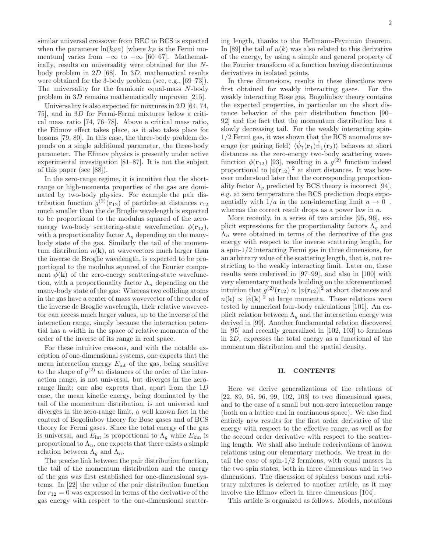similar universal crossover from BEC to BCS is expected when the parameter  $\ln(k_F a)$  [where  $k_F$  is the Fermi momentum] varies from  $-\infty$  to  $+\infty$  [60–67]. Mathematically, results on universality were obtained for the Nbody problem in 2D [68]. In 3D, mathematical results were obtained for the 3-body problem (see, e.g., [69–73]). The universality for the fermionic equal-mass N-body problem in 3D remains mathematically unproven [215].

Universality is also expected for mixtures in  $2D$  [64, 74, 75], and in 3D for Fermi-Fermi mixtures below a critical mass ratio [74, 76–78]. Above a critical mass ratio, the Efimov effect takes place, as it also takes place for bosons [79, 80]. In this case, the three-body problem depends on a single additional parameter, the three-body parameter. The Efimov physics is presently under active experimental investigation [81–87]. It is not the subject of this paper (see [88]).

In the zero-range regime, it is intuitive that the shortrange or high-momenta properties of the gas are dominated by two-body physics. For example the pair distribution function  $g^{(2)}(\mathbf{r}_{12})$  of particles at distances  $r_{12}$ much smaller than the de Broglie wavelength is expected to be proportional to the modulus squared of the zeroenergy two-body scattering-state wavefunction  $\phi(\mathbf{r}_{12}),$ with a proportionality factor  $\Lambda_q$  depending on the manybody state of the gas. Similarly the tail of the momentum distribution  $n(\mathbf{k})$ , at wavevectors much larger than the inverse de Broglie wavelength, is expected to be proportional to the modulus squared of the Fourier component  $\phi(\mathbf{k})$  of the zero-energy scattering-state wavefunction, with a proportionality factor  $\Lambda_n$  depending on the many-body state of the gas: Whereas two colliding atoms in the gas have a center of mass wavevector of the order of the inverse de Broglie wavelength, their relative wavevector can access much larger values, up to the inverse of the interaction range, simply because the interaction potential has a width in the space of relative momenta of the order of the inverse of its range in real space.

For these intuitive reasons, and with the notable exception of one-dimensional systems, one expects that the mean interaction energy  $E_{\text{int}}$  of the gas, being sensitive to the shape of  $g^{(2)}$  at distances of the order of the interaction range, is not universal, but diverges in the zerorange limit; one also expects that, apart from the 1D case, the mean kinetic energy, being dominated by the tail of the momentum distribution, is not universal and diverges in the zero-range limit, a well known fact in the context of Bogoliubov theory for Bose gases and of BCS theory for Fermi gases. Since the total energy of the gas is universal, and  $E_{\text{int}}$  is proportional to  $\Lambda_g$  while  $E_{\text{kin}}$  is proportional to  $\Lambda_n$ , one expects that there exists a simple relation between  $\Lambda_g$  and  $\Lambda_n$ .

The precise link between the pair distribution function, the tail of the momentum distribution and the energy of the gas was first established for one-dimensional systems. In [22] the value of the pair distribution function for  $r_{12} = 0$  was expressed in terms of the derivative of the gas energy with respect to the one-dimensional scattering length, thanks to the Hellmann-Feynman theorem. In [89] the tail of  $n(k)$  was also related to this derivative of the energy, by using a simple and general property of the Fourier transform of a function having discontinuous derivatives in isolated points.

In three dimensions, results in these directions were first obtained for weakly interacting gases. For the weakly interacting Bose gas, Bogoliubov theory contains the expected properties, in particular on the short distance behavior of the pair distribution function [90– 92] and the fact that the momentum distribution has a slowly decreasing tail. For the weakly interacting spin-1/2 Fermi gas, it was shown that the BCS anomalous average (or pairing field)  $\langle \hat{\psi}_{\uparrow}(\mathbf{r}_1)\hat{\psi}_{\downarrow}(\mathbf{r}_2)\rangle$  behaves at short distances as the zero-energy two-body scattering wavefunction  $\phi(\mathbf{r}_{12})$  [93], resulting in a  $g^{(2)}$  function indeed proportional to  $|\phi(\mathbf{r}_{12})|^2$  at short distances. It was however understood later that the corresponding proportionality factor  $\Lambda_q$  predicted by BCS theory is incorrect [94], e.g. at zero temperature the BCS prediction drops exponentially with  $1/a$  in the non-interacting limit  $a \to 0^-$ , whereas the correct result drops as a power law in a.

More recently, in a series of two articles [95, 96], explicit expressions for the proportionality factors  $\Lambda_q$  and  $\Lambda_n$  were obtained in terms of the derivative of the gas energy with respect to the inverse scattering length, for a spin-1/2 interacting Fermi gas in three dimensions, for an arbitrary value of the scattering length, that is, not restricting to the weakly interacting limit. Later on, these results were rederived in [97–99], and also in [100] with very elementary methods building on the aforementioned intuition that  $g^{(2)}(\mathbf{r}_{12}) \propto |\phi(\mathbf{r}_{12})|^2$  at short distances and  $n(\mathbf{k}) \propto |\tilde{\phi}(\mathbf{k})|^2$  at large momenta. These relations were tested by numerical four-body calculations [101]. An explicit relation between  $\Lambda_q$  and the interaction energy was derived in [99]. Another fundamental relation discovered in [95] and recently generalized in [102, 103] to fermions in 2D, expresses the total energy as a functional of the momentum distribution and the spatial density.

# II. CONTENTS

Here we derive generalizations of the relations of [22, 89, 95, 96, 99, 102, 103] to two dimensional gases, and to the case of a small but non-zero interaction range (both on a lattice and in continuous space). We also find entirely new results for the first order derivative of the energy with respect to the effective range, as well as for the second order derivative with respect to the scattering length. We shall also include rederivations of known relations using our elementary methods. We treat in detail the case of spin-1/2 fermions, with equal masses in the two spin states, both in three dimensions and in two dimensions. The discussion of spinless bosons and arbitrary mixtures is deferred to another article, as it may involve the Efimov effect in three dimensions [104].

This article is organized as follows. Models, notations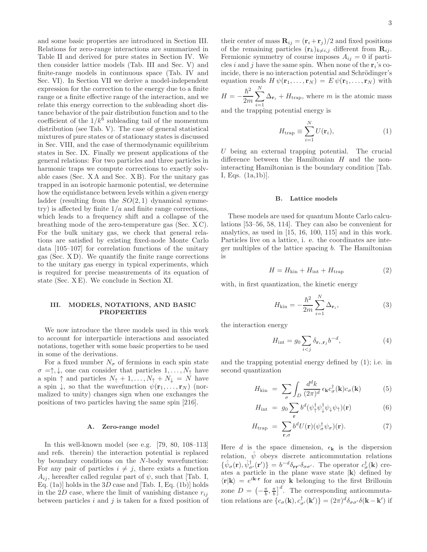and some basic properties are introduced in Section III. Relations for zero-range interactions are summarized in Table II and derived for pure states in Section IV. We then consider lattice models (Tab. III and Sec. V) and finite-range models in continuous space (Tab. IV and Sec. VI). In Section VII we derive a model-independent expression for the correction to the energy due to a finite range or a finite effective range of the interaction, and we relate this energy correction to the subleading short distance behavior of the pair distribution function and to the coefficient of the  $1/k^6$  subleading tail of the momentum distribution (see Tab. V). The case of general statistical mixtures of pure states or of stationary states is discussed in Sec. VIII, and the case of thermodynamic equilibrium states in Sec. IX. Finally we present applications of the general relations: For two particles and three particles in harmonic traps we compute corrections to exactly solvable cases (Sec. X A and Sec. X B). For the unitary gas trapped in an isotropic harmonic potential, we determine how the equidistance between levels within a given energy ladder (resulting from the  $SO(2,1)$  dynamical symmetry) is affected by finite  $1/a$  and finite range corrections, which leads to a frequency shift and a collapse of the breathing mode of the zero-temperature gas (Sec. X C). For the bulk unitary gas, we check that general relations are satisfied by existing fixed-node Monte Carlo data [105–107] for correlation functions of the unitary gas (Sec. X D). We quantify the finite range corrections to the unitary gas energy in typical experiments, which is required for precise measurements of its equation of state (Sec. X E). We conclude in Section XI.

# III. MODELS, NOTATIONS, AND BASIC PROPERTIES

We now introduce the three models used in this work to account for interparticle interactions and associated notations, together with some basic properties to be used in some of the derivations.

For a fixed number  $N_{\sigma}$  of fermions in each spin state  $\sigma = \uparrow, \downarrow$ , one can consider that particles  $1, \ldots, N_{\uparrow}$  have a spin  $\uparrow$  and particles  $N_{\uparrow} + 1, \ldots, N_{\uparrow} + N_{\downarrow} = N$  have a spin  $\downarrow$ , so that the wavefunction  $\psi(\mathbf{r}_1, \ldots, \mathbf{r}_N)$  (normalized to unity) changes sign when one exchanges the positions of two particles having the same spin [216].

# A. Zero-range model

In this well-known model (see e.g. [79, 80, 108–113] and refs. therein) the interaction potential is replaced by boundary conditions on the N-body wavefunction: For any pair of particles  $i \neq j$ , there exists a function  $A_{ij}$ , hereafter called regular part of  $\psi$ , such that [Tab. I, Eq.  $(1a)$ ] holds in the 3D case and [Tab. I, Eq.  $(1b)$ ] holds in the 2D case, where the limit of vanishing distance  $r_{ij}$ between particles  $i$  and  $j$  is taken for a fixed position of

their center of mass  $\mathbf{R}_{ij} = (\mathbf{r}_i + \mathbf{r}_j)/2$  and fixed positions of the remaining particles  $(\mathbf{r}_k)_{k\neq i,j}$  different from  $\mathbf{R}_{ij}$ . Fermionic symmetry of course imposes  $A_{ij} = 0$  if particles *i* and *j* have the same spin. When none of the  $\mathbf{r}_i$ 's coincide, there is no interaction potential and Schrödinger's equation reads  $H \psi({\bf r}_1,\ldots,{\bf r}_N) = E \psi({\bf r}_1,\ldots,{\bf r}_N)$  with  $\hbar^2$   $\frac{N}{2}$ 

$$
H = -\frac{\hbar^2}{2m} \sum_{i=1}^{\infty} \Delta_{\mathbf{r}_i} + H_{\text{trap}}
$$
, where *m* is the atomic mass

and the trapping potential energy is

$$
H_{\text{trap}} \equiv \sum_{i=1}^{N} U(\mathbf{r}_i), \tag{1}
$$

 $U$  being an external trapping potential. The crucial difference between the Hamiltonian H and the noninteracting Hamiltonian is the boundary condition [Tab. I, Eqs. (1a,1b)].

# B. Lattice models

These models are used for quantum Monte Carlo calculations [53–56, 58, 114]. They can also be convenient for analytics, as used in [15, 16, 100, 115] and in this work. Particles live on a lattice, i. e. the coordinates are integer multiples of the lattice spacing b. The Hamiltonian is

$$
H = H_{\text{kin}} + H_{\text{int}} + H_{\text{trap}} \tag{2}
$$

with, in first quantization, the kinetic energy

$$
H_{\rm kin} = -\frac{\hbar^2}{2m} \sum_{i=1}^{N} \Delta_{\mathbf{r}_i},\tag{3}
$$

the interaction energy

$$
H_{\text{int}} = g_0 \sum_{i < j} \delta_{\mathbf{r}_i, \mathbf{r}_j} b^{-d},\tag{4}
$$

and the trapping potential energy defined by (1); i.e. in second quantization

$$
H_{\rm kin} = \sum_{\sigma} \int_{D} \frac{d^d k}{(2\pi)^d} \epsilon_{\mathbf{k}} c_{\sigma}^{\dagger}(\mathbf{k}) c_{\sigma}(\mathbf{k}) \tag{5}
$$

$$
H_{\rm int} = g_0 \sum_{\mathbf{r}} b^d (\psi_{\uparrow}^{\dagger} \psi_{\downarrow}^{\dagger} \psi_{\downarrow} \psi_{\uparrow}) (\mathbf{r}) \tag{6}
$$

$$
H_{\text{trap}} = \sum_{\mathbf{r},\sigma} b^d U(\mathbf{r}) (\psi_{\sigma}^{\dagger} \psi_{\sigma})(\mathbf{r}). \tag{7}
$$

Here d is the space dimension,  $\epsilon_{\mathbf{k}}$  is the dispersion relation,  $\hat{\psi}$  obeys discrete anticommutation relations  $\{\hat{\psi}_{\sigma}(\mathbf{r}), \hat{\psi}_{\sigma'}^{\dagger}(\mathbf{r'})\} = b^{-d}\delta_{\mathbf{r}\mathbf{r'}}\delta_{\sigma\sigma'}$ . The operator  $c^{\dagger}_{\sigma}(\mathbf{k})$  creates a particle in the plane wave state  $|k\rangle$  defined by  $\langle \mathbf{r} | \mathbf{k} \rangle = e^{i \mathbf{k} \cdot \mathbf{r}}$  for any **k** belonging to the first Brillouin zone  $D = \left(-\frac{\pi}{b}, \frac{\pi}{b}\right]^d$ . The corresponding anticommutation relations are  $\{c_{\sigma}(\mathbf{k}), c_{\sigma'}^{\dagger}(\mathbf{k'})\} = (2\pi)^{d} \delta_{\sigma \sigma'} \delta(\mathbf{k} - \mathbf{k'})$  if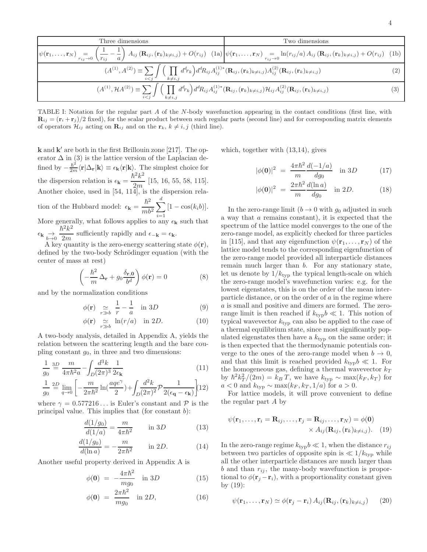Three dimensions Two dimensions  
\n
$$
\psi(\mathbf{r}_1,\ldots,\mathbf{r}_N) = \left(\frac{1}{r_{ij}} - \frac{1}{a}\right) A_{ij} (\mathbf{R}_{ij}, (\mathbf{r}_k)_{k \neq i,j}) + O(r_{ij})
$$
\n
$$
(A^{(1)}, A^{(2)}) \equiv \sum_{i < j} \int \left(\prod_{k \neq i,j} d^d r_k\right) d^d R_{ij} A_{ij}^{(1)*} (\mathbf{R}_{ij}, (\mathbf{r}_k)_{k \neq i,j}) A_{ij}^{(2)} (\mathbf{R}_{ij}, (\mathbf{r}_k)_{k \neq i,j})
$$
\n
$$
(A^{(1)}, \mathcal{H}^{(2)}) \equiv \sum_{i < j} \int \left(\prod_{k \neq i,j} d^d r_k\right) d^d R_{ij} A_{ij}^{(1)*} (\mathbf{R}_{ij}, (\mathbf{r}_k)_{k \neq i,j}) A_{ij}^{(2)} (\mathbf{R}_{ij}, (\mathbf{r}_k)_{k \neq i,j})
$$
\n
$$
(2)
$$
\n
$$
(A^{(1)}, \mathcal{H}^{(2)}) \equiv \sum_{i < j} \int \left(\prod_{k \neq i,j} d^d r_k\right) d^d R_{ij} A_{ij}^{(1)*} (\mathbf{R}_{ij}, (\mathbf{r}_k)_{k \neq i,j}) \mathcal{H}_{ij} A_{ij}^{(2)} (\mathbf{R}_{ij}, (\mathbf{r}_k)_{k \neq i,j})
$$
\n
$$
(3)
$$

TABLE I: Notation for the regular part A of the N-body wavefunction appearing in the contact conditions (first line, with  $\mathbf{R}_{ij} = (\mathbf{r}_i + \mathbf{r}_j)/2$  fixed), for the scalar product between such regular parts (second line) and for corresponding matrix elements of operators  $\mathcal{H}_{ij}$  acting on  $\mathbf{R}_{ij}$  and on the  $\mathbf{r}_k$ ,  $k \neq i, j$  (third line).

k and k ′ are both in the first Brillouin zone [217]. The operator  $\Delta$  in (3) is the lattice version of the Laplacian defined by  $-\frac{\hbar^2}{2m}\langle \mathbf{r}|\Delta_{\mathbf{r}}|\mathbf{k}\rangle \equiv \epsilon_{\mathbf{k}}\langle \mathbf{r}|\mathbf{k}\rangle$ . The simplest choice for the dispersion relation is  $\epsilon_{\mathbf{k}} =$  $\hbar^2 k^2$  $\frac{2m}{2m}$  [15, 16, 55, 58, 115]. Another choice, used in [54, 114], is the dispersion relation of the Hubbard model:  $\epsilon_{\mathbf{k}} =$  $\hbar^2$  $mb^2$  $\sum$ d  $\sum_{i=1} [1 - \cos(k_i b)].$ More generally, what follows applies to any  $\epsilon_{\mathbf{k}}$  such that  $\epsilon_{\mathbf{k}} \underset{\epsilon \to 0}{\rightarrow}$  $\hbar^2 k^2$  $\frac{\epsilon}{2m}$  sufficiently rapidly and  $\epsilon_{-\mathbf{k}} = \epsilon_{\mathbf{k}}$ .

A key quantity is the zero-energy scattering state  $\phi(\mathbf{r}),$ defined by the two-body Schrödinger equation (with the center of mass at rest)

$$
\left(-\frac{\hbar^2}{m}\Delta_{\mathbf{r}} + g_0 \frac{\delta_{\mathbf{r},\mathbf{0}}}{b^d}\right)\phi(\mathbf{r}) = 0
$$
 (8)

and by the normalization conditions

$$
\phi(\mathbf{r}) \underset{r \gg b}{\simeq} \frac{1}{r} - \frac{1}{a} \quad \text{in } 3D \tag{9}
$$

$$
\phi(\mathbf{r}) \underset{r \gg b}{\simeq} \ln(r/a) \quad \text{in } 2D. \tag{10}
$$

A two-body analysis, detailed in Appendix A, yields the relation between the scattering length and the bare coupling constant  $g_0$ , in three and two dimensions:

$$
\frac{1}{g_0} \stackrel{3D}{=} \frac{m}{4\pi\hbar^2 a} - \int_D \frac{d^3k}{(2\pi)^3} \frac{1}{2\epsilon_{\mathbf{k}}} \tag{11}
$$

$$
\frac{1}{g_0} \stackrel{2D}{=} \lim_{q \to 0} \left[ -\frac{m}{2\pi\hbar^2} \ln\left(\frac{aqe^{\gamma}}{2}\right) + \int_D \frac{d^2k}{(2\pi)^2} \mathcal{P} \frac{1}{2(\epsilon_\mathbf{q} - \epsilon_\mathbf{k})} \right] (12)
$$

where  $\gamma = 0.577216...$  is Euler's constant and P is the principal value. This implies that (for constant  $b$ ):

$$
\frac{d(1/g_0)}{d(1/a)} = \frac{m}{4\pi\hbar^2} \quad \text{in } 3D \tag{13}
$$

$$
\frac{d(1/g_0)}{d(\ln a)} = -\frac{m}{2\pi\hbar^2} \quad \text{in } 2D. \tag{14}
$$

Another useful property derived in Appendix A is

$$
\phi(\mathbf{0}) = -\frac{4\pi\hbar^2}{mg_0} \quad \text{in } 3D \tag{15}
$$

$$
\phi(\mathbf{0}) = \frac{2\pi\hbar^2}{mg_0} \quad \text{in } 2D,
$$
\n(16)

which, together with (13,14), gives

$$
|\phi(\mathbf{0})|^2 = \frac{4\pi\hbar^2}{m} \frac{d(-1/a)}{dg_0} \quad \text{in } 3D \tag{17}
$$

$$
|\phi(\mathbf{0})|^2 = \frac{2\pi\hbar^2}{m} \frac{d(\ln a)}{dg_0} \quad \text{in } 2D. \tag{18}
$$

In the zero-range limit  $(b \to 0$  with  $g_0$  adjusted in such a way that a remains constant), it is expected that the spectrum of the lattice model converges to the one of the zero-range model, as explicitly checked for three particles in [115], and that any eigenfunction  $\psi(\mathbf{r}_1, \ldots, \mathbf{r}_N)$  of the lattice model tends to the corresponding eigenfunction of the zero-range model provided all interparticle distances remain much larger than b. For any stationary state, let us denote by  $1/k_{\text{typ}}$  the typical length-scale on which the zero-range model's wavefunction varies: e.g. for the lowest eigenstates, this is on the order of the mean interparticle distance, or on the order of  $a$  in the regime where a is small and positive and dimers are formed. The zerorange limit is then reached if  $k_{\text{typ}}b \ll 1$ . This notion of typical wavevector  $k_{\text{typ}}$  can also be applied to the case of a thermal equilibrium state, since most significantly populated eigenstates then have a  $k_{\text{typ}}$  on the same order; it is then expected that the thermodynamic potentials converge to the ones of the zero-range model when  $b \to 0$ , and that this limit is reached provided  $k_{\text{typ}}b \ll 1$ . For the homogeneous gas, defining a thermal wavevector  $k_T$ by  $\hbar^2 k_T^2 / (2m) = k_B T$ , we have  $k_{\text{typ}} \sim \max(k_F, k_T)$  for  $a < 0$  and  $k_{\text{typ}} \sim \max(k_F, k_T, 1/a)$  for  $a > 0$ .

For lattice models, it will prove convenient to define the regular part A by

$$
\psi(\mathbf{r}_1,\ldots,\mathbf{r}_i = \mathbf{R}_{ij},\ldots,\mathbf{r}_j = \mathbf{R}_{ij},\ldots,\mathbf{r}_N) = \phi(\mathbf{0})
$$
  
 
$$
\times A_{ij}(\mathbf{R}_{ij},(\mathbf{r}_k)_{k\neq i,j}). \quad (19)
$$

In the zero-range regime  $k_{\text{typ}}b \ll 1$ , when the distance  $r_{ij}$ between two particles of opposite spin is  $\ll 1/k_{\text{typ}}$  while all the other interparticle distances are much larger than b and than  $r_{ij}$ , the many-body wavefunction is proportional to  $\phi(\mathbf{r}_i - \mathbf{r}_i)$ , with a proportionality constant given by (19):

$$
\psi(\mathbf{r}_1,\ldots,\mathbf{r}_N) \simeq \phi(\mathbf{r}_j - \mathbf{r}_i) A_{ij}(\mathbf{R}_{ij}, (\mathbf{r}_k)_{k \neq i,j}) \qquad (20)
$$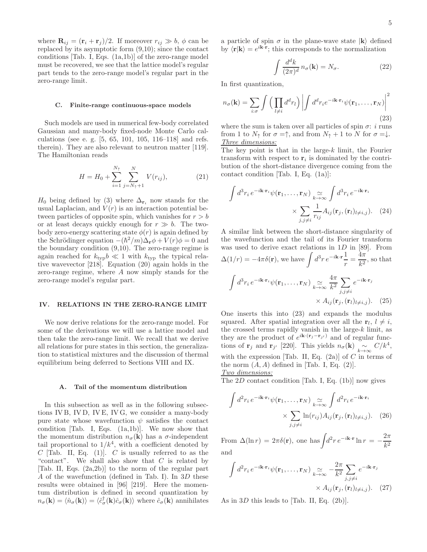where  $\mathbf{R}_{ij} = (\mathbf{r}_i + \mathbf{r}_j)/2$ . If moreover  $r_{ij} \gg b$ ,  $\phi$  can be replaced by its asymptotic form (9,10); since the contact conditions [Tab. I, Eqs. (1a,1b)] of the zero-range model must be recovered, we see that the lattice model's regular part tends to the zero-range model's regular part in the zero-range limit.

# C. Finite-range continuous-space models

Such models are used in numerical few-body correlated Gaussian and many-body fixed-node Monte Carlo calculations (see e. g. [5, 65, 101, 105, 116–118] and refs. therein). They are also relevant to neutron matter [119]. The Hamiltonian reads

$$
H = H_0 + \sum_{i=1}^{N_{\uparrow}} \sum_{j=N_{\uparrow}+1}^{N} V(r_{ij}), \tag{21}
$$

 $H_0$  being defined by (3) where  $\Delta_{\mathbf{r}_i}$  now stands for the usual Laplacian, and  $V(r)$  is an interaction potential between particles of opposite spin, which vanishes for  $r > b$ or at least decays quickly enough for  $r \gg b$ . The twobody zero-energy scattering state  $\phi(r)$  is again defined by the Schrödinger equation  $-(\hbar^2/m)\Delta_{\mathbf{r}}\phi + V(r)\phi = 0$  and the boundary condition (9,10). The zero-range regime is again reached for  $k_{\text{typ}}b \ll 1$  with  $k_{\text{typ}}$  the typical relative wavevector [218]. Equation (20) again holds in the zero-range regime, where A now simply stands for the zero-range model's regular part.

# IV. RELATIONS IN THE ZERO-RANGE LIMIT

We now derive relations for the zero-range model. For some of the derivations we will use a lattice model and then take the zero-range limit. We recall that we derive all relations for pure states in this section, the generalization to statistical mixtures and the discussion of thermal equilibrium being deferred to Sections VIII and IX.

# A. Tail of the momentum distribution

In this subsection as well as in the following subsections IV B, IV D, IV E, IV G, we consider a many-body pure state whose wavefunction  $\psi$  satisfies the contact condition  $[Tab. I, Eqs. (1a,1b)]$ . We now show that the momentum distribution  $n_{\sigma}(\mathbf{k})$  has a  $\sigma$ -independent tail proportional to  $1/k<sup>4</sup>$ , with a coefficient denoted by C [Tab. II, Eq. (1)]. C is usually referred to as the "contact". We shall also show that  $C$  is related by [Tab. II, Eqs. (2a,2b)] to the norm of the regular part A of the wavefunction (defined in Tab. I). In 3D these results were obtained in [96] [219]. Here the momentum distribution is defined in second quantization by  $n_{\sigma}(\mathbf{k}) = \langle \hat{n}_{\sigma}(\mathbf{k}) \rangle = \langle \hat{c}^{\dagger}_{\sigma}(\mathbf{k}) \hat{c}^{\dagger}_{\sigma}(\mathbf{k}) \rangle$  where  $\hat{c}^{\dagger}_{\sigma}(\mathbf{k})$  annihilates a particle of spin  $\sigma$  in the plane-wave state  $|k\rangle$  defined by  $\langle \mathbf{r} | \mathbf{k} \rangle = e^{i\mathbf{k} \cdot \mathbf{r}}$ ; this corresponds to the normalization

$$
\int \frac{d^d k}{(2\pi)^d} n_{\sigma}(\mathbf{k}) = N_{\sigma}.
$$
 (22)

In first quantization,

$$
n_{\sigma}(\mathbf{k}) = \sum_{i:\sigma} \int \left(\prod_{l \neq i} d^d r_l\right) \left| \int d^d r_i e^{-i\mathbf{k} \cdot \mathbf{r}_i} \psi(\mathbf{r}_1, \dots, \mathbf{r}_N) \right|^2
$$
\n(23)

where the sum is taken over all particles of spin  $\sigma$ : *i* runs from 1 to  $N_{\uparrow}$  for  $\sigma = \uparrow$ , and from  $N_{\uparrow} + 1$  to N for  $\sigma = \downarrow$ . Three dimensions:

The key point is that in the large- $k$  limit, the Fourier transform with respect to  $r_i$  is dominated by the contribution of the short-distance divergence coming from the contact condition [Tab. I, Eq. (1a)]:

$$
\int d^3 r_i e^{-i\mathbf{k}\cdot\mathbf{r}_i} \psi(\mathbf{r}_1, \dots, \mathbf{r}_N) \underset{j,j \neq i}{\simeq} \int d^3 r_i e^{-i\mathbf{k}\cdot\mathbf{r}_i}
$$

$$
\times \sum_{j,j \neq i} \frac{1}{r_{ij}} A_{ij}(\mathbf{r}_j, (\mathbf{r}_l)_{l \neq i,j}). \quad (24)
$$

A similar link between the short-distance singularity of the wavefunction and the tail of its Fourier transform was used to derive exact relations in  $1D$  in [89]. From  $\Delta(1/r) = -4\pi\delta(\mathbf{r}),$  we have  $\int d^3r e^{-i\mathbf{k}\cdot\mathbf{r}} \frac{1}{r}$  $\frac{1}{r} = \frac{4\pi}{k^2}$  $\frac{1}{k^2}$ , so that  $\int d^3r_i e^{-i\mathbf{k}\cdot\mathbf{r}_i}\psi(\mathbf{r}_1,\ldots,\mathbf{r}_N) \underset{k\to\infty}{\simeq}$  $4\pi$  $\frac{4\pi}{k^2}\sum$  $j,j\neq i$  $e^{-i\mathbf{k}\cdot\mathbf{r}_j}$  $\times A_{ij}(\mathbf{r}_i, (\mathbf{r}_l)_{l\neq i,j}).$  (25)

One inserts this into (23) and expands the modulus squared. After spatial integration over all the  $\mathbf{r}_l, l \neq i$ , the crossed terms rapidly vanish in the large- $k$  limit, as they are the product of  $e^{i\mathbf{k}\cdot(\mathbf{r}_j-\mathbf{r}_{j'})}$  and of regular functions of r<sub>j</sub> and r<sub>j'</sub> [220]. This yields  $n_{\sigma}(\mathbf{k}) \sim C/k^4$ , with the expression [Tab. II, Eq.  $(2a)$ ] of C in terms of the norm  $(A, A)$  defined in [Tab. I, Eq. (2)].

Two dimensions:

The  $2D$  contact condition [Tab. I, Eq. (1b)] now gives

$$
\int d^2 r_i e^{-i\mathbf{k}\cdot\mathbf{r}_i} \psi(\mathbf{r}_1,\dots,\mathbf{r}_N) \underset{j,j\neq i}{\simeq} \int d^2 r_i e^{-i\mathbf{k}\cdot\mathbf{r}_i}
$$

$$
\times \sum_{j,j\neq i} \ln(r_{ij}) A_{ij}(\mathbf{r}_j,(\mathbf{r}_l)_{l\neq i,j}). \quad (26)
$$

From  $\Delta(\ln r) = 2\pi\delta(\mathbf{r})$ , one has  $\int d^2r e^{-i\mathbf{k}\cdot\mathbf{r}} \ln r = -\frac{2\pi}{k^2}$  $k<sup>2</sup>$ and

$$
\int d^2 r_i e^{-i\mathbf{k}\cdot\mathbf{r}_i} \psi(\mathbf{r}_1,\dots,\mathbf{r}_N) \underset{k\to\infty}{\simeq} -\frac{2\pi}{k^2} \sum_{j,j\neq i} e^{-i\mathbf{k}\cdot\mathbf{r}_j}
$$

$$
\times A_{ij}(\mathbf{r}_j,(\mathbf{r}_l)_{l\neq i,j}). \quad (27)
$$

As in 3D this leads to [Tab. II, Eq. (2b)].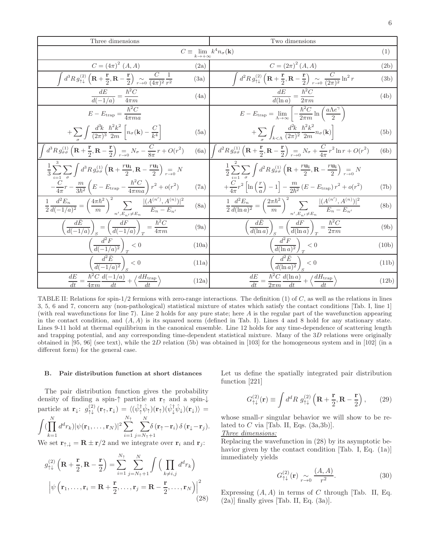| Three dimensions                                                                                                                                                                                 |       | Two dimensions                                                                                                                                                                                   |       |
|--------------------------------------------------------------------------------------------------------------------------------------------------------------------------------------------------|-------|--------------------------------------------------------------------------------------------------------------------------------------------------------------------------------------------------|-------|
| $C \equiv \lim_{k \to +\infty} k^4 n_{\sigma}(\mathbf{k})$                                                                                                                                       |       |                                                                                                                                                                                                  | (1)   |
| $C = (4\pi)^2$ $(A, A)$                                                                                                                                                                          | (2a)  | $C = (2\pi)^2 (A, A)$                                                                                                                                                                            | (2b)  |
| $d^3 R g_{\uparrow\downarrow}^{(2)}\left(\mathbf{R}+\frac{\mathbf{r}}{2},\mathbf{R}-\frac{\mathbf{r}}{2}\right) \underset{r\to 0}{\sim} \frac{C}{(4\pi)^2} \frac{1}{r^2}$                        | (3a)  | $\int d^2 R g_{\uparrow\downarrow}^{(2)} \left( \mathbf{R} + \frac{\mathbf{r}}{2}, \mathbf{R} - \frac{\mathbf{r}}{2} \right) \underset{r \to 0}{\sim} \frac{C}{(2\pi)^2} \ln^2 r$                | (3b)  |
| $\frac{dE}{d(-1/a)} = \frac{\hbar^2 C}{4\pi m}$                                                                                                                                                  | (4a)  | $\frac{dE}{d(\ln a)} = \frac{\hbar^2 C}{2\pi m}$                                                                                                                                                 | (4b)  |
| $E - E_{\text{trap}} = \frac{\hbar^2 C}{4\pi ma}$                                                                                                                                                |       | $E - E_{\text{trap}} = \lim_{\Lambda \to \infty} \left[ -\frac{\hbar^2 C}{2\pi m} \ln \left( \frac{a \Lambda e^{\gamma}}{2} \right) \right]$                                                     |       |
| $+\sum_{\perp}\int\frac{d^{3}\!k}{(2\pi)^{3}}\frac{\hbar^{2}k^{2}}{2m}\left[n_{\sigma}(\mathbf{k})-\frac{C}{k^{4}}\right]$                                                                       | (5a)  | $+\sum\int_{k\leq\Lambda}\frac{d^2k}{(2\pi)^2}\frac{\hbar^2k^2}{2m}n_\sigma(\mathbf{k})\bigg]$                                                                                                   | (5b)  |
| $d^3 R g_{\sigma\sigma}^{(1)}\left(\mathbf{R}+\frac{\mathbf{r}}{2},\mathbf{R}-\frac{\mathbf{r}}{2}\right) = N_{\sigma} - \frac{C}{8\pi}r + O(r^2)$                                               | (6a)  | $\int d^2 R g_{\sigma\sigma}^{(1)}\left(\mathbf{R}+\frac{\mathbf{r}}{2},\mathbf{R}-\frac{\mathbf{r}}{2}\right) = N_{\sigma} + \frac{C}{4\pi}r^2\ln r + O(r^2)$                                   | (6b)  |
| $\frac{1}{3}\sum_{i=1}^{n}\sum_{j=1}^{n}\int d^{3}R\,g_{\sigma\sigma}^{(1)}\left(\mathbf{R}+\frac{r\mathbf{u_{i}}}{2},\mathbf{R}-\frac{r\mathbf{u_{i}}}{2}\right)\underset{r\rightarrow 0}{=N}N$ |       | $\frac{1}{2}\sum_{i=1}^{n}\sum_{j=1}^{n}\int d^{2}R\,g_{\sigma\sigma}^{(1)}\left(\mathbf{R}+\frac{r\mathbf{u_{i}}}{2},\mathbf{R}-\frac{r\mathbf{u_{i}}}{2}\right)\underset{r\rightarrow 0}{=N}N$ |       |
| $-\frac{C}{4\pi}r-\frac{m}{3\hbar^2}\left(E-E_{\rm trap}-\frac{\hbar^2C}{4\pi ma}\right)r^2+o(r^2)$                                                                                              | (7a)  | $+\frac{C}{4\pi}r^2\left[\ln\left(\frac{r}{a}\right)-1\right]-\frac{m}{2b^2}\left(E-E_{\text{trap}}\right)r^2+o(r^2)$                                                                            | (7b)  |
| $\frac{1}{2}\frac{d^2E_n}{d(-1/a)^2} = \left(\frac{4\pi\hbar^2}{m}\right)^2 \sum_{n'\in\mathcal{F} \text{ and } n'\in\mathcal{F}} \frac{ (A^{(n')},A^{(n)}) ^2}{E_n - E_{n'}}$                   | (8a)  | $\frac{1}{2}\frac{d^2E_n}{d(\ln a)^2} = \left(\frac{2\pi\hbar^2}{m}\right)^2 \sum_{n'\in\mathcal{F} \text{ and } n'\in\mathcal{F}} \frac{ (A^{(n')}, A^{(n)}) ^2}{E_n - E_{n'}}$                 | (8b)  |
| $\left(\frac{dE}{d(-1/a)}\right)_{S} = \left(\frac{dF}{d(-1/a)}\right)_{T} = \frac{\hbar^2 C}{4\pi m}$                                                                                           | (9a)  | $\left(\frac{dE}{d(\ln a)}\right)_s = \left(\frac{dF}{d(\ln a)}\right)_T = \frac{\hbar^2 C}{2\pi m}$                                                                                             | (9b)  |
| $\left(\frac{d^2F}{d(-1/a)^2}\right)_T < 0$                                                                                                                                                      | (10a) | $\left(\frac{d^2F}{d(\ln a)^2}\right)_T < 0$                                                                                                                                                     | (10b) |
| $\left(\frac{d^2\bar{E}}{d(-1/a)^2}\right)_S < 0$                                                                                                                                                | (11a) | $\left(\frac{d^2\bar{E}}{d(\ln a)^2}\right)_{S} < 0$                                                                                                                                             | (11b) |
| $\frac{dE}{dt} = \frac{\hbar^2 C}{4\pi m} \frac{d(-1/a)}{dt} + \left\langle \frac{dH_{\text{trap}}}{dt} \right\rangle$                                                                           | (12a) | $\frac{dE}{dt} = \frac{\hbar^2 C}{2\pi m} \frac{d(\ln a)}{dt} + \left\langle \frac{dH_{\text{trap}}}{dt} \right\rangle$                                                                          | (12b) |

TABLE II: Relations for spin-1/2 fermions with zero-range interactions. The definition  $(1)$  of  $C$ , as well as the relations in lines 3, 5, 6 and 7, concern any (non-pathological) statistical mixture of states which satisfy the contact conditions [Tab. I, line 1] (with real wavefunctions for line 7). Line 2 holds for any pure state; here A is the regular part of the wavefunction appearing in the contact condition, and  $(A, A)$  is its squared norm (defined in Tab. I). Lines 4 and 8 hold for any stationary state. Lines 9-11 hold at thermal equilibrium in the canonical ensemble. Line 12 holds for any time-dependence of scattering length and trapping potential, and any corresponding time-dependent statistical mixture. Many of the 3D relations were originally obtained in [95, 96] (see text), while the 2D relation (5b) was obtained in [103] for the homogeneous system and in [102] (in a different form) for the general case.

# B. Pair distribution function at short distances

The pair distribution function gives the probability density of finding a spin- $\uparrow$  particle at  $\mathbf{r}_{\uparrow}$  and a spin- $\downarrow$ particle at  $\mathbf{r}_{\downarrow}$ :  $g_{\uparrow\downarrow}^{(2)}(\mathbf{r}_{\uparrow}, \mathbf{r}_{\downarrow}) = \langle (\hat{\psi}_{\uparrow}^{\dagger} \hat{\psi}_{\uparrow}) (\mathbf{r}_{\uparrow}) (\hat{\psi}_{\downarrow}^{\dagger} \hat{\psi}_{\downarrow}) (\mathbf{r}_{\downarrow}) \rangle =$  $\int (\prod$ N  $k=1$  $(d^d r_k) |\psi({\bf r}_1,\ldots,{\bf r}_N)|^2 \sum$  $N_{\uparrow}$  $i=1$  $\sum$ N  $j = N_{\uparrow} + 1$  $\delta\left(\mathbf{r}_{\uparrow}-\mathbf{r}_{i}\right)\delta\left(\mathbf{r}_{\downarrow}-\mathbf{r}_{j}\right)$ .

We set  $\mathbf{r}_{\uparrow,\downarrow} = \mathbf{R} \pm \mathbf{r}/2$  and we integrate over  $\mathbf{r}_i$  and  $\mathbf{r}_j$ :

$$
g_{\uparrow\downarrow}^{(2)}\left(\mathbf{R}+\frac{\mathbf{r}}{2},\mathbf{R}-\frac{\mathbf{r}}{2}\right)=\sum_{i=1}^{N_{\uparrow}}\sum_{j=N_{\uparrow}+1}^{N}\int\Big(\prod_{k\neq i,j}d^{d}r_{k}\Big)
$$

$$
\left|\psi\left(\mathbf{r}_{1},\ldots,\mathbf{r}_{i}=\mathbf{R}+\frac{\mathbf{r}}{2},\ldots,\mathbf{r}_{j}=\mathbf{R}-\frac{\mathbf{r}}{2},\ldots,\mathbf{r}_{N}\right)\right|^{2}
$$
(28)

Let us define the spatially integrated pair distribution function [221]

$$
G_{\uparrow\downarrow}^{(2)}(\mathbf{r}) \equiv \int d^d R \; g_{\uparrow\downarrow}^{(2)} \left( \mathbf{R} + \frac{\mathbf{r}}{2}, \mathbf{R} - \frac{\mathbf{r}}{2} \right), \qquad (29)
$$

whose small- $r$  singular behavior we will show to be related to  $C$  via [Tab. II, Eqs.  $(3a,3b)$ ].

# Three dimensions:

Replacing the wavefunction in (28) by its asymptotic behavior given by the contact condition [Tab. I, Eq. (1a)] immediately yields

$$
G_{\uparrow\downarrow}^{(2)}(\mathbf{r}) \underset{r \to 0}{\sim} \frac{(A, A)}{r^2}.
$$
 (30)

Expressing  $(A, A)$  in terms of C through [Tab. II, Eq.  $(2a)$ ] finally gives [Tab. II, Eq.  $(3a)$ ].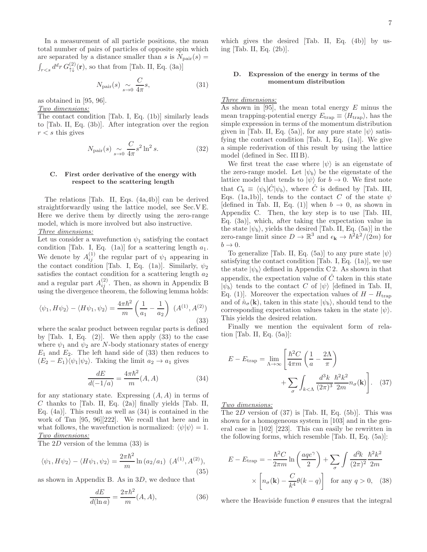In a measurement of all particle positions, the mean total number of pairs of particles of opposite spin which are separated by a distance smaller than s is  $N_{\text{pair}}(s) =$  $\int_{r, so that from [Tab. II, Eq. (3a)]$ 

$$
N_{\text{pair}}(s) \underset{s \to 0}{\sim} \frac{C}{4\pi} s,\tag{31}
$$

as obtained in [95, 96].

Two dimensions:

The contact condition [Tab. I, Eq. (1b)] similarly leads to [Tab. II, Eq. (3b)]. After integration over the region  $r < s$  this gives

$$
N_{\text{pair}}(s) \underset{s \to 0}{\sim} \frac{C}{4\pi} s^2 \ln^2 s. \tag{32}
$$

# C. First order derivative of the energy with respect to the scattering length

The relations [Tab. II, Eqs. (4a,4b)] can be derived straightforwardly using the lattice model, see Sec.V E. Here we derive them by directly using the zero-range model, which is more involved but also instructive. Three dimensions:

Let us consider a wavefunction  $\psi_1$  satisfying the contact condition [Tab. I, Eq. (1a)] for a scattering length  $a_1$ . We denote by  $A_{ij}^{(1)}$  the regular part of  $\psi_1$  appearing in the contact condition [Tab. I, Eq. (1a)]. Similarly,  $\psi_2$ satisfies the contact condition for a scattering length  $a_2$ and a regular part  $A_{ij}^{(2)}$ . Then, as shown in Appendix B using the divergence theorem, the following lemma holds:

$$
\langle \psi_1, H\psi_2 \rangle - \langle H\psi_1, \psi_2 \rangle = \frac{4\pi\hbar^2}{m} \left(\frac{1}{a_1} - \frac{1}{a_2}\right) (A^{(1)}, A^{(2)})
$$
\n(33)

where the scalar product between regular parts is defined by  $[Tab. I, Eq. (2)]$ . We then apply  $(33)$  to the case where  $\psi_1$  and  $\psi_2$  are N-body stationary states of energy  $E_1$  and  $E_2$ . The left hand side of (33) then reduces to  $(E_2 - E_1)\langle \psi_1 | \psi_2 \rangle$ . Taking the limit  $a_2 \to a_1$  gives

$$
\frac{dE}{d(-1/a)} = \frac{4\pi\hbar^2}{m}(A, A)
$$
 (34)

for any stationary state. Expressing  $(A, A)$  in terms of  $C$  thanks to [Tab. II, Eq. (2a)] finally yields [Tab. II, Eq. (4a)]. This result as well as (34) is contained in the work of Tan [95, 96][222]. We recall that here and in what follows, the wavefunction is normalized:  $\langle \psi | \psi \rangle = 1$ . Two dimensions:

The 2D version of the lemma (33) is

$$
\langle \psi_1, H\psi_2 \rangle - \langle H\psi_1, \psi_2 \rangle = \frac{2\pi\hbar^2}{m} \ln (a_2/a_1) \ (A^{(1)}, A^{(2)}),
$$
\n(35)

as shown in Appendix B. As in 3D, we deduce that

$$
\frac{dE}{d(\ln a)} = \frac{2\pi\hbar^2}{m}(A, A),\tag{36}
$$

which gives the desired [Tab. II, Eq. (4b)] by using [Tab. II, Eq. (2b)].

# D. Expression of the energy in terms of the momentum distribution

# Three dimensions:

As shown in [95], the mean total energy  $E$  minus the mean trapping-potential energy  $E_{\text{trap}} \equiv \langle H_{\text{trap}} \rangle$ , has the simple expression in terms of the momentum distribution given in [Tab. II, Eq. (5a)], for any pure state  $|\psi\rangle$  satisfying the contact condition  $[Tab. I, Eq. (1a)]$ . We give a simple rederivation of this result by using the lattice model (defined in Sec. III B).

We first treat the case where  $|\psi\rangle$  is an eigenstate of the zero-range model. Let  $|\psi_b\rangle$  be the eigenstate of the lattice model that tends to  $|\psi\rangle$  for  $b \to 0$ . We first note that  $C_b \equiv \langle \psi_b | \hat{C} | \psi_b \rangle$ , where  $\hat{C}$  is defined by [Tab. III, Eqs. (1a,1b)], tends to the contact C of the state  $\psi$ [defined in Tab. II, Eq. (1)] when  $b \to 0$ , as shown in Appendix C. Then, the key step is to use [Tab. III, Eq. (3a)], which, after taking the expectation value in the state  $|\psi_b\rangle$ , yields the desired [Tab. II, Eq. (5a)] in the zero-range limit since  $D \to \mathbb{R}^3$  and  $\epsilon_{\mathbf{k}} \to \hbar^2 k^2/(2m)$  for  $b \rightarrow 0$ .

To generalize [Tab. II, Eq. (5a)] to any pure state  $|\psi\rangle$ satisfying the contact condition  $[Tab. I, Eq. (1a)]$ , we use the state  $|\psi_b\rangle$  defined in Appendix C 2. As shown in that appendix, the expectation value of  $\hat{C}$  taken in this state  $|\psi_b\rangle$  tends to the contact C of  $|\psi\rangle$  [defined in Tab. II, Eq. (1)]. Moreover the expectation values of  $H - H_{trap}$ and of  $\hat{n}_{\sigma}(\mathbf{k})$ , taken in this state  $|\psi_b\rangle$ , should tend to the corresponding expectation values taken in the state  $|\psi\rangle$ . This yields the desired relation.

Finally we mention the equivalent form of relation  $[Tab. II, Eq. (5a)]$ :

$$
E - E_{\text{trap}} = \lim_{\Lambda \to \infty} \left[ \frac{\hbar^2 C}{4\pi m} \left( \frac{1}{a} - \frac{2\Lambda}{\pi} \right) + \sum_{\sigma} \int_{k < \Lambda} \frac{d^3 k}{(2\pi)^3} \frac{\hbar^2 k^2}{2m} n_{\sigma}(\mathbf{k}) \right].
$$
 (37)

Two dimensions:

The  $2D$  version of  $(37)$  is [Tab. II, Eq.  $(5b)$ ]. This was shown for a homogeneous system in [103] and in the general case in [102] [223]. This can easily be rewritten in the following forms, which resemble [Tab. II, Eq. (5a)]:

$$
E - E_{\text{trap}} = -\frac{\hbar^2 C}{2\pi m} \ln\left(\frac{aqe^{\gamma}}{2}\right) + \sum_{\sigma} \int \frac{d^2k}{(2\pi)^2} \frac{\hbar^2 k^2}{2m}
$$

$$
\times \left[ n_{\sigma}(\mathbf{k}) - \frac{C}{k^4} \theta(k - q) \right] \text{ for any } q > 0, \quad (38)
$$

where the Heaviside function  $\theta$  ensures that the integral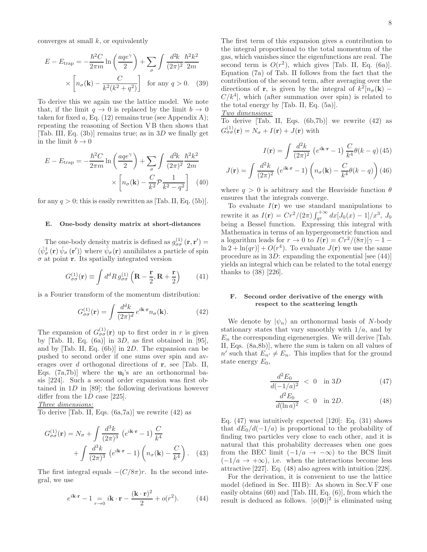converges at small  $k$ , or equivalently

$$
E - E_{\text{trap}} = -\frac{\hbar^2 C}{2\pi m} \ln\left(\frac{aqe^{\gamma}}{2}\right) + \sum_{\sigma} \int \frac{d^2k}{(2\pi)^2} \frac{\hbar^2 k^2}{2m}
$$

$$
\times \left[ n_{\sigma}(\mathbf{k}) - \frac{C}{k^2(k^2 + q^2)} \right] \text{ for any } q > 0. \quad (39)
$$

To derive this we again use the lattice model. We note that, if the limit  $q \to 0$  is replaced by the limit  $b \to 0$ taken for fixed  $a$ , Eq. (12) remains true (see Appendix A); repeating the reasoning of Section V B then shows that [Tab. III, Eq.  $(3b)$ ] remains true; as in 3D we finally get in the limit  $b \to 0$ 

$$
E - E_{\text{trap}} = -\frac{\hbar^2 C}{2\pi m} \ln\left(\frac{aqe^{\gamma}}{2}\right) + \sum_{\sigma} \int \frac{d^2k}{(2\pi)^2} \frac{\hbar^2 k^2}{2m}
$$

$$
\times \left[ n_{\sigma}(\mathbf{k}) - \frac{C}{k^2} \mathcal{P} \frac{1}{k^2 - q^2} \right] \tag{40}
$$

for any  $q > 0$ ; this is easily rewritten as [Tab. II, Eq. (5b)].

# E. One-body density matrix at short-distances

The one-body density matrix is defined as  $g_{\sigma\sigma}^{(1)}(\mathbf{r}, \mathbf{r}') =$  $\langle \hat{\psi}_{\sigma}^{\dagger}({\bf r})\, \hat{\psi}_{\sigma}({\bf r}')\rangle$  where  $\hat{\psi}_{\sigma}({\bf r})$  annihilates a particle of spin  $\sigma$  at point **r**. Its spatially integrated version

$$
G_{\sigma\sigma}^{(1)}(\mathbf{r}) \equiv \int d^d R \, g_{\sigma\sigma}^{(1)} \left( \mathbf{R} - \frac{\mathbf{r}}{2}, \mathbf{R} + \frac{\mathbf{r}}{2} \right) \tag{41}
$$

is a Fourier transform of the momentum distribution:

$$
G_{\sigma\sigma}^{(1)}(\mathbf{r}) = \int \frac{d^d k}{(2\pi)^d} e^{i\mathbf{k}\cdot\mathbf{r}} n_{\sigma}(\mathbf{k}).
$$
 (42)

The expansion of  $G_{\sigma\sigma}^{(1)}(\mathbf{r})$  up to first order in r is given by [Tab. II, Eq.  $(6a)$ ] in 3D, as first obtained in [95], and by [Tab. II, Eq. (6b)] in 2D. The expansion can be pushed to second order if one sums over spin and averages over  $d$  orthogonal directions of  $r$ , see [Tab. II, Eqs.  $(7a,7b)$  where the  $u_i$ 's are an orthonormal basis [224]. Such a second order expansion was first obtained in  $1D$  in [89]; the following derivations however differ from the 1D case [225].

Three dimensions:

To derive [Tab. II, Eqs.  $(6a,7a)$ ] we rewrite  $(42)$  as

$$
G_{\sigma\sigma}^{(1)}(\mathbf{r}) = N_{\sigma} + \int \frac{d^{3}k}{(2\pi)^{3}} \left(e^{i\mathbf{k}\cdot\mathbf{r}} - 1\right) \frac{C}{k^{4}} + \int \frac{d^{3}k}{(2\pi)^{3}} \left(e^{i\mathbf{k}\cdot\mathbf{r}} - 1\right) \left(n_{\sigma}(\mathbf{k}) - \frac{C}{k^{4}}\right).
$$
 (43)

The first integral equals  $-(C/8\pi)r$ . In the second integral, we use

$$
e^{i\mathbf{k}\cdot\mathbf{r}} - 1\underset{r\to 0}{=} i\mathbf{k}\cdot\mathbf{r} - \frac{(\mathbf{k}\cdot\mathbf{r})^2}{2} + o(r^2). \tag{44}
$$

The first term of this expansion gives a contribution to the integral proportional to the total momentum of the gas, which vanishes since the eigenfunctions are real. The second term is  $O(r^2)$ , which gives [Tab. II, Eq. (6a)]. Equation (7a) of Tab. II follows from the fact that the contribution of the second term, after averaging over the directions of **r**, is given by the integral of  $k^2[n_{\sigma}(\mathbf{k})]$  –  $C/k<sup>4</sup>$ , which (after summation over spin) is related to the total energy by [Tab. II, Eq. (5a)].

Two dimensions:

To derive  $[Tab. II, Eqs. (6b,7b)]$  we rewrite  $(42)$  as  $G_{\sigma\sigma}^{(1)}(\mathbf{r})=N_{\sigma}+I(\mathbf{r})+J(\mathbf{r})$  with

$$
I(\mathbf{r}) = \int \frac{d^2k}{(2\pi)^2} \left(e^{i\mathbf{k}\cdot\mathbf{r}} - 1\right) \frac{C}{k^4} \theta(k - q) (45)
$$

$$
J(\mathbf{r}) = \int \frac{d^2k}{(2\pi)^2} \left(e^{i\mathbf{k}\cdot\mathbf{r}} - 1\right) \left(n_\sigma(\mathbf{k}) - \frac{C}{k^4} \theta(k - q)\right) (46)
$$

where  $q > 0$  is arbitrary and the Heaviside function  $\theta$ ensures that the integrals converge.

To evaluate  $I(\mathbf{r})$  we use standard manipulations to rewrite it as  $I(\mathbf{r}) = Cr^2/(2\pi) \int_{qr}^{+\infty} dx [J_0(x) - 1]/x^3$ ,  $J_0$ being a Bessel function. Expressing this integral with Mathematica in terms of an hypergeometric function and a logarithm leads for  $r \to 0$  to  $I(\mathbf{r}) = Cr^2/(8\pi)[\gamma - 1 \ln 2 + \ln(qr) + O(r^4)$ . To evaluate  $J(\mathbf{r})$  we use the same procedure as in  $3D$ : expanding the exponential [see (44)] yields an integral which can be related to the total energy thanks to (38) [226].

# F. Second order derivative of the energy with respect to the scattering length

We denote by  $|\psi_n\rangle$  an orthonormal basis of N-body stationary states that vary smoothly with  $1/a$ , and by  $E_n$  the corresponding eigenenergies. We will derive  $[\text{Tab.}]$ II, Eqs. (8a,8b)], where the sum is taken on all values of  $n'$  such that  $E_{n'} \neq E_n$ . This implies that for the ground state energy  $E_0$ ,

$$
\frac{d^2 E_0}{d(-1/a)^2} < 0 \quad \text{in } 3D \tag{47}
$$

$$
\frac{d^2 E_0}{d(\ln a)^2} < 0 \quad \text{in } 2D. \tag{48}
$$

Eq.  $(47)$  was intuitively expected  $[120]$ : Eq.  $(31)$  shows that  $dE_0/d(-1/a)$  is proportional to the probability of finding two particles very close to each other, and it is natural that this probability decreases when one goes from the BEC limit  $(-1/a \rightarrow -\infty)$  to the BCS limit  $(-1/a \rightarrow +\infty)$ , i.e. when the interactions become less attractive [227]. Eq. (48) also agrees with intuition [228].

For the derivation, it is convenient to use the lattice model (defined in Sec. III B): As shown in Sec.V F one easily obtains (60) and [Tab. III, Eq. (6)], from which the result is deduced as follows.  $|\phi(\mathbf{0})|^2$  is eliminated using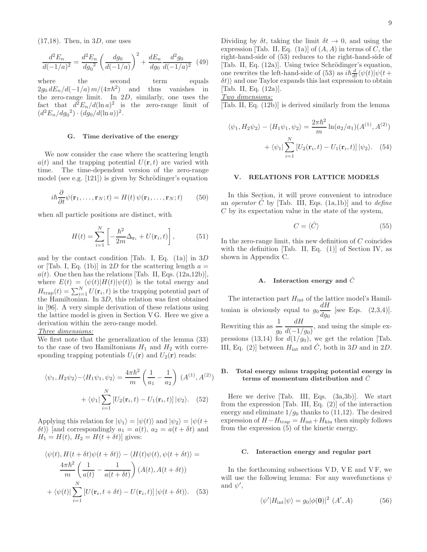$(17,18)$ . Then, in 3D, one uses

$$
\frac{d^2 E_n}{d(-1/a)^2} = \frac{d^2 E_n}{d g_0^2} \left(\frac{d g_0}{d(-1/a)}\right)^2 + \frac{d E_n}{d g_0} \frac{d^2 g_0}{d(-1/a)^2} \tag{49}
$$

where the second term equals  $2g_0 dE_n/d(-1/a) m/(4\pi\hbar^2)$ ) and thus vanishes in the zero-range limit. In 2D, similarly, one uses the fact that  $d^2E_n/d(\ln a)^2$  is the zero-range limit of  $(d^2 E_n / dg_0^2) \cdot (dg_0 / d(\ln a))^2$ .

# G. Time derivative of the energy

We now consider the case where the scattering length  $a(t)$  and the trapping potential  $U(\mathbf{r}, t)$  are varied with time. The time-dependent version of the zero-range model (see e.g.  $[121]$ ) is given by Schrödinger's equation

$$
i\hbar \frac{\partial}{\partial t} \psi(\mathbf{r}_1, \dots, \mathbf{r}_N; t) = H(t) \psi(\mathbf{r}_1, \dots, \mathbf{r}_N; t)
$$
 (50)

when all particle positions are distinct, with

$$
H(t) = \sum_{i=1}^{N} \left[ -\frac{\hbar^2}{2m} \Delta_{\mathbf{r}_i} + U(\mathbf{r}_i, t) \right],
$$
 (51)

and by the contact condition [Tab. I, Eq.  $(1a)$ ] in 3D or [Tab. I, Eq. (1b)] in 2D for the scattering length  $a =$  $a(t)$ . One then has the relations [Tab. II, Eqs. (12a, 12b)], where  $E(t) = \langle \psi(t) | H(t) | \psi(t) \rangle$  is the total energy and  $H_{\text{trap}}(t) = \sum_{i=1}^{N} U(\mathbf{r}_i, t)$  is the trapping potential part of the Hamiltonian. In 3D, this relation was first obtained in [96]. A very simple derivation of these relations using the lattice model is given in Section V G. Here we give a derivation within the zero-range model.

# Three dimensions:

We first note that the generalization of the lemma (33) to the case of two Hamiltonians  $H_1$  and  $H_2$  with corresponding trapping potentials  $U_1(\mathbf{r})$  and  $U_2(\mathbf{r})$  reads:

$$
\langle \psi_1, H_2 \psi_2 \rangle - \langle H_1 \psi_1, \psi_2 \rangle = \frac{4\pi \hbar^2}{m} \left( \frac{1}{a_1} - \frac{1}{a_2} \right) (A^{(1)}, A^{(2)}) + \langle \psi_1 | \sum_{i=1}^N \left[ U_2(\mathbf{r}_i, t) - U_1(\mathbf{r}_i, t) \right] |\psi_2 \rangle. \tag{52}
$$

Applying this relation for  $|\psi_1\rangle = |\psi(t)\rangle$  and  $|\psi_2\rangle = |\psi(t+$  $\delta t$ ) [and correspondingly  $a_1 = a(t)$ ,  $a_2 = a(t + \delta t)$  and  $H_1 = H(t), H_2 = H(t + \delta t)$  gives:

$$
\langle \psi(t), H(t + \delta t)\psi(t + \delta t)\rangle - \langle H(t)\psi(t), \psi(t + \delta t)\rangle =
$$

$$
\frac{4\pi\hbar^2}{m} \left(\frac{1}{a(t)} - \frac{1}{a(t + \delta t)}\right) (A(t), A(t + \delta t))
$$

$$
+ \langle \psi(t)| \sum_{i=1}^{N} \left[ U(\mathbf{r}_i, t + \delta t) - U(\mathbf{r}_i, t) \right] |\psi(t + \delta t)\rangle. \tag{53}
$$

Dividing by  $\delta t$ , taking the limit  $\delta t \to 0$ , and using the expression [Tab. II, Eq. (1a)] of  $(A, A)$  in terms of C, the right-hand-side of (53) reduces to the right-hand-side of [Tab. II, Eq.  $(12a)$ ]. Using twice Schrödinger's equation, one rewrites the left-hand-side of (53) as  $i\hbar \frac{d}{dt} \langle \psi(t) | \psi(t + \hat{\psi})$  $\delta t$ ) and one Taylor expands this last expression to obtain [Tab. II, Eq. (12a)].

Two dimensions:

[Tab. II, Eq. (12b)] is derived similarly from the lemma

$$
\langle \psi_1, H_2 \psi_2 \rangle - \langle H_1 \psi_1, \psi_2 \rangle = \frac{2\pi \hbar^2}{m} \ln(a_2/a_1) (A^{(1)}, A^{(2)}) + \langle \psi_1 | \sum_{i=1}^N \left[ U_2(\mathbf{r}_i, t) - U_1(\mathbf{r}_i, t) \right] |\psi_2 \rangle.
$$
 (54)

# V. RELATIONS FOR LATTICE MODELS

In this Section, it will prove convenient to introduce an *operator*  $\hat{C}$  by [Tab. III, Eqs. (1a,1b)] and to *define* C by its expectation value in the state of the system,

$$
C = \langle \hat{C} \rangle \tag{55}
$$

In the zero-range limit, this new definition of  $C$  coincides with the definition  $[Tab. II, Eq. (1)]$  of Section IV, as shown in Appendix C.

# A. Interaction energy and  $\ddot{C}$

The interaction part  $H_{\text{int}}$  of the lattice model's Hamiltonian is obviously equal to  $g_0 \frac{dH}{dx}$  $\frac{d}{d g_0}$  [see Eqs. (2,3,4)]. Rewriting this as  $\frac{1}{g_0}$ dH  $\frac{d(1)}{d(-1/g_0)}$ , and using the simple expressions (13,14) for  $d(1/g_0)$ , we get the relation [Tab. III, Eq. (2)] between  $H_{\text{int}}$  and  $\ddot{C}$ , both in 3D and in 2D.

# B. Total energy minus trapping potential energy in terms of momentum distribution and  $\hat{C}$

Here we derive [Tab. III, Eqs. (3a,3b)]. We start from the expression [Tab. III, Eq. (2)] of the interaction energy and eliminate  $1/g_0$  thanks to  $(11,12)$ . The desired expression of  $H - H_{trap} = H_{int} + H_{kin}$  then simply follows from the expression (5) of the kinetic energy.

# C. Interaction energy and regular part

In the forthcoming subsections  $VD$ ,  $VE$  and  $VF$ , we will use the following lemma: For any wavefunctions  $\psi$ and  $\psi'$ ,

$$
\langle \psi' | H_{\text{int}} | \psi \rangle = g_0 | \phi(\mathbf{0})|^2 \ (A', A) \tag{56}
$$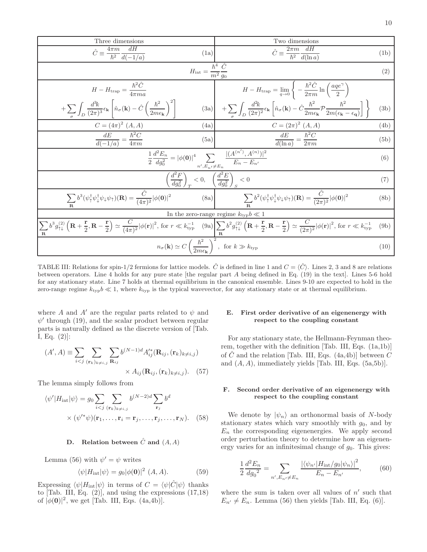| Three dimensions                                                                                                                                                                                                                                                                                                                                                                                                             | Two dimensions                                                                                                                                                                                                                                                                             |      |  |
|------------------------------------------------------------------------------------------------------------------------------------------------------------------------------------------------------------------------------------------------------------------------------------------------------------------------------------------------------------------------------------------------------------------------------|--------------------------------------------------------------------------------------------------------------------------------------------------------------------------------------------------------------------------------------------------------------------------------------------|------|--|
| $\hat{C} \equiv \frac{4\pi m}{\hbar^2} \frac{dH}{d(-1/a)}$<br>(1a)                                                                                                                                                                                                                                                                                                                                                           | $\hat{C} \equiv \frac{2\pi m}{\hbar^2} \frac{dH}{d(\ln a)}$                                                                                                                                                                                                                                | (1b) |  |
| $H_{\rm int} = \frac{\hbar^4}{m^2} \frac{\hat{C}}{g_0}$<br>(2)                                                                                                                                                                                                                                                                                                                                                               |                                                                                                                                                                                                                                                                                            |      |  |
| $H-H_{\text{trap}}=\frac{\hbar^2\hat{C}}{4\pi ma}$                                                                                                                                                                                                                                                                                                                                                                           | $H - H_{\text{trap}} = \lim_{q \to 0} \left\{ -\frac{\hbar^2 \hat{C}}{2\pi m} \ln \left( \frac{age^{\gamma}}{2} \right) \right\}$                                                                                                                                                          |      |  |
| $+\sum_{\sigma}\int_D \frac{d^3k}{(2\pi)^3} \epsilon_{\mathbf{k}}\left \hat{n}_{\sigma}(\mathbf{k})-\hat{C}\left(\frac{\hbar^2}{2m\epsilon_{\mathbf{k}}}\right)^2\right $                                                                                                                                                                                                                                                    | $(3a) \left  \begin{array}{cc} + \sum \int_{D} \frac{d^2 k}{(2 \pi)^2} \epsilon_{\bf k} \left[ \hat{n}_{\sigma}({\bf k}) - \hat{C} \frac{\hbar^2}{2 m \epsilon_{\bf k}} {\mathcal P} \frac{\hbar^2}{2 m (\epsilon_{\bf k} - \epsilon_{\bf q})} \right] \end{array} \right\} \label{eq:3a}$ | (3b) |  |
| $C = (4\pi)^2 (A, A)$<br>(4a)                                                                                                                                                                                                                                                                                                                                                                                                | $C = (2\pi)^2$ $(A, A)$                                                                                                                                                                                                                                                                    | (4b) |  |
| $\frac{dE}{d(-1/a)} = \frac{\hbar^2 C}{4\pi m}$<br>(5a)                                                                                                                                                                                                                                                                                                                                                                      | $\frac{dE}{d(\ln a)} = \frac{\hbar^2 C}{2\pi m}$                                                                                                                                                                                                                                           | (5b) |  |
| $\frac{1}{2}\frac{d^2E_n}{dg_0^2}= \phi(\mathbf{0}) ^4\sum_{n',E_{n'}\neq E_n}\frac{ (A^{(n')},A^{(n)}) ^2}{E_n-E_{n'}}$<br>(6)                                                                                                                                                                                                                                                                                              |                                                                                                                                                                                                                                                                                            |      |  |
| $\left(\frac{d^2F}{dg_0^2}\right)_T < 0, \quad \left(\frac{d^2E}{dg_0^2}\right)_S < 0$                                                                                                                                                                                                                                                                                                                                       |                                                                                                                                                                                                                                                                                            | (7)  |  |
| $\sum_{\mathbf{R}} b^3(\psi_{\uparrow}^{\dagger}\psi_{\downarrow}^{\dagger}\psi_{\downarrow}\psi_{\uparrow})(\mathbf{R}) = \frac{\hat{C}}{(4\pi)^2}  \phi(\mathbf{0}) ^2$                                                                                                                                                                                                                                                    | (8a) $\sum b^2(\psi_1^{\dagger}\psi_1^{\dagger}\psi_1\psi_1)(\mathbf{R}) = \frac{\hat{C}}{(2\pi)^2}  \phi(\mathbf{0}) ^2$                                                                                                                                                                  | (8b) |  |
| In the zero-range regime $k_{\text{typ}}b \ll 1$                                                                                                                                                                                                                                                                                                                                                                             |                                                                                                                                                                                                                                                                                            |      |  |
| $\sum b^3 g_{\uparrow\downarrow}^{(2)} \left( \mathbf{R} + \frac{\mathbf{r}}{2}, \mathbf{R} - \frac{\mathbf{r}}{2} \right) \simeq \frac{C}{(4\pi)^2}  \phi(\mathbf{r}) ^2$ , for $r \ll k_{\text{typ}}^{-1}$ (9a) $\sum b^2 g_{\uparrow\downarrow}^{(2)} \left( \mathbf{R} + \frac{\mathbf{r}}{2}, \mathbf{R} - \frac{\mathbf{r}}{2} \right) \simeq \frac{C}{(2\pi)^2}  \phi(\mathbf{r}) ^2$ , for $r \ll k_{\text{typ}}^{-$ |                                                                                                                                                                                                                                                                                            |      |  |
| $n_{\sigma}(\mathbf{k}) \simeq C \left(\frac{\hbar^2}{2m\epsilon_{\mathbf{k}}}\right)^2$ , for $k \gg k_{\text{typ}}$                                                                                                                                                                                                                                                                                                        |                                                                                                                                                                                                                                                                                            | (10) |  |

TABLE III: Relations for spin-1/2 fermions for lattice models.  $\hat{C}$  is defined in line 1 and  $C = \langle \hat{C} \rangle$ . Lines 2, 3 and 8 are relations between operators. Line 4 holds for any pure state [the regular part A being defined in Eq. (19) in the text]. Lines 5-6 hold for any stationary state. Line 7 holds at thermal equilibrium in the canonical ensemble. Lines 9-10 are expected to hold in the zero-range regime  $k_{\text{typ}}b \ll 1$ , where  $k_{\text{typ}}$  is the typical wavevector, for any stationary state or at thermal equilibrium.

where A and A' are the regular parts related to  $\psi$  and  $\psi'$  through (19), and the scalar product between regular parts is naturally defined as the discrete version of [Tab. I, Eq. (2)]:

$$
(A', A) \equiv \sum_{i < j} \sum_{(\mathbf{r}_k)_{k \neq i,j}} \sum_{\mathbf{R}_{ij}} b^{(N-1)d} A'^*_{ij}(\mathbf{R}_{ij}, (\mathbf{r}_k)_{k \neq i,j}) \times A_{ij}(\mathbf{R}_{ij}, (\mathbf{r}_k)_{k \neq i,j}). \tag{57}
$$

The lemma simply follows from

$$
\langle \psi' | H_{\text{int}} | \psi \rangle = g_0 \sum_{i < j} \sum_{(\mathbf{r}_k)_{k \neq i, j}} b^{(N-2)d} \sum_{\mathbf{r}_j} b^d
$$
\n
$$
\times (\psi'^* \psi)(\mathbf{r}_1, \dots, \mathbf{r}_i = \mathbf{r}_j, \dots, \mathbf{r}_j, \dots, \mathbf{r}_N). \tag{58}
$$

# D. Relation between  $\hat{C}$  and  $(A, A)$

Lemma (56) with  $\psi' = \psi$  writes

$$
\langle \psi | H_{\text{int}} | \psi \rangle = g_0 | \phi(\mathbf{0}) |^2 \ (A, A). \tag{59}
$$

Expressing  $\langle \psi | H_{int} | \psi \rangle$  in terms of  $C = \langle \psi | \hat{C} | \psi \rangle$  thanks to [Tab. III, Eq.  $(2)$ ], and using the expressions  $(17,18)$ of  $|\phi(\mathbf{0})|^2$ , we get [Tab. III, Eqs. (4a,4b)].

# E. First order derivative of an eigenenergy with respect to the coupling constant

For any stationary state, the Hellmann-Feynman theorem, together with the definition [Tab. III, Eqs. (1a,1b)] of  $\hat{C}$  and the relation [Tab. III, Eqs. (4a,4b)] between  $C$ and  $(A, A)$ , immediately yields [Tab. III, Eqs.  $(5a, 5b)$ ].

# F. Second order derivative of an eigenenergy with respect to the coupling constant

We denote by  $|\psi_n\rangle$  an orthonormal basis of N-body stationary states which vary smoothly with  $g_0$ , and by  $E_n$  the corresponding eigenenergies. We apply second order perturbation theory to determine how an eigenenergy varies for an infinitesimal change of  $g_0$ . This gives:

$$
\frac{1}{2}\frac{d^2E_n}{dg_0^2} = \sum_{n',E_{n'}\neq E_n} \frac{|\langle \psi_{n'}|H_{\text{int}}/g_0|\psi_n\rangle|^2}{E_n - E_{n'}},\tag{60}
$$

where the sum is taken over all values of  $n'$  such that  $E_{n'} \neq E_n$ . Lemma (56) then yields [Tab. III, Eq. (6)].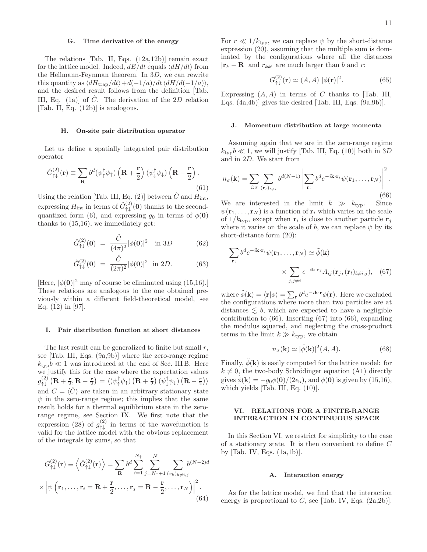# G. Time derivative of the energy

The relations [Tab. II, Eqs. (12a,12b)] remain exact for the lattice model. Indeed,  $dE/dt$  equals  $\langle dH/dt \rangle$  from the Hellmann-Feynman theorem. In 3D, we can rewrite this quantity as  $\langle dH_{\text{trap}}/dt \rangle+d(-1/a)/dt \langle dH/d(-1/a)\rangle$ , and the desired result follows from the definition [Tab. III, Eq. (1a)] of  $\hat{C}$ . The derivation of the 2D relation [Tab. II, Eq. (12b)] is analogous.

# H. On-site pair distribution operator

Let us define a spatially integrated pair distribution operator

$$
\hat{G}_{\uparrow\downarrow}^{(2)}(\mathbf{r}) \equiv \sum_{\mathbf{R}} b^d (\psi_{\uparrow}^{\dagger} \psi_{\uparrow}) \left( \mathbf{R} + \frac{\mathbf{r}}{2} \right) (\psi_{\downarrow}^{\dagger} \psi_{\downarrow}) \left( \mathbf{R} - \frac{\mathbf{r}}{2} \right). \tag{61}
$$

Using the relation [Tab. III, Eq. (2)] between  $\ddot{C}$  and  $H_{\text{int}}$ , expressing  $H_{\text{int}}$  in terms of  $\hat{G}^{(2)}_{\uparrow\downarrow}(\mathbf{0})$  thanks to the secondquantized form (6), and expressing  $g_0$  in terms of  $\phi(0)$ thanks to (15,16), we immediately get:

$$
\hat{G}_{\uparrow\downarrow}^{(2)}(0) = \frac{\hat{C}}{(4\pi)^2} |\phi(0)|^2 \quad \text{in } 3D \tag{62}
$$

$$
\hat{G}_{\uparrow\downarrow}^{(2)}(0) = \frac{\hat{C}}{(2\pi)^2} |\phi(0)|^2 \text{ in } 2D. \tag{63}
$$

[Here,  $|\phi(\mathbf{0})|^2$  may of course be eliminated using (15,16).] These relations are analogous to the one obtained previously within a different field-theoretical model, see Eq. (12) in [97].

# I. Pair distribution function at short distances

The last result can be generalized to finite but small  $r$ , see [Tab. III, Eqs. (9a,9b)] where the zero-range regime  $k_{\text{tvp}}b \ll 1$  was introduced at the end of Sec. III B. Here we justify this for the case where the expectation values  $g^{(2)}_{\uparrow\downarrow}\left(\mathbf{R}+\frac{\mathbf{r}}{2},\mathbf{R}-\frac{\mathbf{r}}{2}\right)=\langle\left(\psi^{\dagger}_{\uparrow}\psi_{\uparrow}\right)\left(\mathbf{R}+\frac{\mathbf{r}}{2}\right)\left(\psi^{\dagger}_{\downarrow}\psi_{\downarrow}\right)\left(\mathbf{R}-\frac{\mathbf{r}}{2}\right)\rangle$ and  $C = \langle \hat{C} \rangle$  are taken in an arbitrary stationary state  $\psi$  in the zero-range regime; this implies that the same result holds for a thermal equilibrium state in the zerorange regime, see Section IX. We first note that the expression (28) of  $g_{\uparrow\downarrow}^{(2)}$  in terms of the wavefunction is valid for the lattice model with the obvious replacement of the integrals by sums, so that

$$
G_{\uparrow\downarrow}^{(2)}(\mathbf{r}) \equiv \left\langle \hat{G}_{\uparrow\downarrow}^{(2)}(\mathbf{r}) \right\rangle = \sum_{\mathbf{R}} b^d \sum_{i=1}^{N_{\uparrow}} \sum_{j=N_{\uparrow}+1} \sum_{(\mathbf{r}_k)_{k \neq i,j}} b^{(N-2)d}
$$

$$
\times \left| \psi\left(\mathbf{r}_1, \ldots, \mathbf{r}_i = \mathbf{R} + \frac{\mathbf{r}}{2}, \ldots, \mathbf{r}_j = \mathbf{R} - \frac{\mathbf{r}}{2}, \ldots, \mathbf{r}_N \right) \right|^2.
$$
(64)

For  $r \ll 1/k_{\text{typ}}$ , we can replace  $\psi$  by the short-distance expression (20), assuming that the multiple sum is dominated by the configurations where all the distances  $|\mathbf{r}_k - \mathbf{R}|$  and  $r_{kk'}$  are much larger than b and r:

$$
G_{\uparrow\downarrow}^{(2)}(\mathbf{r}) \simeq (A, A) \; |\phi(\mathbf{r})|^2. \tag{65}
$$

Expressing  $(A, A)$  in terms of C thanks to [Tab. III, Eqs. (4a,4b)] gives the desired [Tab. III, Eqs. (9a,9b)].

# J. Momentum distribution at large momenta

Assuming again that we are in the zero-range regime  $k_{\text{typ}}b \ll 1$ , we will justify [Tab. III, Eq. (10)] both in 3D and in 2D. We start from

$$
n_{\sigma}(\mathbf{k}) = \sum_{i:\sigma} \sum_{(\mathbf{r}_l)_{l\neq i}} b^{d(N-1)} \left| \sum_{\mathbf{r}_i} b^d e^{-i\mathbf{k}\cdot\mathbf{r}_i} \psi(\mathbf{r}_1,\ldots,\mathbf{r}_N) \right|^2.
$$
\n(66)

We are interested in the limit  $k \gg k_{\text{typ}}$ . Since  $\psi(\mathbf{r}_1,\ldots,\mathbf{r}_N)$  is a function of  $\mathbf{r}_i$  which varies on the scale of  $1/k_{\text{typ}}$ , except when  $\mathbf{r}_i$  is close to another particle  $\mathbf{r}_j$ where it varies on the scale of b, we can replace  $\psi$  by its short-distance form (20):

$$
\sum_{\mathbf{r}_i} b^d e^{-i\mathbf{k}\cdot\mathbf{r}_i} \psi(\mathbf{r}_1,\dots,\mathbf{r}_N) \simeq \tilde{\phi}(\mathbf{k})
$$

$$
\times \sum_{j,j\neq i} e^{-i\mathbf{k}\cdot\mathbf{r}_j} A_{ij}(\mathbf{r}_j,(\mathbf{r}_l)_{l\neq i,j}), \quad (67)
$$

where  $\tilde{\phi}(\mathbf{k}) = \langle \mathbf{r} | \phi \rangle = \sum_{\mathbf{r}} b^d e^{-i\mathbf{k} \cdot \mathbf{r}} \phi(\mathbf{r})$ . Here we excluded the configurations where more than two particles are at distances  $\leq b$ , which are expected to have a negligible contribution to (66). Inserting (67) into (66), expanding the modulus squared, and neglecting the cross-product terms in the limit  $k \gg k_{\text{typ}}$ , we obtain

$$
n_{\sigma}(\mathbf{k}) \simeq |\tilde{\phi}(\mathbf{k})|^2 (A, A). \tag{68}
$$

Finally,  $\phi(\mathbf{k})$  is easily computed for the lattice model: for  $k \neq 0$ , the two-body Schrödinger equation (A1) directly gives  $\tilde{\phi}(\mathbf{k}) = -g_0\phi(\mathbf{0})/(2\epsilon_{\mathbf{k}})$ , and  $\phi(\mathbf{0})$  is given by (15,16), which yields [Tab. III, Eq. (10)].

# VI. RELATIONS FOR A FINITE-RANGE INTERACTION IN CONTINUOUS SPACE

In this Section VI, we restrict for simplicity to the case of a stationary state. It is then convenient to define C by [Tab. IV, Eqs. (1a,1b)].

# A. Interaction energy

As for the lattice model, we find that the interaction energy is proportional to  $C$ , see [Tab. IV, Eqs.  $(2a, 2b)$ ].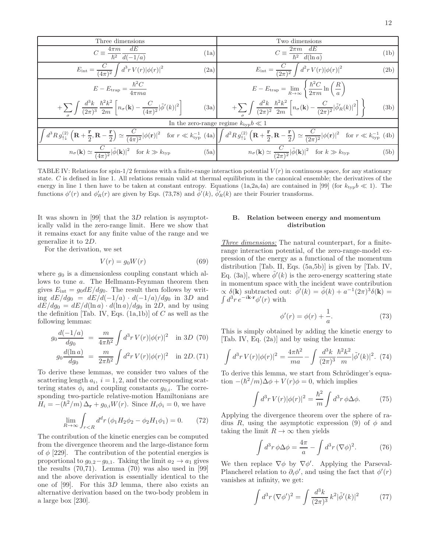| Three dimensions                                                                                                                                              | Two dimensions                                                                                                                                                                                                                                                                                                                                                                                                                                          |  |  |
|---------------------------------------------------------------------------------------------------------------------------------------------------------------|---------------------------------------------------------------------------------------------------------------------------------------------------------------------------------------------------------------------------------------------------------------------------------------------------------------------------------------------------------------------------------------------------------------------------------------------------------|--|--|
| $C \equiv \frac{4\pi m}{\hbar^2} \frac{dE}{d(-1/a)}$<br>(1a)                                                                                                  | $C \equiv \frac{2\pi m}{\hbar^2} \frac{dE}{d(\ln a)}$<br>(1b)                                                                                                                                                                                                                                                                                                                                                                                           |  |  |
| $E_{\rm int} = \frac{C}{(4\pi)^2} \int d^3r \, V(r)  \overline{\phi(r)} ^2$<br>(2a)                                                                           | $E_{\rm int} = \frac{C}{(2\pi)^2} \int d^2 r \, V(r)  \phi(r) ^2$<br>(2b)                                                                                                                                                                                                                                                                                                                                                                               |  |  |
| $E - E_{\text{trap}} = \frac{\hbar^2 C}{4\pi m a}$                                                                                                            | $E - E_{\text{trap}} = \lim_{R \to \infty} \left\{ \frac{\hbar^2 C}{2 \pi m} \ln \left( \frac{R}{a} \right) \right\}$                                                                                                                                                                                                                                                                                                                                   |  |  |
| $+ \sum_{\bf -}\int\frac{d^3k}{(2\pi)^3}\,\frac{\hbar^2k^2}{2m}\left[n_{\sigma}({\bf k}) - \frac{C}{(4\pi)^2} \tilde{\phi}'(k) ^2\right] \nonumber\\$<br>(3a) | $+\sum \int \frac{d^2k}{(2\pi)^2} \, \frac{\hbar^2 k^2}{2m} \left[ n_\sigma({\bf k}) - \frac{C}{(2\pi)^2}  \tilde{\phi}'_R(k) ^2 \right] \, \Bigg\}$<br>(3b)                                                                                                                                                                                                                                                                                            |  |  |
| In the zero-range regime $k_{\text{typ}}b \ll 1$                                                                                                              |                                                                                                                                                                                                                                                                                                                                                                                                                                                         |  |  |
|                                                                                                                                                               | $\int d^3R \, g_{\uparrow\downarrow}^{(2)} \left( \mathbf{R} + \frac{\mathbf{r}}{2}, \mathbf{R} - \frac{\mathbf{r}}{2} \right) \simeq \frac{C}{(4\pi)^2}  \phi(\mathbf{r}) ^2 \quad \text{for } r \ll k_{\text{typ}}^{-1} \text{ (4a)} \left  \int d^2R \, g_{\uparrow\downarrow}^{(2)} \left( \mathbf{R} + \frac{\mathbf{r}}{2}, \mathbf{R} - \frac{\mathbf{r}}{2} \right) \simeq \frac{C}{(2\pi)^2}  \phi(\mathbf{r}) ^2 \quad \text{for } r \ll k_{$ |  |  |
| $n_{\sigma}(\mathbf{k}) \simeq \frac{C}{(4\pi)^2}  \tilde{\phi}(\mathbf{k}) ^2 \text{ for } k \gg k_{\text{typ}}$                                             | (5a) $n_{\sigma}(\mathbf{k}) \simeq \frac{C}{(2\pi)^2}  \tilde{\phi}(\mathbf{k}) ^2$ for $k \gg k_{\text{typ}}$<br>(5b)                                                                                                                                                                                                                                                                                                                                 |  |  |

TABLE IV: Relations for spin-1/2 fermions with a finite-range interaction potential  $V(r)$  in continuous space, for any stationary state. C is defined in line 1. All relations remain valid at thermal equilibrium in the canonical ensemble; the derivatives of the energy in line 1 then have to be taken at constant entropy. Equations (1a,2a,4a) are contained in [99] (for  $k_{\text{typ}}b \ll 1$ ). The functions  $\phi'(r)$  and  $\phi'_R(r)$  are given by Eqs. (73,78) and  $\tilde{\phi}'(k)$ ,  $\tilde{\phi}'_R(k)$  are their Fourier transforms.

It was shown in [99] that the 3D relation is asymptotically valid in the zero-range limit. Here we show that it remains exact for any finite value of the range and we generalize it to 2D.

For the derivation, we set

$$
V(r) = g_0 W(r) \tag{69}
$$

where  $g_0$  is a dimensionless coupling constant which allows to tune a. The Hellmann-Feynman theorem then gives  $E_{\text{int}} = g_0 dE/dg_0$ . The result then follows by writing  $dE/dg_0 = dE/d(-1/a) \cdot d(-1/a)/d g_0$  in 3D and  $dE/dg_0 = dE/d(\ln a) \cdot d(\ln a)/dg_0$  in 2D, and by using the definition [Tab. IV, Eqs.  $(1a,1b)$ ] of C as well as the following lemmas:

$$
g_0 \frac{d(-1/a)}{dg_0} = \frac{m}{4\pi\hbar^2} \int d^3r \, V(r) |\phi(r)|^2 \quad \text{in } 3D \tag{70}
$$

$$
g_0 \frac{d(\ln a)}{dg_0} = \frac{m}{2\pi\hbar^2} \int d^2r \, V(r) |\phi(r)|^2 \quad \text{in } 2D. (71)
$$

To derive these lemmas, we consider two values of the scattering length  $a_i$ ,  $i = 1, 2$ , and the corresponding scattering states  $\phi_i$  and coupling constants  $g_{0,i}$ . The corresponding two-particle relative-motion Hamiltonians are  $H_i = -(\hbar^2/m)\Delta_{\bf r} + g_{0,i}W(r)$ . Since  $H_i\phi_i = 0$ , we have

$$
\lim_{R \to \infty} \int_{r < R} d^d r \left( \phi_1 H_2 \phi_2 - \phi_2 H_1 \phi_1 \right) = 0. \tag{72}
$$

The contribution of the kinetic energies can be computed from the divergence theorem and the large-distance form of  $\phi$  [229]. The contribution of the potential energies is proportional to  $g_{0,2}-g_{0,1}$ . Taking the limit  $a_2 \rightarrow a_1$  gives the results (70,71). Lemma (70) was also used in [99] and the above derivation is essentially identical to the one of [99]. For this 3D lemma, there also exists an alternative derivation based on the two-body problem in a large box [230].

# B. Relation between energy and momentum distribution

Three dimensions: The natural counterpart, for a finiterange interaction potential, of the zero-range-model expression of the energy as a functional of the momentum distribution [Tab. II, Eqs. (5a,5b)] is given by [Tab. IV, Eq. (3a)], where  $\tilde{\phi}'(k)$  is the zero-energy scattering state in momentum space with the incident wave contribution  $\propto \delta(\mathbf{k})$  subtracted out:  $\tilde{\phi}'(k) = \tilde{\phi}(k) + a^{-1}(2\pi)^3 \delta(\mathbf{k}) =$  $\int d^3r e^{-i\mathbf{k}\cdot\mathbf{r}}\phi'(r)$  with

$$
\phi'(r) = \phi(r) + \frac{1}{a}.\tag{73}
$$

This is simply obtained by adding the kinetic energy to [Tab. IV, Eq. (2a)] and by using the lemma:

$$
\int d^3r \, V(r) |\phi(r)|^2 = \frac{4\pi\hbar^2}{ma} - \int \frac{d^3k}{(2\pi)^3} \frac{\hbar^2 k^2}{m} |\tilde{\phi}'(k)|^2. \tag{74}
$$

To derive this lemma, we start from Schrödinger's equation  $-(\hbar^2/m)\Delta\phi + V(r)\phi = 0$ , which implies

$$
\int d^3r \, V(r) |\phi(r)|^2 = \frac{\hbar^2}{m} \int d^3r \, \phi \Delta \phi. \tag{75}
$$

Applying the divergence theorem over the sphere of radius R, using the asymptotic expression (9) of  $\phi$  and taking the limit  $R \to \infty$  then yields

$$
\int d^3r \,\phi \Delta \phi = \frac{4\pi}{a} - \int d^3r \, (\nabla \phi)^2. \tag{76}
$$

We then replace  $\nabla \phi$  by  $\nabla \phi'$ . Applying the Parseval-Plancherel relation to  $\partial_i \phi'$ , and using the fact that  $\phi'(r)$ vanishes at infinity, we get:

$$
\int d^3r \, (\nabla \phi')^2 = \int \frac{d^3k}{(2\pi)^3} \, k^2 |\tilde{\phi}'(k)|^2 \tag{77}
$$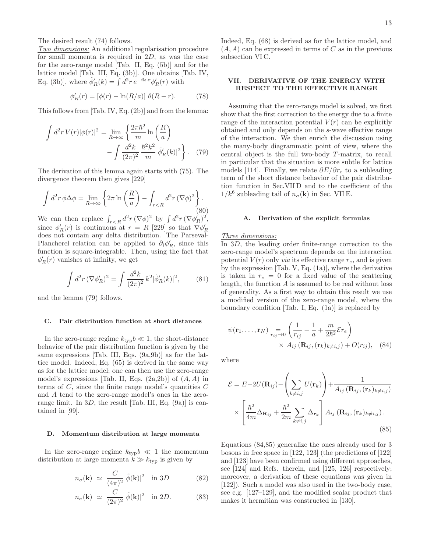The desired result (74) follows.

Two dimensions: An additional regularisation procedure for small momenta is required in 2D, as was the case for the zero-range model [Tab. II, Eq. (5b)] and for the lattice model [Tab. III, Eq. (3b)]. One obtains [Tab. IV, Eq. (3b)], where  $\tilde{\phi}'_R(k) = \int d^2r \, e^{-i\mathbf{k} \cdot \mathbf{r}} \phi'_R(r)$  with

$$
\phi'_R(r) = [\phi(r) - \ln(R/a)] \ \theta(R - r). \tag{78}
$$

This follows from [Tab. IV, Eq. (2b)] and from the lemma:

$$
\int d^2r \, V(r) |\phi(r)|^2 = \lim_{R \to \infty} \left\{ \frac{2\pi \hbar^2}{m} \ln\left(\frac{R}{a}\right) - \int \frac{d^2k}{(2\pi)^2} \frac{\hbar^2 k^2}{m} |\tilde{\phi}'_R(k)|^2 \right\}.
$$
 (79)

The derivation of this lemma again starts with (75). The divergence theorem then gives [229]

$$
\int d^2r \, \phi \Delta \phi = \lim_{R \to \infty} \left\{ 2\pi \ln \left( \frac{R}{a} \right) - \int_{r < R} d^2r \, (\nabla \phi)^2 \right\}.
$$
\n(80)

We can then replace  $\int_{r < R} d^2 r \, (\nabla \phi)^2$  by  $\int d^2 r \, (\nabla \phi'_R)^2$ , since  $\phi'_R(r)$  is continuous at  $r = R$  [229] so that  $\nabla \phi'_R$ does not contain any delta distribution. The Parseval-Plancherel relation can be applied to  $\partial_i \phi'_R$ , since this function is square-integrable. Then, using the fact that  $\phi'_{R}(r)$  vanishes at infinity, we get

$$
\int d^2r \, (\nabla \phi'_R)^2 = \int \frac{d^2k}{(2\pi)^2} \, k^2 |\tilde{\phi}'_R(k)|^2,\tag{81}
$$

and the lemma (79) follows.

## C. Pair distribution function at short distances

In the zero-range regime  $k_{\text{typ}}b \ll 1$ , the short-distance behavior of the pair distribution function is given by the same expressions [Tab. III, Eqs. (9a,9b)] as for the lattice model. Indeed, Eq. (65) is derived in the same way as for the lattice model; one can then use the zero-range model's expressions [Tab. II, Eqs.  $(2a,2b)$ ] of  $(A, A)$  in terms of  $C$ , since the finite range model's quantities  $C$ and A tend to the zero-range model's ones in the zerorange limit. In  $3D$ , the result [Tab. III, Eq. (9a)] is contained in [99].

# D. Momentum distribution at large momenta

In the zero-range regime  $k_{\text{typ}}b \ll 1$  the momentum distribution at large momenta  $k \gg k_{\text{typ}}$  is given by

$$
n_{\sigma}(\mathbf{k}) \simeq \frac{C}{(4\pi)^2} |\tilde{\phi}(\mathbf{k})|^2 \quad \text{in } 3D \tag{82}
$$

$$
n_{\sigma}(\mathbf{k}) \simeq \frac{C}{(2\pi)^2} |\tilde{\phi}(\mathbf{k})|^2 \quad \text{in } 2D. \tag{83}
$$

Indeed, Eq. (68) is derived as for the lattice model, and  $(A, A)$  can be expressed in terms of C as in the previous subsection VI C.

# VII. DERIVATIVE OF THE ENERGY WITH RESPECT TO THE EFFECTIVE RANGE

Assuming that the zero-range model is solved, we first show that the first correction to the energy due to a finite range of the interaction potential  $V(r)$  can be explicitly obtained and only depends on the s-wave effective range of the interaction. We then enrich the discussion using the many-body diagrammatic point of view, where the central object is the full two-body  $T$ -matrix, to recall in particular that the situation is more subtle for lattice models [114]. Finally, we relate  $\partial E/\partial r_e$  to a subleading term of the short distance behavior of the pair distribution function in Sec.VII D and to the coefficient of the  $1/k^6$  subleading tail of  $n_{\sigma}(\mathbf{k})$  in Sec. VII E.

# A. Derivation of the explicit formulas

# Three dimensions:

In 3D, the leading order finite-range correction to the zero-range model's spectrum depends on the interaction potential  $V(r)$  only *via* its effective range  $r_e$ , and is given by the expression [Tab. V, Eq. (1a)], where the derivative is taken in  $r_e = 0$  for a fixed value of the scattering length, the function A is assumed to be real without loss of generality. As a first way to obtain this result we use a modified version of the zero-range model, where the boundary condition [Tab. I, Eq. (1a)] is replaced by

$$
\psi(\mathbf{r}_1, \dots, \mathbf{r}_N) = \n\begin{pmatrix}\n\frac{1}{r_{ij}} - \frac{1}{a} + \frac{m}{2\hbar^2} \mathcal{E} r_e\n\end{pmatrix}\n\times A_{ij} (\mathbf{R}_{ij}, (\mathbf{r}_k)_{k \neq i,j}) + O(r_{ij}), \quad (84)
$$

where

$$
\mathcal{E} = E - 2U(\mathbf{R}_{ij}) - \left(\sum_{k \neq i,j} U(\mathbf{r}_k)\right) + \frac{1}{A_{ij}(\mathbf{R}_{ij}, (\mathbf{r}_k)_{k \neq i,j})}
$$

$$
\times \left[\frac{\hbar^2}{4m} \Delta_{\mathbf{R}_{ij}} + \frac{\hbar^2}{2m} \sum_{k \neq i,j} \Delta_{\mathbf{r}_k}\right] A_{ij}(\mathbf{R}_{ij}, (\mathbf{r}_k)_{k \neq i,j}).
$$
(85)

Equations (84,85) generalize the ones already used for 3 bosons in free space in [122, 123] (the predictions of [122] and [123] have been confirmed using different approaches, see [124] and Refs. therein, and [125, 126] respectively; moreover, a derivation of these equations was given in [122]). Such a model was also used in the two-body case, see e.g. [127–129], and the modified scalar product that makes it hermitian was constructed in [130].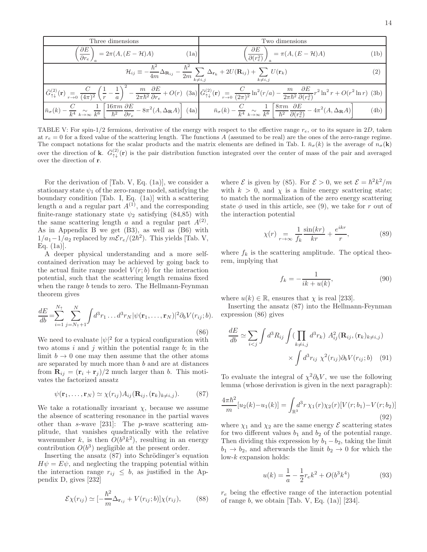Three dimensions Two dimensions  
\n
$$
\left(\frac{\partial E}{\partial r_e}\right)_a = 2\pi (A, (E - \mathcal{H})A)
$$
\n(1a)  
\n
$$
\mathcal{H}_{ij} \equiv -\frac{\hbar^2}{4m} \Delta_{\mathbf{R}_{ij}} - \frac{\hbar^2}{2m} \sum_{k \neq i,j} \Delta_{\mathbf{r}_k} + 2U(\mathbf{R}_{ij}) + \sum_{k \neq i,j} U(\mathbf{r}_k)
$$
\n(2)  
\n
$$
\overline{G}_{\uparrow\downarrow}^{(2)}(\mathbf{r}) = \frac{C}{(4\pi)^2} \left(\frac{1}{r} - \frac{1}{a}\right)^2 - \frac{m}{2\pi\hbar^2} \frac{\partial E}{\partial r_e} + O(r)
$$
\n(3a)  
\n
$$
\overline{G}_{\uparrow\downarrow}^{(2)}(\mathbf{r}) = \frac{C}{(2\pi)^2} \ln^2(r/a) - \frac{m}{2\pi\hbar^2} \frac{\partial E}{\partial (r_e^2)} r^2 \ln^2 r + O(r^2 \ln r)
$$
\n(3b)  
\n
$$
\overline{n}_{\sigma}(k) - \frac{C}{k^4} \sum_{k \to \infty} \frac{1}{k^6} \left[\frac{16\pi m}{\hbar^2} \frac{\partial E}{\partial r_e} - 8\pi^2 (A, \Delta_{\mathbf{R}} A)\right]
$$
\n(4a)  
\n
$$
\overline{n}_{\sigma}(k) - \frac{C}{k^4} \sum_{k \to \infty} \frac{1}{k^6} \left[\frac{16\pi m}{\hbar^2} \frac{\partial E}{\partial r_e} - 8\pi^2 (A, \Delta_{\mathbf{R}} A)\right]
$$
\n(4b)

TABLE V: For spin-1/2 fermions, derivative of the energy with respect to the effective range  $r_e$ , or to its square in 2D, taken at  $r_e = 0$  for a fixed value of the scattering length. The functions A (assumed to be real) are the ones of the zero-range regime. The compact notations for the scalar products and the matrix elements are defined in Tab. I.  $\bar{n}_{\sigma}(k)$  is the average of  $n_{\sigma}(\mathbf{k})$ over the direction of k.  $\bar{G}^{(2)}_{\uparrow\downarrow}(\mathbf{r})$  is the pair distribution function integrated over the center of mass of the pair and averaged over the direction of r.

For the derivation of [Tab. V, Eq. (1a)], we consider a stationary state  $\psi_1$  of the zero-range model, satisfying the boundary condition [Tab. I, Eq. (1a)] with a scattering length a and a regular part  $A^{(1)}$ , and the corresponding finite-range stationary state  $\psi_2$  satisfying (84,85) with the same scattering length a and a regular part  $A^{(2)}$ . As in Appendix B we get (B3), as well as (B6) with  $1/a_1 - 1/a_2$  replaced by  $m\mathcal{E}r_e/(2\hbar^2)$ . This yields [Tab. V, Eq. (1a)].

A deeper physical understanding and a more selfcontained derivation may be achieved by going back to the actual finite range model  $V(r; b)$  for the interaction potential, such that the scattering length remains fixed when the range b tends to zero. The Hellmann-Feynman theorem gives

$$
\frac{dE}{db} = \sum_{i=1}^{N_{\uparrow}} \sum_{j=N_{\uparrow}+1}^{N} \int d^3 r_1 \dots d^3 r_N |\psi(\mathbf{r}_1, \dots, \mathbf{r}_N)|^2 \partial_b V(r_{ij}; b).
$$
\n(86)

We need to evaluate  $|\psi|^2$  for a typical configuration with two atoms  $i$  and  $j$  within the potential range  $b$ ; in the limit  $b \to 0$  one may then assume that the other atoms are separated by much more than b and are at distances from  $\mathbf{R}_{ij} = (\mathbf{r}_i + \mathbf{r}_j)/2$  much larger than b. This motivates the factorized ansatz

$$
\psi(\mathbf{r}_1,\ldots,\mathbf{r}_N) \simeq \chi(r_{ij}) A_{ij}(\mathbf{R}_{ij},(\mathbf{r}_k)_{k \neq i,j}). \tag{87}
$$

We take a rotationally invariant  $\chi$ , because we assume the absence of scattering resonance in the partial waves other than s-wave [231]: The p-wave scattering amplitude, that vanishes quadratically with the relative wavenumber k, is then  $O(b^3k^2)$ , resulting in an energy contribution  $O(b^3)$  negligible at the present order.

Inserting the ansatz  $(87)$  into Schrödinger's equation  $H\psi = E\psi$ , and neglecting the trapping potential within the interaction range  $r_{ij} \leq b$ , as justified in the Appendix D, gives [232]

$$
\mathcal{E}\chi(r_{ij}) \simeq [-\frac{\hbar^2}{m}\Delta_{\mathbf{r}_{ij}} + V(r_{ij};b)]\chi(r_{ij}),\qquad(88)
$$

where  $\mathcal E$  is given by (85). For  $\mathcal E > 0$ , we set  $\mathcal E = \hbar^2 k^2/m$ with  $k > 0$ , and  $\chi$  is a finite energy scattering state; to match the normalization of the zero energy scattering state  $\phi$  used in this article, see (9), we take for r out of the interaction potential

$$
\chi(r) = \frac{1}{r + \infty} \frac{\sin(kr)}{f_k} + \frac{e^{ikr}}{r},\tag{89}
$$

where  $f_k$  is the scattering amplitude. The optical theorem, implying that

$$
f_k = -\frac{1}{ik + u(k)},\tag{90}
$$

where  $u(k) \in \mathbb{R}$ , ensures that  $\chi$  is real [233].

Inserting the ansatz (87) into the Hellmann-Feynman expression (86) gives

$$
\frac{dE}{db} \simeq \sum_{i < j} \int d^3 R_{ij} \int \left( \prod_{k \neq i,j} d^3 r_k \right) A_{ij}^2(\mathbf{R}_{ij}, (\mathbf{r}_k)_{k \neq i,j}) \times \int d^3 r_{ij} \ \chi^2(r_{ij}) \partial_b V(r_{ij}; b) \tag{91}
$$

To evaluate the integral of  $\chi^2 \partial_b V$ , we use the following lemma (whose derivation is given in the next paragraph):

$$
\frac{4\pi\hbar^2}{m}[u_2(k) - u_1(k)] = \int_{\mathbb{R}^3} d^3r \,\chi_1(r)\chi_2(r)[V(r; b_1) - V(r; b_2)]\tag{92}
$$

where  $\chi_1$  and  $\chi_2$  are the same energy  $\mathcal E$  scattering states for two different values  $b_1$  and  $b_2$  of the potential range. Then dividing this expression by  $b_1 - b_2$ , taking the limit  $b_1 \rightarrow b_2$ , and afterwards the limit  $b_2 \rightarrow 0$  for which the low-k expansion holds:

$$
u(k) = \frac{1}{a} - \frac{1}{2}r_e k^2 + O(b^3 k^4)
$$
 (93)

 $r_e$  being the effective range of the interaction potential of range  $b$ , we obtain [Tab. V, Eq. (1a)] [234].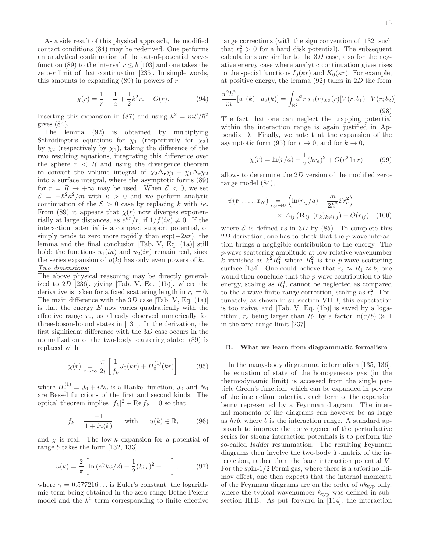As a side result of this physical approach, the modified contact conditions (84) may be rederived. One performs an analytical continuation of the out-of-potential wavefunction (89) to the interval  $r \leq b$  [103] and one takes the zero- $r$  limit of that continuation [235]. In simple words, this amounts to expanding  $(89)$  in powers of r:

$$
\chi(r) = \frac{1}{r} - \frac{1}{a} + \frac{1}{2}k^2 r_e + O(r). \tag{94}
$$

Inserting this expansion in (87) and using  $k^2 = m\mathcal{E}/\hbar^2$ gives (84).

The lemma (92) is obtained by multiplying Schrödinger's equations for  $\chi_1$  (respectively for  $\chi_2$ ) by  $\chi_2$  (respectively by  $\chi_1$ ), taking the difference of the two resulting equations, integrating this difference over the sphere  $r < R$  and using the divergence theorem to convert the volume integral of  $\chi_2\Delta_{\mathbf{r}}\chi_1 - \chi_1\Delta_{\mathbf{r}}\chi_2$ into a surface integral, where the asymptotic forms (89) for  $r = R \rightarrow +\infty$  may be used. When  $\mathcal{E} < 0$ , we set  $\mathcal{E} = -\hbar^2 \kappa^2/m$  with  $\kappa > 0$  and we perform analytic continuation of the  $\mathcal{E} > 0$  case by replacing k with  $i\kappa$ . From (89) it appears that  $\chi(r)$  now diverges exponentially at large distances, as  $e^{\kappa r}/r$ , if  $1/f(i\kappa) \neq 0$ . If the interaction potential is a compact support potential, or simply tends to zero more rapidly than  $\exp(-2\kappa r)$ , the lemma and the final conclusion [Tab. V, Eq. (1a)] still hold; the functions  $u_1(i\kappa)$  and  $u_2(i\kappa)$  remain real, since the series expansion of  $u(k)$  has only even powers of k. Two dimensions:

The above physical reasoning may be directly generalized to  $2D$  [236], giving [Tab. V, Eq. (1b)], where the derivative is taken for a fixed scattering length in  $r_e = 0$ . The main difference with the  $3D$  case [Tab. V, Eq. (1a)] is that the energy  $E$  now varies quadratically with the effective range  $r_e$ , as already observed numerically for three-boson-bound states in [131]. In the derivation, the first significant difference with the 3D case occurs in the normalization of the two-body scattering state: (89) is replaced with

$$
\chi(r) = \frac{\pi}{r + \infty} \frac{1}{2i} \left[ \frac{1}{f_k} J_0(kr) + H_0^{(1)}(kr) \right] \tag{95}
$$

where  $H_0^{(1)} = J_0 + iN_0$  is a Hankel function,  $J_0$  and  $N_0$ are Bessel functions of the first and second kinds. The optical theorem implies  $|f_k|^2 + \text{Re } f_k = 0$  so that

$$
f_k = \frac{-1}{1 + iu(k)} \quad \text{with} \quad u(k) \in \mathbb{R}, \tag{96}
$$

and  $\chi$  is real. The low-k expansion for a potential of range b takes the form [132, 133]

$$
u(k) = \frac{2}{\pi} \left[ \ln \left( e^{\gamma} k a/2 \right) + \frac{1}{2} (k r_e)^2 + \dots \right],\tag{97}
$$

where  $\gamma = 0.577216...$  is Euler's constant, the logarithmic term being obtained in the zero-range Bethe-Peierls model and the  $k^2$  term corresponding to finite effective range corrections (with the sign convention of [132] such that  $r_e^2 > 0$  for a hard disk potential). The subsequent calculations are similar to the  $3D$  case, also for the negative energy case where analytic continuation gives rises to the special functions  $I_0(\kappa r)$  and  $K_0(\kappa r)$ . For example, at positive energy, the lemma  $(92)$  takes in  $2D$  the form

$$
\frac{\pi^2 \hbar^2}{m} [u_1(k) - u_2(k)] = \int_{\mathbb{R}^2} d^2 r \,\chi_1(r) \chi_2(r) [V(r; b_1) - V(r; b_2)] \tag{98}
$$

The fact that one can neglect the trapping potential within the interaction range is again justified in Appendix D. Finally, we note that the expansion of the asymptotic form (95) for  $r \to 0$ , and for  $k \to 0$ ,

$$
\chi(r) = \ln(r/a) - \frac{1}{2}(kr_e)^2 + O(r^2 \ln r)
$$
 (99)

allows to determine the 2D version of the modified zerorange model (84),

$$
\psi(\mathbf{r}_1, \dots, \mathbf{r}_N) = \begin{cases} \ln(r_{ij}/a) - \frac{m}{2\hbar^2} \mathcal{E} r_e^2 \\ \times A_{ij} (\mathbf{R}_{ij}, (\mathbf{r}_k)_{k \neq i, j}) + O(r_{ij}) \end{cases}
$$
(100)

where  $\mathcal E$  is defined as in 3D by (85). To complete this 2D derivation, one has to check that the *p*-wave interaction brings a negligible contribution to the energy. The p-wave scattering amplitude at low relative wavenumber k vanishes as  $k^2 R_1^2$  where  $R_1^2$  is the p-wave scattering surface [134]. One could believe that  $r_e \approx R_1 \approx b$ , one would then conclude that the p-wave contribution to the energy, scaling as  $R_1^2$ , cannot be neglected as compared to the s-wave finite range correction, scaling as  $r_e^2$ . Fortunately, as shown in subsection VII B, this expectation is too naive, and [Tab. V, Eq. (1b)] is saved by a logarithm,  $r_e$  being larger than  $R_1$  by a factor  $\ln(a/b) \gg 1$ in the zero range limit [237].

# B. What we learn from diagrammatic formalism

In the many-body diagrammatic formalism [135, 136], the equation of state of the homogeneous gas (in the thermodynamic limit) is accessed from the single particle Green's function, which can be expanded in powers of the interaction potential, each term of the expansion being represented by a Feynman diagram. The internal momenta of the diagrams can however be as large as  $\hbar/b$ , where b is the interaction range. A standard approach to improve the convergence of the perturbative series for strong interaction potentials is to perform the so-called ladder resummation. The resulting Feynman diagrams then involve the two-body  $T$ -matrix of the interaction, rather than the bare interaction potential V. For the spin-1/2 Fermi gas, where there is a priori no Efimov effect, one then expects that the internal momenta of the Feynman diagrams are on the order of  $\hbar k_{\text{typ}}$  only, where the typical wavenumber  $k_{\text{typ}}$  was defined in subsection III B. As put forward in [114], the interaction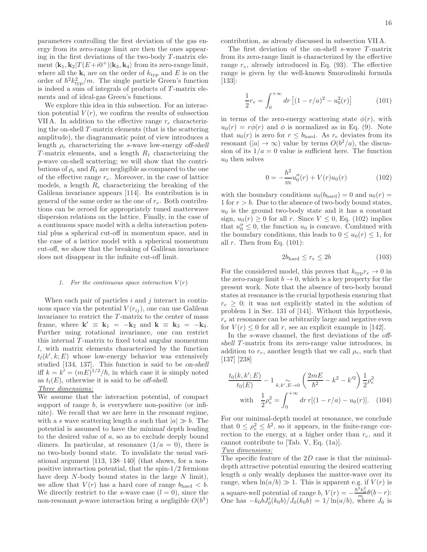parameters controlling the first deviation of the gas energy from its zero-range limit are then the ones appearing in the first deviations of the two-body  $T$ -matrix element  $\langle \mathbf{k}_1, \mathbf{k}_2 | T(E+i0^+) | \mathbf{k}_3, \mathbf{k}_4 \rangle$  from its zero-range limit, where all the  $\mathbf{k}_i$  are on the order of  $k_{\text{typ}}$  and E is on the order of  $\hbar^2 k_{\rm typ}^2/m$ . The single particle Green's function is indeed a sum of integrals of products of  $T$ -matrix elements and of ideal-gas Green's functions.

We explore this idea in this subsection. For an interaction potential  $V(r)$ , we confirm the results of subsection VII A. In addition to the effective range  $r_e$  characterizing the on-shell  $T$ -matrix elements (that is the scattering amplitude), the diagrammatic point of view introduces a length  $\rho_e$  characterizing the s-wave low-energy off-shell T-matrix elements, and a length  $R_1$  characterizing the p-wave on-shell scattering; we will show that the contributions of  $\rho_e$  and  $R_1$  are negligible as compared to the one of the effective range  $r_e$ . Moreover, in the case of lattice models, a length  $R_e$  characterizing the breaking of the Galilean invariance appears [114]. Its contribution is in general of the same order as the one of  $r_e$ . Both contributions can be zeroed for appropriately tuned matterwave dispersion relations on the lattice. Finally, in the case of a continuous space model with a delta interaction potential plus a spherical cut-off in momentum space, and in the case of a lattice model with a spherical momentum cut-off, we show that the breaking of Galilean invariance does not disappear in the infinite cut-off limit.

# 1. For the continuous space interaction  $V(r)$

When each pair of particles  $i$  and  $j$  interact in continuous space via the potential  $V(r_{ij})$ , one can use Galilean invariance to restrict the  $T$ -matrix to the center of mass frame, where  $\mathbf{k}' \equiv \mathbf{k}_1 = -\mathbf{k}_2$  and  $\mathbf{k} \equiv \mathbf{k}_3 = -\mathbf{k}_4$ . Further using rotational invariance, one can restrict this internal  $T$ -matrix to fixed total angular momentum l, with matrix elements characterized by the function  $t_l(k',k;E)$  whose low-energy behavior was extensively studied [134, 137]. This function is said to be on-shell iff  $k = k' = (mE)^{1/2}/\hbar$ , in which case it is simply noted as  $t_l(E)$ , otherwise it is said to be off-shell.

# Three dimensions:

We assume that the interaction potential, of compact support of range  $b$ , is everywhere non-positive (or infinite). We recall that we are here in the resonant regime, with a s wave scattering length a such that  $|a| \gg b$ . The potential is assumed to have the minimal depth leading to the desired value of a, so as to exclude deeply bound dimers. In particular, at resonance  $(1/a = 0)$ , there is no two-body bound state. To invalidate the usual variational argument [113, 138–140] (that shows, for a nonpositive interaction potential, that the spin-1/2 fermions have deep  $N$ -body bound states in the large  $N$  limit), we allow that  $V(r)$  has a hard core of range  $b_{\text{hard}} < b$ . We directly restrict to the s-wave case  $(l = 0)$ , since the non-resonant *p*-wave interaction bring a negligible  $O(b^3)$ 

contribution, as already discussed in subsection VII A.

The first deviation of the on-shell  $s$ -wave  $T$ -matrix from its zero-range limit is characterized by the effective range  $r_e$ , already introduced in Eq. (93). The effective range is given by the well-known Smorodinski formula [133]:

$$
\frac{1}{2}r_e = \int_0^{+\infty} dr \left[ (1 - r/a)^2 - u_0^2(r) \right]
$$
 (101)

in terms of the zero-energy scattering state  $\phi(r)$ , with  $u_0(r) = r\phi(r)$  and  $\phi$  is normalized as in Eq. (9). Note that  $u_0(r)$  is zero for  $r \leq b_{\text{hard}}$ . As  $r_e$  deviates from its resonant  $(|a| \to \infty)$  value by terms  $O(b^2/a)$ , the discussion of its  $1/a = 0$  value is sufficient here. The function  $u_0$  then solves

$$
0 = -\frac{\hbar^2}{m}u_0''(r) + V(r)u_0(r)
$$
 (102)

with the boundary conditions  $u_0(b_{\text{hard}}) = 0$  and  $u_0(r) =$ 1 for  $r > b$ . Due to the absence of two-body bound states,  $u_0$  is the ground two-body state and it has a constant sign,  $u_0(r) \geq 0$  for all r. Since  $V \leq 0$ , Eq. (102) implies that  $u_0'' \leq 0$ , the function  $u_0$  is concave. Combined with the boundary conditions, this leads to  $0 \le u_0(r) \le 1$ , for all  $r$ . Then from Eq.  $(101)$ :

$$
2b_{\text{hard}} \le r_e \le 2b \tag{103}
$$

For the considered model, this proves that  $k_{\text{typ}} r_e \to 0$  in the zero-range limit  $b \to 0$ , which is a key property for the present work. Note that the absence of two-body bound states at resonance is the crucial hypothesis ensuring that  $r_e \geq 0$ ; it was not explicitly stated in the solution of problem 1 in Sec. 131 of [141]. Without this hypothesis,  $r<sub>e</sub>$  at resonance can be arbitrarily large and negative even for  $V(r) \leq 0$  for all r, see an explicit example in [142].

In the s-wave channel, the first deviations of the offshell T-matrix from its zero-range value introduces, in addition to  $r_e$ , another length that we call  $\rho_e$ , such that [137] [238]

$$
\frac{t_0(k, k'; E)}{t_0(E)} - 1 \underset{k, k', E \to 0}{\sim} \left(\frac{2mE}{\hbar^2} - k^2 - k'^2\right) \frac{1}{2} \rho_e^2
$$
  
with 
$$
\frac{1}{2} \rho_e^2 = \int_0^{+\infty} dr \, r[(1 - r/a) - u_0(r)]. \quad (104)
$$

For our minimal-depth model at resonance, we conclude that  $0 \le \rho_e^2 \le b^2$ , so it appears, in the finite-range correction to the energy, at a higher order than  $r_e$ , and it cannot contribute to [Tab. V, Eq. (1a)].

# Two dimensions:

The specific feature of the 2D case is that the minimaldepth attractive potential ensuring the desired scattering length a only weakly dephases the matter-wave over its range, when  $\ln(a/b) \gg 1$ . This is apparent e.g. if  $V(r)$  is a square-well potential of range b,  $V(r) = -\frac{\hbar^2 k_0^2}{m} \theta(b-r)$ : One has  $-k_0 b J_0'(k_0 b) / J_0(k_0 b) = 1/\ln(a/b)$ , where  $J_0$  is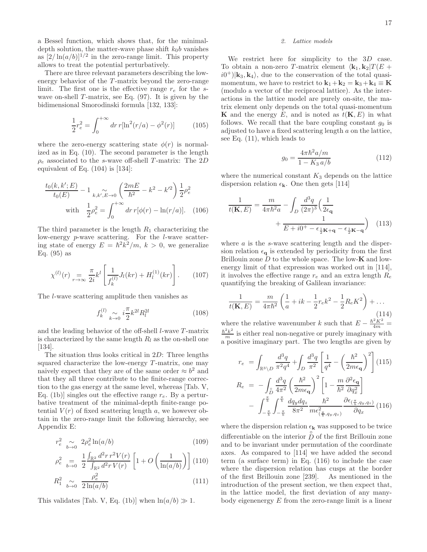a Bessel function, which shows that, for the minimaldepth solution, the matter-wave phase shift  $k_0b$  vanishes as  $[2/\ln(a/b)]^{1/2}$  in the zero-range limit. This property allows to treat the potential perturbatively.

There are three relevant parameters describing the lowenergy behavior of the  $T$ -matrix beyond the zero-range limit. The first one is the effective range  $r_e$  for the swave on-shell  $T$ -matrix, see Eq. (97). It is given by the bidimensional Smorodinski formula [132, 133]:

$$
\frac{1}{2}r_e^2 = \int_0^{+\infty} dr \, r[\ln^2(r/a) - \phi^2(r)] \tag{105}
$$

where the zero-energy scattering state  $\phi(r)$  is normalized as in Eq. (10). The second parameter is the length  $\rho_e$  associated to the s-wave off-shell T-matrix: The 2D equivalent of Eq.  $(104)$  is [134]:

$$
\frac{t_0(k, k'; E)}{t_0(E)} - 1 \sum_{k, k', E \to 0} \left( \frac{2mE}{\hbar^2} - k^2 - k'^2 \right) \frac{1}{2} \rho_e^2
$$
  
with 
$$
\frac{1}{2} \rho_e^2 = \int_0^{+\infty} dr \, r[\phi(r) - \ln(r/a)]. \quad (106)
$$

The third parameter is the length  $R_1$  characterizing the low-energy p-wave scattering. For the l-wave scattering state of energy  $E = \hbar^2 k^2/m$ ,  $k > 0$ , we generalize Eq. (95) as

$$
\chi^{(l)}(r) = \frac{\pi}{2i} k^l \left[ \frac{1}{f_k^{(l)}} J_l(kr) + H_l^{(1)}(kr) \right]. \tag{107}
$$

The l-wave scattering amplitude then vanishes as

$$
f_k^{(l)} \underset{k \to 0}{\sim} i \frac{\pi}{2} k^{2l} R_l^{2l} \tag{108}
$$

and the leading behavior of the off-shell  $l$ -wave  $T$ -matrix is characterized by the same length  $R_l$  as the on-shell one  $|134|$ .

The situation thus looks critical in 2D: Three lengths squared characterize the low-energy  $T$ -matrix, one may naively expect that they are of the same order  $\approx b^2$  and that they all three contribute to the finite-range correction to the gas energy at the same level, whereas [Tab. V, Eq. (1b)] singles out the effective range  $r_e$ . By a perturbative treatment of the minimal-depth finite-range potential  $V(r)$  of fixed scattering length a, we however obtain in the zero-range limit the following hierarchy, see Appendix E:

$$
r_e^2 \underset{b \to 0}{\sim} 2\rho_e^2 \ln(a/b) \tag{109}
$$

$$
\rho_e^2 = \frac{1}{b \to 0} \frac{\int_{\mathbb{R}^2} d^2 r \, r^2 V(r)}{\int_{\mathbb{R}^2} d^2 r \, V(r)} \left[ 1 + O\left(\frac{1}{\ln(a/b)}\right) \right] (110)
$$

$$
R_1^2 \underset{b \to 0}{\sim} \frac{\rho_e^2}{2\ln(a/b)} \tag{111}
$$

This validates [Tab. V, Eq. (1b)] when  $\ln(a/b) \gg 1$ .

# 2. Lattice models

We restrict here for simplicity to the 3D case. To obtain a non-zero T-matrix element  $\langle \mathbf{k}_1, \mathbf{k}_2 | T(E +$  $(i0^+)|\mathbf{k}_3, \mathbf{k}_4\rangle$ , due to the conservation of the total quasimomentum, we have to restrict to  $\mathbf{k}_1 + \mathbf{k}_2 = \mathbf{k}_3 + \mathbf{k}_4 \equiv \mathbf{K}$ (modulo a vector of the reciprocal lattice). As the interactions in the lattice model are purely on-site, the matrix element only depends on the total quasi-momentum **K** and the energy E, and is noted as  $t(K, E)$  in what follows. We recall that the bare coupling constant  $g_0$  is adjusted to have a fixed scattering length  $a$  on the lattice, see Eq. (11), which leads to

$$
g_0 = \frac{4\pi\hbar^2 a/m}{1 - K_3 a/b} \tag{112}
$$

where the numerical constant  $K_3$  depends on the lattice dispersion relation  $\epsilon_{\mathbf{k}}$ . One then gets [114]

$$
\frac{1}{t(\mathbf{K}, E)} = \frac{m}{4\pi\hbar^2 a} - \int_D \frac{d^3q}{(2\pi)^3} \left(\frac{1}{2\epsilon_\mathbf{q}} + \frac{1}{E + i0^+ - \epsilon_{\frac{1}{2}\mathbf{K} + \mathbf{q}} - \epsilon_{\frac{1}{2}\mathbf{K} - \mathbf{q}}}\right) \tag{113}
$$

where  $a$  is the s-wave scattering length and the dispersion relation  $\epsilon_{q}$  is extended by periodicity from the first Brillouin zone  $D$  to the whole space. The low- $\bf{K}$  and lowenergy limit of that expression was worked out in [114], it involves the effective range  $r_e$  and an extra length  $R_e$ quantifying the breaking of Galilean invariance:

$$
\frac{1}{t(\mathbf{K}, E)} = \frac{m}{4\pi\hbar^2} \left( \frac{1}{a} + ik - \frac{1}{2} r_e k^2 - \frac{1}{2} R_e K^2 \right) + \dots
$$
\n(114)

where the relative wavenumber k such that  $E - \frac{\hbar^2 \dot{K}^2}{4m} =$  $rac{\hbar^2 k^2}{m}$  is either real non-negative or purely imaginary with a positive imaginary part. The two lengths are given by

$$
r_e = \int_{\mathbb{R}^3 \setminus D} \frac{d^3q}{\pi^2 q^4} + \int_D \frac{d^3q}{\pi^2} \left[ \frac{1}{q^4} - \left( \frac{\hbar^2}{2m\epsilon_{\mathbf{q}}} \right)^2 \right] (115)
$$
  
\n
$$
R_e = -\int_{\mathcal{D}} \frac{d^3q}{4\pi^2} \left( \frac{\hbar^2}{2m\epsilon_{\mathbf{q}}} \right)^2 \left[ 1 - \frac{m}{\hbar^2} \frac{\partial^2 \epsilon_{\mathbf{q}}}{\partial q_x^2} \right]
$$
  
\n
$$
- \int_{-\frac{\pi}{b}}^{\frac{\pi}{b}} \int_{-\frac{\pi}{b}}^{\frac{\pi}{b}} \frac{dq_y dq_z}{8\pi^2} \frac{\hbar^2}{m\epsilon_{(\frac{\pi}{b}, q_y, q_z)}^2} \frac{\partial \epsilon_{(\frac{\pi}{b}, q_y, q_z)}}{\partial q_x} (116)
$$

where the dispersion relation  $\epsilon_{\mathbf{k}}$  was supposed to be twice differentiable on the interior  $\hat{D}$  of the first Brillouin zone and to be invariant under permutation of the coordinate axes. As compared to [114] we have added the second term (a surface term) in Eq. (116) to include the case where the dispersion relation has cusps at the border of the first Brillouin zone [239]. As mentioned in the introduction of the present section, we then expect that, in the lattice model, the first deviation of any manybody eigenenergy  $E$  from the zero-range limit is a linear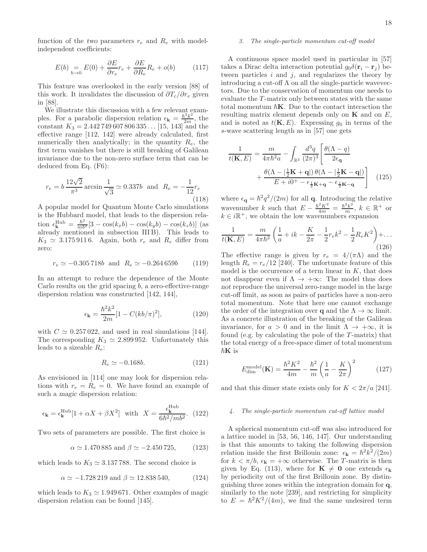function of the two parameters  $r_e$  and  $R_e$  with modelindependent coefficients:

$$
E(b) =_{b \to 0} E(0) + \frac{\partial E}{\partial r_e} r_e + \frac{\partial E}{\partial R_e} R_e + o(b) \tag{117}
$$

This feature was overlooked in the early version [88] of this work. It invalidates the discussion of  $\partial T_c/\partial r_e$  given in [88].

We illustrate this discussion with a few relevant examples. For a parabolic dispersion relation  $\epsilon_{\mathbf{k}} = \frac{\hbar^2 k^2}{2m}$ , the constant  $K_3 = 2.442749607806335...$  [15, 143] and the effective range [112, 142] were already calculated, first numerically then analytically; in the quantity  $R_e$ , the first term vanishes but there is still breaking of Galilean invariance due to the non-zero surface term that can be deduced from Eq. (F6):

$$
r_e = b \frac{12\sqrt{2}}{\pi^3} \arcsin \frac{1}{\sqrt{3}} \simeq 0.337b \text{ and } R_e = -\frac{1}{12}r_e
$$
\n(118)

A popular model for Quantum Monte Carlo simulations is the Hubbard model, that leads to the dispersion relation  $\epsilon_{\bf k}^{\rm Hub} = \frac{\hbar^2}{mb^2} [3 - \cos(k_x b) - \cos(k_y b) - \cos(k_z b)]$  (as already mentioned in subsection III B). This leads to  $K_3 \simeq 3.1759116$ . Again, both  $r_e$  and  $R_e$  differ from zero:

$$
r_e \simeq -0.305718b \text{ and } R_e \simeq -0.264659b \qquad (119)
$$

In an attempt to reduce the dependence of the Monte Carlo results on the grid spacing  $b$ , a zero-effective-range dispersion relation was constructed [142, 144],

$$
\epsilon_{\mathbf{k}} = \frac{\hbar^2 k^2}{2m} [1 - C(kb/\pi)^2],\tag{120}
$$

with  $C \simeq 0.257022$ , and used in real simulations [144]. The corresponding  $K_3 \simeq 2.899952$ . Unfortunately this leads to a sizeable  $R_e$ :

$$
R_e \simeq -0.168b.\t(121)
$$

As envisioned in [114] one may look for dispersion relations with  $r_e = R_e = 0$ . We have found an example of such a magic dispersion relation:

$$
\epsilon_{\mathbf{k}} = \epsilon_{\mathbf{k}}^{\text{Hub}} [1 + \alpha X + \beta X^2] \quad \text{with} \quad X = \frac{\epsilon_{\mathbf{k}}^{\text{Hub}}}{6\hbar^2 / mb^2}. \tag{122}
$$

Two sets of parameters are possible. The first choice is

$$
\alpha \simeq 1.470\,885
$$
 and  $\beta \simeq -2.450\,725$ , (123)

which leads to  $K_3 \simeq 3.137\,788$ . The second choice is

$$
\alpha \simeq -1.728219
$$
 and  $\beta \simeq 12.838540$ , (124)

which leads to  $K_3 \simeq 1.949671$ . Other examples of magic dispersion relation can be found [145].

# 3. The single-particle momentum cut-off model

A continuous space model used in particular in [57] takes a Dirac delta interaction potential  $g_0\delta(\mathbf{r}_i-\mathbf{r}_j)$  between particles  $i$  and  $j$ , and regularizes the theory by introducing a cut-off  $\Lambda$  on all the single-particle wavevectors. Due to the conservation of momentum one needs to evaluate the T-matrix only between states with the same total momentum  $\hbar K$ . Due to the contact interaction the resulting matrix element depends only on  $\bf{K}$  and on  $E$ , and is noted as  $t(K, E)$ . Expressing  $g_0$  in terms of the s-wave scattering length as in [57] one gets

$$
\frac{1}{t(\mathbf{K}, E)} = \frac{m}{4\pi\hbar^2 a} - \int_{\mathbb{R}^3} \frac{d^3q}{(2\pi)^3} \left[ \frac{\theta(\Lambda - q)}{2\epsilon_{\mathbf{q}}} \right. \left. + \frac{\theta(\Lambda - |\frac{1}{2}\mathbf{K} + \mathbf{q}|) \theta(\Lambda - |\frac{1}{2}\mathbf{K} - \mathbf{q}|)}{E + i0^+ - \epsilon_{\frac{1}{2}\mathbf{K} + \mathbf{q}} - \epsilon_{\frac{1}{2}\mathbf{K} - \mathbf{q}}} \right] \tag{125}
$$

where  $\epsilon_{\mathbf{q}} = \hbar^2 q^2/(2m)$  for all **q**. Introducing the relative wavenumber k such that  $E - \frac{\hbar^2 K^2}{4m} = \frac{\hbar^2 k^2}{m}$ ,  $k \in \mathbb{R}^+$  or  $k \in i\mathbb{R}^+$ , we obtain the low wavenumbers expansion

$$
\frac{1}{t(K,E)} = \frac{m}{4\pi\hbar^2} \left( \frac{1}{a} + ik - \frac{K}{2\pi} - \frac{1}{2}r_e k^2 - \frac{1}{2}R_e K^2 \right) + \dots
$$
\n(126)

The effective range is given by  $r_e = 4/(\pi\Lambda)$  and the length  $R_e = r_e/12$  [240]. The unfortunate feature of this model is the occurrence of a term linear in  $K$ , that does not disappear even if  $\Lambda \to +\infty$ : The model thus does not reproduce the universal zero-range model in the large cut-off limit, as soon as pairs of particles have a non-zero total momentum. Note that here one cannot exchange the order of the integration over **q** and the  $\Lambda \to \infty$  limit. As a concrete illustration of the breaking of the Galilean invariance, for  $a > 0$  and in the limit  $\Lambda \to +\infty$ , it is found (e.g. by calculating the pole of the  $T$ -matrix) that the total energy of a free-space dimer of total momentum  $\hbar$ **K** is

$$
E_{\rm dim}^{\rm model}(\mathbf{K}) = \frac{\hbar^2 K^2}{4m} - \frac{\hbar^2}{m} \left(\frac{1}{a} - \frac{K}{2\pi}\right)^2 \tag{127}
$$

and that this dimer state exists only for  $K < 2\pi/a$  [241].

# 4. The single-particle momentum cut-off lattice model

A spherical momentum cut-off was also introduced for a lattice model in [53, 56, 146, 147]. Our understanding is that this amounts to taking the following dispersion relation inside the first Brillouin zone:  $\epsilon_{\mathbf{k}} = \hbar^2 k^2/(2m)$ for  $k < \pi/b$ ,  $\epsilon_{\mathbf{k}} = +\infty$  otherwise. The T-matrix is then given by Eq. (113), where for  $\mathbf{K} \neq \mathbf{0}$  one extends  $\epsilon_{\mathbf{k}}$ by periodicity out of the first Brillouin zone. By distinguishing three zones within the integration domain for q, similarly to the note [239], and restricting for simplicity to  $E = \hbar^2 K^2/(4m)$ , we find the same undesired term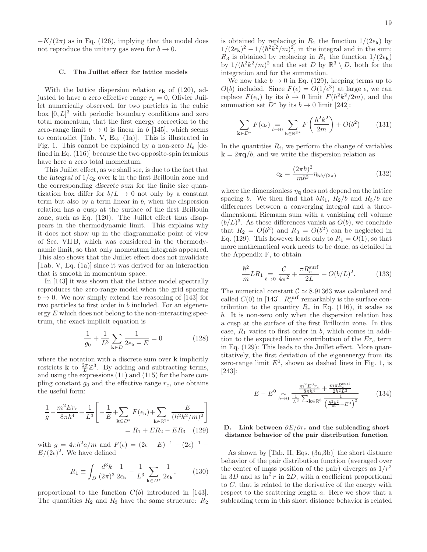$-K/(2\pi)$  as in Eq. (126), implying that the model does not reproduce the unitary gas even for  $b \to 0$ .

# C. The Juillet effect for lattice models

With the lattice dispersion relation  $\epsilon_{\mathbf{k}}$  of (120), adjusted to have a zero effective range  $r_e = 0$ , Olivier Juillet numerically observed, for two particles in the cubic box  $[0, L]^3$  with periodic boundary conditions and zero total momentum, that the first energy correction to the zero-range limit  $b \to 0$  is linear in b [145], which seems to contradict [Tab. V, Eq. (1a)]. This is illustrated in Fig. 1. This cannot be explained by a non-zero  $R_e$  [defined in Eq. (116)] because the two opposite-spin fermions have here a zero total momentum.

This Juillet effect, as we shall see, is due to the fact that the integral of  $1/\epsilon_{\mathbf{k}}$  over **k** in the first Brillouin zone and the corresponding discrete sum for the finite size quantization box differ for  $b/L \rightarrow 0$  not only by a constant term but also by a term linear in  $b$ , when the dispersion relation has a cusp at the surface of the first Brillouin zone, such as Eq. (120). The Juillet effect thus disappears in the thermodynamic limit. This explains why it does not show up in the diagrammatic point of view of Sec. VII B, which was considered in the thermodynamic limit, so that only momentum integrals appeared. This also shows that the Juillet effect does not invalidate [Tab. V, Eq. (1a)] since it was derived for an interaction that is smooth in momentum space.

In [143] it was shown that the lattice model spectrally reproduces the zero-range model when the grid spacing  $b \rightarrow 0$ . We now simply extend the reasoning of [143] for two particles to first order in b included. For an eigenenergy  $E$  which does not belong to the non-interacting spectrum, the exact implicit equation is

$$
\frac{1}{g_0} + \frac{1}{L^3} \sum_{\mathbf{k} \in D} \frac{1}{2\epsilon_{\mathbf{k}} - E} = 0
$$
 (128)

where the notation with a discrete sum over **k** implicitly restricts **k** to  $\frac{2\pi}{L}\mathbb{Z}^3$ . By adding and subtracting terms, and using the expressions (11) and (115) for the bare coupling constant  $g_0$  and the effective range  $r_e$ , one obtains the useful form:

$$
\frac{1}{g} - \frac{m^2 E r_e}{8\pi \hbar^4} + \frac{1}{L^3} \left[ -\frac{1}{E} + \sum_{\mathbf{k} \in D^*} F(\epsilon_\mathbf{k}) + \sum_{\mathbf{k} \in \mathbb{R}^{3*}} \frac{E}{(\hbar^2 k^2 / m)^2} \right]
$$

$$
= R_1 + E R_2 - E R_3 \quad (129)
$$

with  $g = 4\pi \hbar^2 a/m$  and  $F(\epsilon) = (2\epsilon - E)^{-1} - (2\epsilon)^{-1} E/(2\epsilon)^2$ . We have defined

$$
R_1 \equiv \int_D \frac{d^3 k}{(2\pi)^3} \frac{1}{2\epsilon_{\mathbf{k}}} - \frac{1}{L^3} \sum_{\mathbf{k} \in D^*} \frac{1}{2\epsilon_{\mathbf{k}}},\qquad(130)
$$

proportional to the function  $C(b)$  introduced in [143]. The quantities  $R_2$  and  $R_3$  have the same structure:  $R_2$  is obtained by replacing in  $R_1$  the function  $1/(2\epsilon_{\mathbf{k}})$  by  $1/(2\epsilon_{\mathbf{k}})^2 - 1/(\hbar^2 k^2/m)^2$ , in the integral and in the sum;  $R_3$  is obtained by replacing in  $R_1$  the function  $1/(2\epsilon_{\bf k})$ by  $1/(h^2k^2/m)^2$  and the set D by  $\mathbb{R}^3 \setminus D$ , both for the integration and for the summation.

We now take  $b \to 0$  in Eq. (129), keeping terms up to  $O(b)$  included. Since  $F(\epsilon) = O(1/\epsilon^3)$  at large  $\epsilon$ , we can replace  $F(\epsilon_k)$  by its  $b \to 0$  limit  $F(\hbar^2 k^2/2m)$ , and the summation set  $D^*$  by its  $b \to 0$  limit [242]:

$$
\sum_{\mathbf{k}\in D^*} F(\epsilon_\mathbf{k}) \underset{b\to 0}{=} \sum_{\mathbf{k}\in \mathbb{R}^{3^*}} F\left(\frac{\hbar^2 k^2}{2m}\right) + O(b^2) \tag{131}
$$

In the quantities  $R_i$ , we perform the change of variables  $\mathbf{k} = 2\pi \mathbf{q}/b$ , and we write the dispersion relation as

$$
\epsilon_{\mathbf{k}} = \frac{(2\pi\hbar)^2}{mb^2} \eta_{\mathbf{k}b/(2\pi)} \tag{132}
$$

where the dimensionless  $\eta_{\mathbf{q}}$  does not depend on the lattice spacing b. We then find that  $bR_1$ ,  $R_2/b$  and  $R_3/b$  are differences between a converging integral and a threedimensional Riemann sum with a vanishing cell volume  $(b/L)^3$ . As these differences vanish as  $O(b)$ , we conclude that  $R_2 = O(b^2)$  and  $R_3 = O(b^2)$  can be neglected in Eq. (129). This however leads only to  $R_1 = O(1)$ , so that more mathematical work needs to be done, as detailed in the Appendix F, to obtain

$$
\frac{\hbar^2}{m}LR_1 \underset{b \to 0}{=} \frac{\mathcal{C}}{4\pi^2} + \frac{\pi R_e^{\text{surf}}}{2L} + O(b/L)^2.
$$
 (133)

The numerical constant  $C \simeq 8.91363$  was calculated and called  $C(0)$  in [143].  $R_e^{\text{surf}}$  remarkably is the surface contribution to the quantity  $R_e$  in Eq. (116), it scales as b. It is non-zero only when the dispersion relation has a cusp at the surface of the first Brillouin zone. In this case,  $R_1$  varies to first order in b, which comes in addition to the expected linear contribution of the  $Er_e$  term in Eq. (129): This leads to the Juillet effect. More quantitatively, the first deviation of the eigenenergy from its zero-range limit  $E^0$ , shown as dashed lines in Fig. 1, is [243]:

$$
E - E^{0} \sim \frac{\frac{m^{2} E^{0} r_{e}}{8 \pi \hbar^{4}} + \frac{m \pi R_{e}^{\text{surf}}}{2 \hbar^{2} L^{2}}}{\frac{1}{L^{3}} \sum_{\mathbf{k} \in \mathbb{R}^{3}} \frac{1}{\left(\frac{\hbar^{2} k^{2}}{m} - E^{0}\right)^{2}}}
$$
(134)

# D. Link between  $\partial E/\partial r_e$  and the subleading short distance behavior of the pair distribution function

As shown by [Tab. II, Eqs. (3a,3b)] the short distance behavior of the pair distribution function (averaged over the center of mass position of the pair) diverges as  $1/r^2$ in 3D and as  $\ln^2 r$  in 2D, with a coefficient proportional to C, that is related to the derivative of the energy with respect to the scattering length a. Here we show that a subleading term in this short distance behavior is related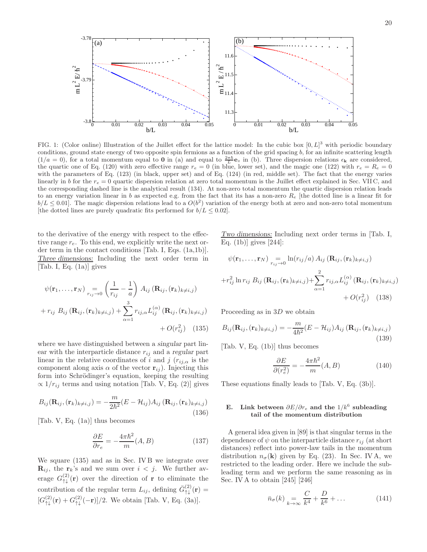

FIG. 1: (Color online) Illustration of the Juillet effect for the lattice model: In the cubic box  $[0, L]^3$  with periodic boundary conditions, ground state energy of two opposite spin fermions as a function of the grid spacing  $b$ , for an infinite scattering length  $(1/a = 0)$ , for a total momentum equal to 0 in (a) and equal to  $\frac{2\pi\hbar}{L}$ **e**<sub>z</sub> in (b). Three dispersion relations  $\epsilon_{\mathbf{k}}$  are considered, the quartic one of Eq. (120) with zero effective range  $r_e = 0$  (in blue, lower set), and the magic one (122) with  $r_e = R_e = 0$ with the parameters of Eq. (123) (in black, upper set) and of Eq. (124) (in red, middle set). The fact that the energy varies linearly in b for the  $r_e = 0$  quartic dispersion relation at zero total momentum is the Juillet effect explained in Sec. VIIC, and the corresponding dashed line is the analytical result (134). At non-zero total momentum the quartic dispersion relation leads to an energy variation linear in b as expected e.g. from the fact that its has a non-zero  $R_e$  [the dotted line is a linear fit for  $b/L \leq 0.01$ . The magic dispersion relations lead to a  $O(b^2)$  variation of the energy both at zero and non-zero total momentum [the dotted lines are purely quadratic fits performed for  $b/L \leq 0.02$ ].

to the derivative of the energy with respect to the effective range  $r_e$ . To this end, we explicitly write the next order term in the contact conditions [Tab. I, Eqs. (1a,1b)]. Three dimensions: Including the next order term in [Tab. I, Eq. (1a)] gives

$$
\psi(\mathbf{r}_1, \dots, \mathbf{r}_N) = \n\begin{pmatrix}\n\frac{1}{r_{ij}} - \frac{1}{a}\n\end{pmatrix}\nA_{ij} (\mathbf{R}_{ij}, (\mathbf{r}_k)_{k \neq i, j})\n+ r_{ij} B_{ij} (\mathbf{R}_{ij}, (\mathbf{r}_k)_{k \neq i, j}) + \n\sum_{\alpha=1}^3 r_{ij, \alpha} L_{ij}^{(\alpha)} (\mathbf{R}_{ij}, (\mathbf{r}_k)_{k \neq i, j})\n+ O(r_{ij}^2) \tag{135}
$$

where we have distinguished between a singular part linear with the interparticle distance  $r_{ij}$  and a regular part linear in the relative coordinates of i and j  $(r_{ij,\alpha})$  is the component along axis  $\alpha$  of the vector  $\mathbf{r}_{ij}$ ). Injecting this form into Schrödinger's equation, keeping the resulting  $\propto 1/r_{ij}$  terms and using notation [Tab. V, Eq. (2)] gives

$$
B_{ij}(\mathbf{R}_{ij}, (\mathbf{r}_k)_{k \neq i,j}) = -\frac{m}{2\hbar^2} (E - \mathcal{H}_{ij}) A_{ij} (\mathbf{R}_{ij}, (\mathbf{r}_k)_{k \neq i,j})
$$
\n(136)

[Tab. V, Eq. (1a)] thus becomes

$$
\frac{\partial E}{\partial r_e} = -\frac{4\pi\hbar^2}{m}(A, B) \tag{137}
$$

We square (135) and as in Sec. IV B we integrate over  $\mathbf{R}_{ij}$ , the  $\mathbf{r}_k$ 's and we sum over  $i < j$ . We further average  $G_{\uparrow\downarrow}^{(2)}(\mathbf{r})$  over the direction of **r** to eliminate the contribution of the regular term  $L_{ij}$ , defining  $\bar{G}^{(2)}_{\uparrow\downarrow}(\mathbf{r}) =$  $[G_{\uparrow\downarrow}^{(2)}(\mathbf{r}) + G_{\uparrow\downarrow}^{(2)}(-\mathbf{r})]/2$ . We obtain [Tab. V, Eq. (3a)].

Two dimensions: Including next order terms in [Tab. I, Eq. (1b)] gives [244]:

$$
\psi(\mathbf{r}_1, \dots, \mathbf{r}_N) = \ln(r_{ij}/a) A_{ij} (\mathbf{R}_{ij}, (\mathbf{r}_k)_{k \neq i,j})
$$
  
+
$$
r_{ij}^2 \ln r_{ij} B_{ij} (\mathbf{R}_{ij}, (\mathbf{r}_k)_{k \neq i,j}) + \sum_{\alpha=1}^2 r_{ij,\alpha} L_{ij}^{(\alpha)} (\mathbf{R}_{ij}, (\mathbf{r}_k)_{k \neq i,j})
$$
  
+
$$
O(r_{ij}^2)
$$
(138)

Proceeding as in 3D we obtain

$$
B_{ij}(\mathbf{R}_{ij}, (\mathbf{r}_k)_{k \neq i,j}) = -\frac{m}{4\hbar^2} (E - \mathcal{H}_{ij}) A_{ij} (\mathbf{R}_{ij}, (\mathbf{r}_k)_{k \neq i,j})
$$
\n(139)

[Tab. V, Eq. (1b)] thus becomes

$$
\frac{\partial E}{\partial (r_e^2)} = -\frac{4\pi\hbar^2}{m}(A, B) \tag{140}
$$

These equations finally leads to [Tab. V, Eq. (3b)].

# E. Link between  $\partial E/\partial r_e$  and the  $1/k^6$  subleading tail of the momentum distribution

A general idea given in [89] is that singular terms in the dependence of  $\psi$  on the interparticle distance  $r_{ij}$  (at short distances) reflect into power-law tails in the momentum distribution  $n_{\sigma}(\mathbf{k})$  given by Eq. (23). In Sec. IV A, we restricted to the leading order. Here we include the subleading term and we perform the same reasoning as in Sec. IV A to obtain [245] [246]

$$
\bar{n}_{\sigma}(k) \underset{k \to \infty}{=} \frac{C}{k^4} + \frac{D}{k^6} + \dots \tag{141}
$$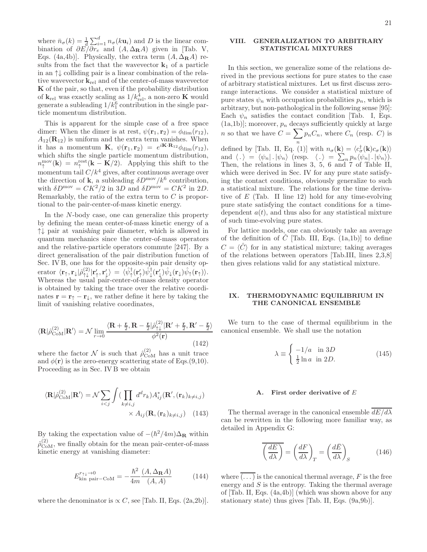where  $\bar{n}_{\sigma}(k) = \frac{1}{d} \sum_{i=1}^{d} n_{\sigma}(k\mathbf{u}_i)$  and D is the linear combination of  $\partial E/\partial r_e$  and  $(A, \Delta_R A)$  given in [Tab. V, Eqs. (4a,4b)]. Physically, the extra term  $(A, \Delta_R A)$  results from the fact that the wavevector  $\mathbf{k}_1$  of a particle in an ↑↓ colliding pair is a linear combination of the relative wavevector  $\mathbf{k}_{rel}$  and of the center-of-mass wavevector K of the pair, so that, even if the probability distribution of  $\mathbf{k}_{rel}$  was exactly scaling as  $1/k_{rel}^4$ , a non-zero **K** would generate a subleading  $1/k_1^6$  contribution in the single particle momentum distribution.

This is apparent for the simple case of a free space dimer: When the dimer is at rest,  $\psi(\mathbf{r}_1, \mathbf{r}_2) = \phi_{\text{dim}}(r_{12}),$  $A_{12}(\mathbf{R}_{12})$  is uniform and the extra term vanishes. When it has a momentum **K**,  $\psi(\mathbf{r}_1, \mathbf{r}_2) = e^{i\mathbf{K} \cdot \mathbf{R}_{12}} \phi_{\text{dim}}(r_{12}),$ which shifts the single particle momentum distribution,  $n_{\uparrow}^{\text{mov}}(\mathbf{k}) = n_{\uparrow}^{\text{rest}}(\mathbf{k} - \mathbf{K}/2)$ . Applying this shift to the momentum tail  $C/k^4$  gives, after continuous average over the direction of **k**, a subleading  $\delta D^{\text{mov}}/k^6$  contribution, with  $\delta D^{\text{mov}} = CK^2/2$  in 3D and  $\delta D^{\text{mov}} = CK^2$  in 2D. Remarkably, the ratio of the extra term to C is proportional to the pair-center-of-mass kinetic energy.

In the N-body case, one can generalize this property by defining the mean center-of-mass kinetic energy of a ↑↓ pair at vanishing pair diameter, which is allowed in quantum mechanics since the center-of-mass operators and the relative-particle operators commute [247]. By a direct generalisation of the pair distribution function of Sec. IV B, one has for the opposite-spin pair density op- $\text{erator } \langle \mathbf{r}_\uparrow, \mathbf{r}_\downarrow | \hat{\rho}_{\uparrow\downarrow}^{(2)} | \mathbf{r}'_\uparrow, \mathbf{r}'_\downarrow \rangle \, = \, \langle \hat{\psi}_\uparrow^\dagger(\mathbf{r}'_\uparrow) \hat{\psi}_\downarrow^\dagger(\mathbf{r}'_\downarrow) \hat{\psi}_\downarrow (\mathbf{r}_\downarrow) \hat{\psi}_\uparrow(\mathbf{r}_\uparrow) \rangle.$ Whereas the usual pair-center-of-mass density operator is obtained by taking the trace over the relative coordinates  $\mathbf{r} = \mathbf{r}^{\perp} - \mathbf{r}^{\perp}$ , we rather define it here by taking the limit of vanishing relative coordinates,

$$
\langle \mathbf{R} | \hat{\rho}_{\text{CoM}}^{(2)} | \mathbf{R'} \rangle = \mathcal{N} \lim_{r \to 0} \frac{\langle \mathbf{R} + \frac{\mathbf{r}}{2}, \mathbf{R} - \frac{\mathbf{r}}{2} | \hat{\rho}_{\uparrow\downarrow}^{(2)} | \mathbf{R'} + \frac{\mathbf{r}}{2}, \mathbf{R'} - \frac{\mathbf{r}}{2} \rangle}{\phi^2(\mathbf{r})}
$$
(142)

where the factor  $\mathcal N$  is such that  $\hat \rho_{\rm CoM}^{(2)}$  has a unit trace and  $\phi(\mathbf{r})$  is the zero-energy scattering state of Eqs.(9,10). Proceeding as in Sec. IV B we obtain

$$
\langle \mathbf{R} | \hat{\rho}_{\text{CoM}}^{(2)} | \mathbf{R'} \rangle = \mathcal{N} \sum_{i < j} \int \left( \prod_{k \neq i,j} d^d r_k \right) A_{ij}^* (\mathbf{R'}, (\mathbf{r}_k)_{k \neq i,j}) \times A_{ij} (\mathbf{R}, (\mathbf{r}_k)_{k \neq i,j}) \tag{143}
$$

By taking the expectation value of  $-(\hbar^2/4m)\Delta_{\bf R}$  within  $\hat{\rho}_{\text{CoM}}^{(2)}$ , we finally obtain for the mean pair-center-of-mass kinetic energy at vanishing diameter:

$$
E_{\text{kin pair}-\text{CoM}}^{r_{\uparrow\downarrow}\to 0} = -\frac{\hbar^2}{4m} \frac{(A, \Delta_{\mathbf{R}}A)}{(A, A)} \tag{144}
$$

where the denominator is  $\propto C$ , see [Tab. II, Eqs. (2a,2b)].

# VIII. GENERALIZATION TO ARBITRARY STATISTICAL MIXTURES

In this section, we generalize some of the relations derived in the previous sections for pure states to the case of arbitrary statistical mixtures. Let us first discuss zerorange interactions. We consider a statistical mixture of pure states  $\psi_n$  with occupation probabilities  $p_n$ , which is arbitrary, but non-pathological in the following sense [95]: Each  $\psi_n$  satisfies the contact condition [Tab. I, Eqs.  $(1a,1b)$ ; moreover,  $p_n$  decays sufficiently quickly at large *n* so that we have  $C = \sum p_n C_n$ , where  $C_n$  (resp. C) is defined by [Tab. II, Eq. (1)] with  $n_{\sigma}(\mathbf{k}) = \langle c_{\sigma}^{\dagger}(\mathbf{k})c_{\sigma}(\mathbf{k})\rangle$ and  $\langle . \rangle = \langle \psi_n | . | \psi_n \rangle$  (resp.  $\langle . \rangle = \sum_n p_n \langle \psi_n | . | \psi_n \rangle$ ). Then, the relations in lines 3, 5, 6 and 7 of Table II, which were derived in Sec. IV for any pure state satisfying the contact conditions, obviously generalize to such a statistical mixture. The relations for the time derivative of  $E$  (Tab. II line 12) hold for any time-evolving pure state satisfying the contact conditions for a timedependent  $a(t)$ , and thus also for any statistical mixture of such time-evolving pure states.

For lattice models, one can obviously take an average of the definition of  $\hat{C}$  [Tab. III, Eqs. (1a,1b)] to define  $C = \langle \hat{C} \rangle$  for in any statistical mixture; taking averages of the relations between operators [Tab.III, lines 2,3,8] then gives relations valid for any statistical mixture.

# IX. THERMODYNAMIC EQUILIBRIUM IN THE CANONICAL ENSEMBLE

We turn to the case of thermal equilibrium in the canonical ensemble. We shall use the notation

$$
\lambda \equiv \begin{cases}\n-1/a & \text{in } 3D \\
\frac{1}{2}\ln a & \text{in } 2D.\n\end{cases}
$$
\n(145)

### A. First order derivative of E

The thermal average in the canonical ensemble  $dE/d\lambda$ can be rewritten in the following more familiar way, as detailed in Appendix G:

$$
\overline{\left(\frac{dE}{d\lambda}\right)} = \left(\frac{dF}{d\lambda}\right)_T = \left(\frac{d\bar{E}}{d\lambda}\right)_S \tag{146}
$$

where  $(\dots)$  is the canonical thermal average, F is the free energy and  $S$  is the entropy. Taking the thermal average of [Tab. II, Eqs. (4a,4b)] (which was shown above for any stationary state) thus gives [Tab. II, Eqs. (9a,9b)].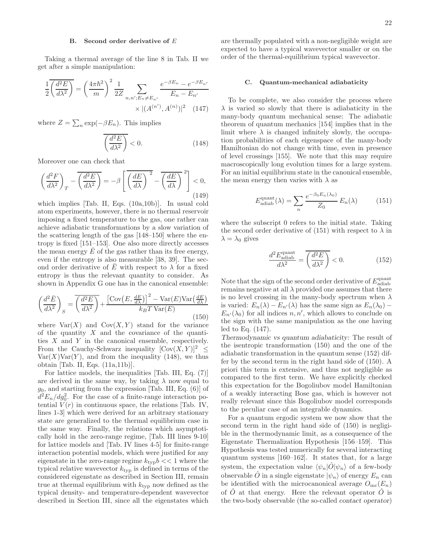# B. Second order derivative of E

Taking a thermal average of the line 8 in Tab. II we get after a simple manipulation:

$$
\frac{1}{2} \overline{\left(\frac{d^2 E}{d\lambda^2}\right)} = \left(\frac{4\pi \hbar^2}{m}\right)^2 \frac{1}{2Z} \sum_{n,n':E_n \neq E_{n'}} \frac{e^{-\beta E_n} - e^{-\beta E_{n'}}}{E_n - E_{n'}}
$$

$$
\times |(A^{(n')}, A^{(n)})|^2 \quad (147)
$$

where  $Z = \sum_{n} \exp(-\beta E_n)$ . This implies

$$
\overline{\left(\frac{d^2E}{d\lambda^2}\right)} < 0. \tag{148}
$$

Moreover one can check that

$$
\left(\frac{d^2F}{d\lambda^2}\right)_T - \overline{\left(\frac{d^2E}{d\lambda^2}\right)} = -\beta \left[ \overline{\left(\frac{dE}{d\lambda}\right)^2} - \overline{\left(\frac{dE}{d\lambda}\right)^2} \right] < 0,
$$
\n(149)

which implies [Tab. II, Eqs. (10a,10b)]. In usual cold atom experiments, however, there is no thermal reservoir imposing a fixed temperature to the gas, one rather can achieve adiabatic transformations by a slow variation of the scattering length of the gas [148–150] where the entropy is fixed [151–153]. One also more directly accesses the mean energy  $E$  of the gas rather than its free energy, even if the entropy is also measurable [38, 39]. The second order derivative of  $\overline{E}$  with respect to  $\lambda$  for a fixed entropy is thus the relevant quantity to consider. As shown in Appendix G one has in the canonical ensemble:

$$
\left(\frac{d^2\bar{E}}{d\lambda^2}\right)_S = \overline{\left(\frac{d^2E}{d\lambda^2}\right)} + \frac{\left[\text{Cov}\left(E, \frac{dE}{d\lambda}\right)\right]^2 - \text{Var}(E)\text{Var}\left(\frac{dE}{d\lambda}\right)}{k_BT\text{Var}(E)}\tag{150}
$$

where  $Var(X)$  and  $Cov(X, Y)$  stand for the variance of the quantity  $X$  and the covariance of the quantities  $X$  and  $Y$  in the canonical ensemble, respectively. From the Cauchy-Schwarz inequality  $[\text{Cov}(X, Y)]^2 \leq$  $Var(X)Var(Y)$ , and from the inequality (148), we thus obtain [Tab. II, Eqs. (11a,11b)].

For lattice models, the inequalities [Tab. III, Eq. (7)] are derived in the same way, by taking  $\lambda$  now equal to  $g_0$ , and starting from the expression [Tab. III, Eq.  $(6)$ ] of  $d^2E_n/dg_0^2$ . For the case of a finite-range interaction potential  $V(r)$  in continuous space, the relations [Tab. IV, lines 1-3] which were derived for an arbitrary stationary state are generalized to the thermal equilibrium case in the same way. Finally, the relations which asymptotically hold in the zero-range regime, [Tab. III lines 9-10] for lattice models and [Tab. IV lines 4-5] for finite-range interaction potential models, which were justified for any eigenstate in the zero-range regime  $k_{\text{typ}}b \ll 1$  where the typical relative wavevector  $k_{\text{typ}}$  is defined in terms of the considered eigenstate as described in Section III, remain true at thermal equilibrium with  $k_{\text{typ}}$  now defined as the typical density- and temperature-dependent wavevector described in Section III, since all the eigenstates which

are thermally populated with a non-negligible weight are expected to have a typical wavevector smaller or on the order of the thermal-equilibrium typical wavevector.

### C. Quantum-mechanical adiabaticity

To be complete, we also consider the process where  $\lambda$  is varied so slowly that there is adiabaticity in the many-body quantum mechanical sense: The adiabatic theorem of quantum mechanics [154] implies that in the limit where  $\lambda$  is changed infinitely slowly, the occupation probabilities of each eigenspace of the many-body Hamiltonian do not change with time, even in presence of level crossings [155]. We note that this may require macroscopically long evolution times for a large system. For an initial equilibrium state in the canonical ensemble, the mean energy then varies with  $\lambda$  as

$$
E_{\text{adiab}}^{\text{quant}}(\lambda) = \sum_{n} \frac{e^{-\beta_0 E_n(\lambda_0)}}{Z_0} E_n(\lambda) \tag{151}
$$

where the subscript 0 refers to the initial state. Taking the second order derivative of (151) with respect to  $\lambda$  in  $\lambda = \lambda_0$  gives

$$
\frac{d^2 E_{\text{adiab}}^{\text{quant}}}{d\lambda^2} = \overline{\left(\frac{d^2 E}{d\lambda^2}\right)} < 0.
$$
 (152)

Note that the sign of the second order derivative of  $E_{\text{adiab}}^{\text{quant}}$ remains negative at all  $\lambda$  provided one assumes that there is no level crossing in the many-body spectrum when  $\lambda$ is varied:  $E_n(\lambda) - E_{n'}(\lambda)$  has the same sign as  $E_n(\lambda_0)$  –  $E_{n'}(\lambda_0)$  for all indices  $n, n'$ , which allows to conclude on the sign with the same manipulation as the one having led to Eq. (147).

Thermodynamic vs quantum adiabaticity: The result of the isentropic transformation (150) and the one of the adiabatic transformation in the quantum sense (152) differ by the second term in the right hand side of (150). A priori this term is extensive, and thus not negligible as compared to the first term. We have explicitly checked this expectation for the Bogoliubov model Hamiltonian of a weakly interacting Bose gas, which is however not really relevant since this Bogoliubov model corresponds to the peculiar case of an integrable dynamics.

For a quantum ergodic system we now show that the second term in the right hand side of (150) is negligible in the thermodynamic limit, as a consequence of the Eigenstate Thermalization Hypothesis [156–159]. This Hypothesis was tested numerically for several interacting quantum systems [160–162]. It states that, for a large system, the expectation value  $\langle \psi_n|\hat{O}|\psi_n\rangle$  of a few-body observable  $\hat{O}$  in a single eigenstate  $|\psi_n\rangle$  of energy  $E_n$  can be identified with the microcanonical average  $O_{\text{mc}}(E_n)$ of  $\ddot{O}$  at that energy. Here the relevant operator  $\ddot{O}$  is the two-body observable (the so-called contact operator)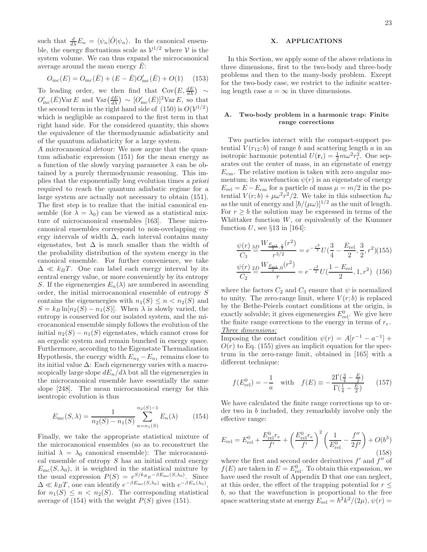such that  $\frac{d}{d\lambda}E_n = \langle \psi_n|\hat{O}|\psi_n\rangle$ . In the canonical ensemble, the energy fluctuations scale as  $\mathcal{V}^{1/2}$  where  $\mathcal V$  is the system volume. We can thus expand the microcanonical average around the mean energy  $\overline{E}$ :

$$
O_{\rm mc}(E) = O_{\rm mc}(\bar{E}) + (E - \bar{E})O_{\rm mc}'(\bar{E}) + O(1) \quad (153)
$$

To leading order, we then find that  $Cov(E, \frac{dE}{d\lambda}) \sim$  $O'_{\rm mc}(\bar{E})$ Var E and Var $\left(\frac{dE}{d\lambda}\right) \sim [O'_{\rm mc}(\bar{E})]^2$ Var E, so that the second term in the right hand side of  $(150)$  is  $O(V^{1/2})$ which is negligible as compared to the first term in that right hand side. For the considered quantity, this shows the equivalence of the thermodynamic adiabaticity and of the quantum adiabaticity for a large system.

A microcanonical detour: We now argue that the quantum adiabatic expression (151) for the mean energy as a function of the slowly varying parameter  $\lambda$  can be obtained by a purely thermodynamic reasoning. This implies that the exponentially long evolution times a priori required to reach the quantum adiabatic regime for a large system are actually not necessary to obtain (151). The first step is to realize that the initial canonical ensemble (for  $\lambda = \lambda_0$ ) can be viewed as a statistical mixture of microcanonical ensembles [163]. These microcanonical ensembles correspond to non-overlapping energy intervals of width  $\Delta$ , each interval contains many eigenstates, but  $\Delta$  is much smaller than the width of the probability distribution of the system energy in the canonical ensemble. For further convenience, we take  $\Delta \ll k_B T$ . One can label each energy interval by its central energy value, or more conveniently by its entropy S. If the eigenenergies  $E_n(\lambda)$  are numbered in ascending order, the initial microcanonical ensemble of entropy S contains the eigenenergies with  $n_1(S) \leq n < n_2(S)$  and  $S = k_B \ln[n_2(S) - n_1(S)]$ . When  $\lambda$  is slowly varied, the entropy is conserved for our isolated system, and the microcanonical ensemble simply follows the evolution of the initial  $n_2(S) - n_1(S)$  eigenstates, which cannot cross for an ergodic system and remain bunched in energy space. Furthermore, according to the Eigenstate Thermalization Hypothesis, the energy width  $E_{n_2} - E_{n_1}$  remains close to its initial value  $\Delta$ : Each eigenenergy varies with a macroscopically large slope  $dE_n/d\lambda$  but all the eigenenergies in the microcanonical ensemble have essentially the same slope [248]. The mean microcanonical energy for this isentropic evolution is thus

$$
E_{\rm mc}(S,\lambda) = \frac{1}{n_2(S) - n_1(S)} \sum_{n=n_1(S)}^{n_2(S)-1} E_n(\lambda)
$$
 (154)

Finally, we take the appropriate statistical mixture of the microcanonical ensembles (so as to reconstruct the initial  $\lambda = \lambda_0$  canonical ensemble): The microcanonical ensemble of entropy  $S$  has an initial central energy  $E_{\rm mc}(S, \lambda_0)$ , it is weighted in the statistical mixture by the usual expression  $P(S) = e^{S/k_B} e^{-\beta E_{\text{mc}}(S,\lambda_0)}$ . Since  $\Delta \ll k_B T$ , one can identify  $e^{-\beta E_{\text{mc}}(S,\lambda_0)}$  with  $e^{-\beta E_n(\lambda_0)}$ , for  $n_1(S) \leq n \leq n_2(S)$ . The corresponding statistical average of  $(154)$  with the weight  $P(S)$  gives  $(151)$ .

# X. APPLICATIONS

In this Section, we apply some of the above relations in three dimensions, first to the two-body and three-body problems and then to the many-body problem. Except for the two-body case, we restrict to the infinite scattering length case  $a = \infty$  in three dimensions.

# A. Two-body problem in a harmonic trap: Finite range corrections

Two particles interact with the compact-support potential  $V(r_{12}; b)$  of range b and scattering length a in an isotropic harmonic potential  $U(\mathbf{r}_i) = \frac{1}{2}m\omega^2 r_i^2$ . One separates out the center of mass, in an eigenstate of energy  $E<sub>cm</sub>$ . The relative motion is taken with zero angular momentum; its wavefunction  $\psi(r)$  is an eigenstate of energy  $E_{\text{rel}} = E - E_{\text{cm}}$  for a particle of mass  $\mu = m/2$  in the potential  $V(r;b) + \mu \omega^2 \hat{r}^2/2$ . We take in this subsection  $\hbar \omega$ as the unit of energy and  $[\hbar/(\mu\omega)]^{1/2}$  as the unit of length. For  $r \geq b$  the solution may be expressed in terms of the Whittaker function  $W$ , or equivalently of the Kummer function U, see  $\S 13$  in [164]:

$$
\frac{\psi(r)}{C_3} \stackrel{\text{3D}}{=} \frac{W_{\frac{E_{\text{rel}}}{2},\frac{1}{4}}(r^2)}{r^{3/2}} = e^{-\frac{r^2}{2}} U(\frac{3}{4} - \frac{E_{\text{rel}}}{2}, \frac{3}{2}, r^2)(155)
$$
\n
$$
\frac{\psi(r)}{C_2} \stackrel{\text{2D}}{=} \frac{W_{\frac{E_{\text{rel}}}{2},0}(r^2)}{r} = e^{-\frac{r^2}{2}} U(\frac{1 - E_{\text{rel}}}{2}, 1, r^2) \tag{156}
$$

where the factors  $C_2$  and  $C_3$  ensure that  $\psi$  is normalized to unity. The zero-range limit, where  $V(r; b)$  is replaced by the Bethe-Peierls contact conditions at the origin, is exactly solvable; it gives eigenenergies  $E_{rel}^0$ . We give here the finite range corrections to the energy in terms of  $r_e$ . Three dimensions:

Imposing the contact condition  $\psi(r) = A[r^{-1} - a^{-1}] +$  $O(r)$  to Eq. (155) gives an implicit equation for the spectrum in the zero-range limit, obtained in [165] with a different technique:

$$
f(E_{\text{rel}}^0) = -\frac{1}{a} \quad \text{with} \quad f(E) \equiv -\frac{2\Gamma(\frac{3}{4} - \frac{E}{2})}{\Gamma(\frac{1}{4} - \frac{E}{2})} \tag{157}
$$

We have calculated the finite range corrections up to order two in b included, they remarkably involve only the effective range:

$$
E_{\rm rel} = E_{\rm rel}^0 + \frac{E_{\rm rel}^0 r_e}{f'} + \left(\frac{E_{\rm rel}^0 r_e}{f'}\right)^2 \left(\frac{1}{E_{\rm rel}^0} - \frac{f''}{2f'}\right) + O(b^3)
$$
\n(158)

where the first and second order derivatives  $f'$  and  $f''$  of  $f(E)$  are taken in  $E = E_{rel}^0$ . To obtain this expansion, we have used the result of Appendix D that one can neglect, at this order, the effect of the trapping potential for  $r \leq$ b, so that the wavefunction is proportional to the free space scattering state at energy  $E_{rel} = \hbar^2 k^2 / (2\mu)$ ,  $\psi(r) =$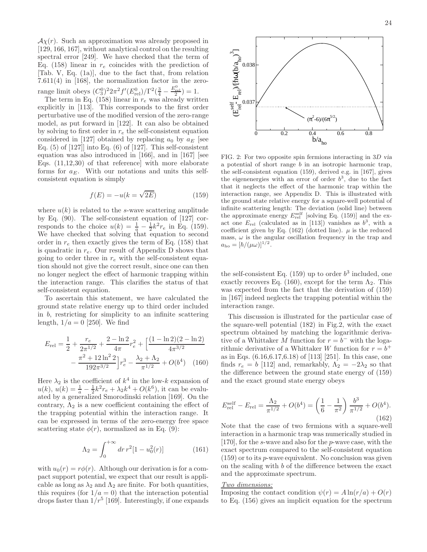$A\chi(r)$ . Such an approximation was already proposed in [129, 166, 167], without analytical control on the resulting spectral error [249]. We have checked that the term of Eq. (158) linear in  $r_e$  coincides with the prediction of [Tab. V, Eq. (1a)], due to the fact that, from relation 7.611(4) in [168], the normalization factor in the zerorange limit obeys  $(C_3^0)^2 2\pi^2 f'(E_{\text{rel}}^0)/\Gamma^2(\frac{3}{4}-\frac{E_{\text{rel}}^0}{2}) = 1.$ 

The term in Eq. (158) linear in  $r_e$  was already written explicitly in [113]. This corresponds to the first order perturbative use of the modified version of the zero-range model, as put forward in [122]. It can also be obtained by solving to first order in  $r_e$  the self-consistent equation considered in [127] obtained by replacing  $a_0$  by  $a_E$  [see Eq.  $(5)$  of  $[127]$  into Eq.  $(6)$  of  $[127]$ . This self-consistent equation was also introduced in [166], and in [167] [see Eqs. (11,12,30) of that reference] with more elaborate forms for  $a_E$ . With our notations and units this selfconsistent equation is simply

$$
f(E) = -u(k = \sqrt{2E})
$$
\n(159)

where  $u(k)$  is related to the s-wave scattering amplitude by Eq. (90). The self-consistent equation of [127] corresponds to the choice  $u(k) = \frac{1}{a} - \frac{1}{2}k^2 r_e$  in Eq. (159). We have checked that solving that equation to second order in  $r_e$  then exactly gives the term of Eq. (158) that is quadratic in  $r_e$ . Our result of Appendix D shows that going to order three in  $r_e$  with the self-consistent equation should not give the correct result, since one can then no longer neglect the effect of harmonic trapping within the interaction range. This clarifies the status of that self-consistent equation.

To ascertain this statement, we have calculated the ground state relative energy up to third order included in b, restricting for simplicity to an infinite scattering length,  $1/a = 0$  [250]. We find

$$
E_{\rm rel} = \frac{1}{2} + \frac{r_e}{2\pi^{1/2}} + \frac{2 - \ln 2}{4\pi} r_e^2 + \left[ \frac{(1 - \ln 2)(2 - \ln 2)}{4\pi^{3/2}} - \frac{\pi^2 + 12\ln^2 2}{192\pi^{3/2}} \right] r_e^3 - \frac{\lambda_2 + \Lambda_2}{\pi^{1/2}} + O(b^4) \quad (160)
$$

Here  $\lambda_2$  is the coefficient of  $k^4$  in the low-k expansion of  $u(k)$ ,  $u(k) = \frac{1}{a} - \frac{1}{2}k^2 r_e + \lambda_2 k^4 + O(k^6)$ , it can be evaluated by a generalized Smorodinski relation [169]. On the contrary,  $\Lambda_2$  is a new coefficient containing the effect of the trapping potential within the interaction range. It can be expressed in terms of the zero-energy free space scattering state  $\phi(r)$ , normalized as in Eq. (9):

$$
\Lambda_2 = \int_0^{+\infty} dr \, r^2 [1 - u_0^2(r)] \tag{161}
$$

with  $u_0(r) = r\phi(r)$ . Although our derivation is for a compact support potential, we expect that our result is applicable as long as  $\lambda_2$  and  $\Lambda_2$  are finite. For both quantities, this requires (for  $1/a = 0$ ) that the interaction potential drops faster than  $1/r^5$  [169]. Interestingly, if one expands



FIG. 2: For two opposite spin fermions interacting in 3D via a potential of short range  $b$  in an isotropic harmonic trap, the self-consistent equation (159), derived e.g. in [167], gives the eigenenergies with an error of order  $b^3$ , due to the fact that it neglects the effect of the harmonic trap within the interaction range, see Appendix D. This is illustrated with the ground state relative energy for a square-well potential of infinite scattering length: The deviation (solid line) between the approximate energy  $E_{rel}^{\text{self}}$  [solving Eq. (159)] and the exact one  $E_{rel}$  (calculated as in [113]) vanishes as  $b^3$ , with a coefficient given by Eq. (162) (dotted line).  $\mu$  is the reduced mass,  $\omega$  is the angular oscillation frequency in the trap and  $a_{\rm ho} = [\hbar/(\mu\omega)]^{1/2}.$ 

the self-consistent Eq.  $(159)$  up to order  $b<sup>3</sup>$  included, one exactly recovers Eq. (160), except for the term  $\Lambda_2$ . This was expected from the fact that the derivation of (159) in [167] indeed neglects the trapping potential within the interaction range.

This discussion is illustrated for the particular case of the square-well potential (182) in Fig.2, with the exact spectrum obtained by matching the logarithmic derivative of a Whittaker M function for  $r = b^-$  with the logarithmic derivative of a Whittaker W function for  $r = b^+$ as in Eqs. (6.16,6.17,6.18) of [113] [251]. In this case, one finds  $r_e = b$  [112] and, remarkably,  $\Lambda_2 = -2\lambda_2$  so that the difference between the ground state energy of (159) and the exact ground state energy obeys

$$
E_{\rm rel}^{\rm self} - E_{\rm rel} = \frac{\Lambda_2}{\pi^{1/2}} + O(b^4) = \left(\frac{1}{6} - \frac{1}{\pi^2}\right) \frac{b^3}{\pi^{1/2}} + O(b^4). \tag{162}
$$

Note that the case of two fermions with a square-well interaction in a harmonic trap was numerically studied in [170], for the s-wave and also for the p-wave case, with the exact spectrum compared to the self-consistent equation (159) or to its p-wave equivalent. No conclusion was given on the scaling with b of the difference between the exact and the approximate spectrum.

# Two dimensions:

Imposing the contact condition  $\psi(r) = A \ln(r/a) + O(r)$ to Eq. (156) gives an implicit equation for the spectrum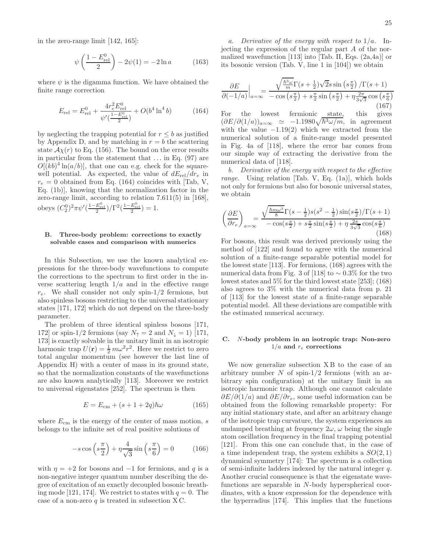in the zero-range limit [142, 165]:

$$
\psi\left(\frac{1 - E_{\text{rel}}^0}{2}\right) - 2\psi(1) = -2\ln a \tag{163}
$$

where  $\psi$  is the digamma function. We have obtained the finite range correction

$$
E_{\rm rel} = E_{\rm rel}^0 + \frac{4r_e^2 E_{\rm rel}^0}{\psi'(\frac{1 - E_{\rm rel}^0}{2})} + O(b^4 \ln^4 b) \tag{164}
$$

by neglecting the trapping potential for  $r \leq b$  as justified by Appendix D, and by matching in  $r = b$  the scattering state  $A\chi(r)$  to Eq. (156). The bound on the error results in particular from the statement that  $\dots$  in Eq. (97) are  $O[(kb)^4 \ln(a/b)]$ , that one can e.g. check for the squarewell potential. As expected, the value of  $dE_{rel}/dr_e$  in  $r_e = 0$  obtained from Eq. (164) coincides with [Tab, V, Eq. (1b)], knowing that the normalization factor in the zero-range limit, according to relation 7.611(5) in [168], obeys  $(C_2^0)^2 \pi \psi'(\frac{1 - E_{\text{rel}}^0}{2}) / \Gamma^2(\frac{1 - E_{\text{rel}}^0}{2}) = 1.$ 

# B. Three-body problem: corrections to exactly solvable cases and comparison with numerics

In this Subsection, we use the known analytical expressions for the three-body wavefunctions to compute the corrections to the spectrum to first order in the inverse scattering length  $1/a$  and in the effective range  $r_e$ . We shall consider not only spin-1/2 fermions, but also spinless bosons restricting to the universal stationary states [171, 172] which do not depend on the three-body parameter.

The problem of three identical spinless bosons [171, 172] or spin-1/2 fermions (say  $N_{\uparrow} = 2$  and  $N_{\downarrow} = 1$ ) [171, 173] is exactly solvable in the unitary limit in an isotropic harmonic trap  $U(\mathbf{r}) = \frac{1}{2} m \omega^2 r^2$ . Here we restrict to zero total angular momentum (see however the last line of Appendix H) with a center of mass in its ground state, so that the normalization constants of the wavefunctions are also known analytically [113]. Moreover we restrict to universal eigenstates [252]. The spectrum is then

$$
E = E_{\rm cm} + (s + 1 + 2q)\hbar\omega \tag{165}
$$

where  $E_{\text{cm}}$  is the energy of the center of mass motion, s belongs to the infinite set of real positive solutions of

$$
-s\cos\left(s\frac{\pi}{2}\right) + \eta\frac{4}{\sqrt{3}}\sin\left(s\frac{\pi}{6}\right) = 0\tag{166}
$$

with  $\eta = +2$  for bosons and  $-1$  for fermions, and q is a non-negative integer quantum number describing the degree of excitation of an exactly decoupled bosonic breathing mode [121, 174]. We restrict to states with  $q = 0$ . The case of a non-zero  $q$  is treated in subsection XC.

a. Derivative of the energy with respect to  $1/a$ . Injecting the expression of the regular part A of the normalized wavefunction [113] into [Tab. II, Eqs. (2a,4a)] or its bosonic version (Tab. V, line 1 in [104]) we obtain

$$
\frac{\partial E}{\partial (-1/a)}\Big|_{a=\infty} = \frac{\sqrt{\frac{\hbar^3 \omega}{m} \Gamma(s+\frac{1}{2})\sqrt{2}s \sin\left(s\frac{\pi}{2}\right)/\Gamma(s+1)}}{-\cos\left(s\frac{\pi}{2}\right) + s\frac{\pi}{2}\sin\left(s\frac{\pi}{2}\right) + \eta\frac{2\pi}{3\sqrt{3}}\cos\left(s\frac{\pi}{6}\right)}
$$
(167)

For the lowest fermionic state, this gives  $(\partial E/\partial (1/a))_{a=\infty} \simeq -1.1980\sqrt{\hbar^3\omega/m}$ , in agreement with the value  $-1.19(2)$  which we extracted from the numerical solution of a finite-range model presented in Fig. 4a of [118], where the error bar comes from our simple way of extracting the derivative from the numerical data of [118].

b. Derivative of the energy with respect to the effective *range.* Using relation [Tab. V, Eq.  $(1a)$ ], which holds not only for fermions but also for bosonic universal states, we obtain

$$
\left(\frac{\partial E}{\partial r_e}\right)_{a=\infty} = \frac{\sqrt{\frac{\hbar m \omega^3}{8}} \Gamma(s-\frac{1}{2}) s(s^2-\frac{1}{2}) \sin(s\frac{\pi}{2}) / \Gamma(s+1)}{-\cos(s\frac{\pi}{2}) + s\frac{\pi}{2} \sin(s\frac{\pi}{2}) + \eta \frac{2\pi}{3\sqrt{3}} \cos(s\frac{\pi}{6})}
$$
(168)

For bosons, this result was derived previously using the method of [122] and found to agree with the numerical solution of a finite-range separable potential model for the lowest state [113]. For fermions, (168) agrees with the numerical data from Fig. 3 of [118] to  $\sim 0.3\%$  for the two lowest states and 5% for the third lowest state [253]; (168) also agrees to 3% with the numerical data from p. 21 of [113] for the lowest state of a finite-range separable potential model. All these deviations are compatible with the estimated numerical accuracy.

# C. N-body problem in an isotropic trap: Non-zero  $1/a$  and  $r_e$  corrections

We now generalize subsection  $XB$  to the case of an arbitrary number  $N$  of spin-1/2 fermions (with an arbitrary spin configuration) at the unitary limit in an isotropic harmonic trap. Although one cannot calculate  $\partial E/\partial (1/a)$  and  $\partial E/\partial r_e$ , some useful information can be obtained from the following remarkable property: For any initial stationary state, and after an arbitrary change of the isotropic trap curvature, the system experiences an undamped breathing at frequency  $2\omega$ ,  $\omega$  being the single atom oscillation frequency in the final trapping potential [121]. From this one can conclude that, in the case of a time independent trap, the system exhibits a  $SO(2,1)$ dynamical symmetry [174]: The spectrum is a collection of semi-infinite ladders indexed by the natural integer q. Another crucial consequence is that the eigenstate wavefunctions are separable in N-body hyperspherical coordinates, with a know expression for the dependence with the hyperradius [174]. This implies that the functions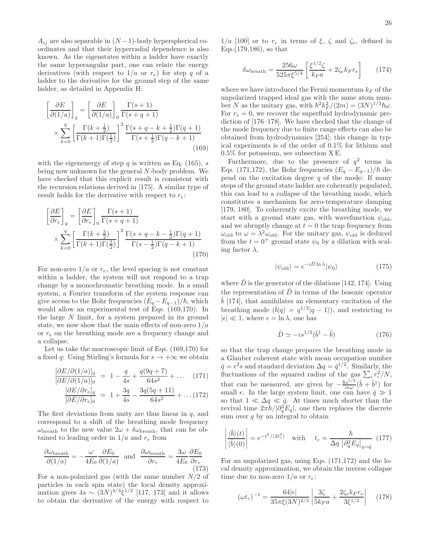$A_{ij}$  are also separable in  $(N-1)$ -body hyperspherical coordinates and that their hyperradial dependence is also known. As the eigenstates within a ladder have exactly the same hyperangular part, one can relate the energy derivatives (with respect to  $1/a$  or  $r_e$ ) for step q of a ladder to the derivative for the ground step of the same ladder, as detailed in Appendix H:

$$
\left[\frac{\partial E}{\partial (1/a)}\right]_q = \left[\frac{\partial E}{\partial (1/a)}\right]_0 \frac{\Gamma(s+1)}{\Gamma(s+q+1)}\n\times \sum_{k=0}^q \left[\frac{\Gamma(k+\frac{1}{2})}{\Gamma(k+1)\Gamma(\frac{1}{2})}\right]^2 \frac{\Gamma(s+q-k+\frac{1}{2})\Gamma(q+1)}{\Gamma(s+\frac{1}{2})\Gamma(q-k+1)}\n\times (169)
$$

with the eigenenergy of step q is written as Eq.  $(165)$ , s being now unknown for the general N-body problem. We have checked that this explicit result is consistent with the recursion relations derived in [175]. A similar type of result holds for the derivative with respect to  $r_e$ :

$$
\begin{aligned}\n\left[\frac{\partial E}{\partial r_e}\right]_q &= \left[\frac{\partial E}{\partial r_e}\right]_0 \frac{\Gamma(s+1)}{\Gamma(s+q+1)} \\
&\times \sum_{k=0}^q \left[\frac{\Gamma(k+\frac{3}{2})}{\Gamma(k+1)\Gamma(\frac{3}{2})}\right]^2 \frac{\Gamma(s+q-k-\frac{1}{2})\Gamma(q+1)}{\Gamma(s-\frac{1}{2})\Gamma(q-k+1)}\n\end{aligned} \tag{170}
$$

For non-zero  $1/a$  or  $r_e$ , the level spacing is not constant within a ladder, the system will not respond to a trap change by a monochromatic breathing mode. In a small system, a Fourier transform of the system response can give access to the Bohr frequencies  $(E_q - E_{q-1})/\hbar$ , which would allow an experimental test of Eqs. (169,170). In the large N limit, for a system prepared in its ground state, we now show that the main effects of non-zero  $1/a$ or  $r_e$  on the breathing mode are a frequency change and a collapse.

Let us take the macroscopic limit of Eqs. (169,170) for a fixed q: Using Stirling's formula for  $s \to +\infty$  we obtain

$$
\frac{[\partial E/\partial (1/a)]_q}{[\partial E/\partial (1/a)]_0} = 1 - \frac{q}{4s} + \frac{q(9q+7)}{64s^2} + \dots (171)
$$

$$
\frac{[\partial E/\partial r_e]_q}{[\partial E/\partial r_e]_0} = 1 + \frac{3q}{4s} - \frac{3q(5q+11)}{64s^2} + \dots (172)
$$

The first deviations from unity are thus linear in  $q$ , and correspond to a shift of the breathing mode frequency  $\omega_{\text{breath}}$  to the new value  $2\omega + \delta \omega_{\text{breath}}$ , that can be obtained to leading order in  $1/a$  and  $r_e$  from

$$
\frac{\partial \omega_{\text{breath}}}{\partial (1/a)} = -\frac{\omega}{4E_0} \frac{\partial E_0}{\partial (1/a)} \text{ and } \frac{\partial \omega_{\text{breath}}}{\partial r_e} = \frac{3\omega}{4E_0} \frac{\partial E_0}{\partial r_e}
$$
(173)

For a non-polarized gas (with the same number  $N/2$  of particles in each spin state) the local density approximation gives  $4s \sim (3N)^{4/3} \xi^{1/2}$  [117, 173] and it allows to obtain the derivative of the energy with respect to

 $1/a$  [100] or to  $r_e$  in terms of  $\xi$ ,  $\zeta$  and  $\zeta_e$ , defined in Eqs.(179,186), so that

$$
\delta\omega_{\text{breath}} = \frac{256\omega}{525\pi\xi^{5/4}} \left[ \frac{\xi^{1/2}\zeta}{k_F a} + 2\zeta_e k_F r_e \right] \tag{174}
$$

where we have introduced the Fermi momentum  $k_F$  of the unpolarized trapped ideal gas with the same atom number N as the unitary gas, with  $\hbar^2 k_F^2/(2m) = (3N)^{1/3} \hbar \omega$ . For  $r_e = 0$ , we recover the superfluid hydrodynamic prediction of [176–178]. We have checked that the change of the mode frequency due to finite range effects can also be obtained from hydrodynamics [254]; this change in typical experiments is of the order of 0.1% for lithium and  $0.5\%$  for potassium, see subsection XE.

Furthermore, due to the presence of  $q^2$  terms in Eqs. (171,172), the Bohr frequencies  $(E_q - E_{q-1})/\hbar$  depend on the excitation degree  $q$  of the mode: If many steps of the ground state ladder are coherently populated, this can lead to a collapse of the breathing mode, which constitutes a mechanism for zero-temperature damping [179, 180]. To coherently excite the breathing mode, we start with a ground state gas, with wavefunction  $\psi_{old}$ , and we abruptly change at  $t = 0$  the trap frequency from  $\omega_{\text{old}}$  to  $\omega = \lambda^2 \omega_{\text{old}}$ . For the unitary gas,  $\psi_{\text{old}}$  is deduced from the  $t = 0^+$  ground state  $\psi_0$  by a dilation with scaling factor  $\lambda$ ,

$$
|\psi_{\text{old}}\rangle = e^{-i\hat{D}\ln\lambda}|\psi_0\rangle \tag{175}
$$

where  $\hat{D}$  is the generator of the dilations [142, 174]. Using the representation of  $\hat{D}$  in terms of the bosonic operator  $\hat{b}$  [174], that annihilates an elementary excitation of the breathing mode  $(\hat{b}|q) = q^{1/2}|q-1\rangle$ , and restricting to  $|\epsilon| \ll 1$ , where  $\epsilon = \ln \lambda$ , one has

$$
\hat{D} \simeq -is^{1/2}(\hat{b}^{\dagger} - \hat{b})\tag{176}
$$

so that the trap change prepares the breathing mode in a Glauber coherent state with mean occupation number  $\bar{q} = \epsilon^2 s$  and standard deviation  $\Delta q = \bar{q}^{1/2}$ . Similarly, the fluctuations of the squared radius of the gas  $\sum_i r_i^2/N$ , that can be measured, are given by  $-\frac{\hbar s^{1/2}}{m\omega}$  $\frac{ds^{1/2}}{m\omega}(\hat{b}+\hat{b}^{\dagger})$  for small  $\epsilon$ . In the large system limit, one can have  $\bar{q} \gg 1$ so that  $1 \ll \Delta q \ll \bar{q}$ . At times much shorter than the revival time  $2\pi\hbar/|\partial_q^2 E_q|$ , one then replaces the discrete sum over  $q$  by an integral to obtain

$$
\left| \frac{\langle \hat{b} \rangle(t)}{\langle \hat{b} \rangle(0)} \right| = e^{-t^2/(2t_c^2)} \quad \text{with} \quad t_c = \frac{\hbar}{\Delta q \left| \partial_q^2 E_q \right|_{q=\bar{q}}} \tag{177}
$$

For an unpolarized gas, using Eqs. (171,172) and the local density approximation, we obtain the inverse collapse time due to non-zero  $1/a$  or  $r_e$ :

$$
(\omega t_c)^{-1} = \frac{64|\epsilon|}{35\pi\xi(3N)^{2/3}} \left| \frac{3\zeta}{5k_F a} + \frac{2\zeta_e k_F r_e}{3\xi^{1/2}} \right| \quad (178)
$$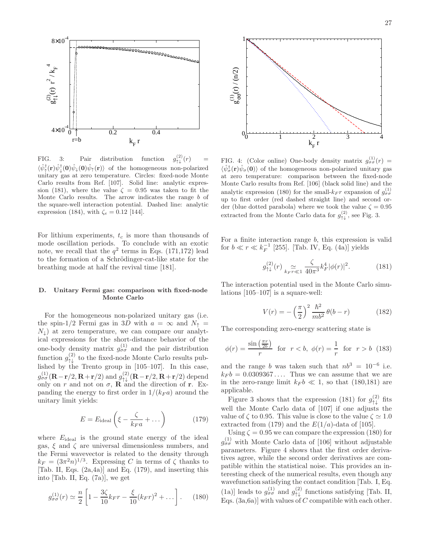

FIG. 3: Pair distribution function  $\int_{\uparrow \downarrow}^{(2)} (r)$  =  $\langle \hat{\psi}_{\uparrow}^{\dagger}(\mathbf{r}) \hat{\psi}_{\downarrow}^{\dagger}(\mathbf{0}) \hat{\psi}_{\uparrow}(\mathbf{r}) \rangle$  of the homogeneous non-polarized unitary gas at zero temperature. Circles: fixed-node Monte Carlo results from Ref. [107]. Solid line: analytic expression (181), where the value  $\zeta = 0.95$  was taken to fit the Monte Carlo results. The arrow indicates the range b of the square-well interaction potential. Dashed line: analytic expression (184), with  $\zeta_e = 0.12$  [144].

For lithium experiments,  $t_c$  is more than thousands of mode oscillation periods. To conclude with an exotic note, we recall that the  $q^2$  terms in Eqs. (171,172) lead to the formation of a Schrödinger-cat-like state for the breathing mode at half the revival time [181].

# D. Unitary Fermi gas: comparison with fixed-node Monte Carlo

For the homogeneous non-polarized unitary gas (i.e. the spin-1/2 Fermi gas in 3D with  $a = \infty$  and  $N_{\uparrow}$  =  $N_{\downarrow}$ ) at zero temperature, we can compare our analytical expressions for the short-distance behavior of the one-body density matrix  $g_{\sigma\sigma}^{(1)}$  and the pair distribution function  $g_{\uparrow\downarrow}^{(2)}$  to the fixed-node Monte Carlo results published by the Trento group in [105–107]. In this case,  $g_{\sigma\sigma}^{(1)}(\mathbf{R}-\mathbf{r}/2,\mathbf{R}+\mathbf{r}/2)$  and  $g_{\uparrow\downarrow}^{(2)}(\mathbf{R}-\mathbf{r}/2,\mathbf{R}+\mathbf{r}/2)$  depend<br>only on r and not on  $\sigma$ , **R** and the direction of **r**. Expanding the energy to first order in  $1/(k_F a)$  around the unitary limit yields:

$$
E = E_{\text{ideal}} \left( \xi - \frac{\zeta}{k_F a} + \dots \right) \tag{179}
$$

where  $E_{\text{ideal}}$  is the ground state energy of the ideal gas,  $\xi$  and  $\zeta$  are universal dimensionless numbers, and the Fermi wavevector is related to the density through  $k_F = (3\pi^2 n)^{1/3}$ . Expressing C in terms of  $\zeta$  thanks to [Tab. II, Eqs. (2a,4a)] and Eq. (179), and inserting this into [Tab. II, Eq. (7a)], we get

$$
g_{\sigma\sigma}^{(1)}(r) \simeq \frac{n}{2} \left[ 1 - \frac{3\zeta}{10} k_F r - \frac{\xi}{10} (k_F r)^2 + \dots \right].
$$
 (180)



FIG. 4: (Color online) One-body density matrix  $g_{\sigma\sigma}^{(1)}(r) =$  $\langle \hat{\psi}_{\sigma}^{\dagger}(\mathbf{r})\hat{\psi}_{\sigma}(\mathbf{0})\rangle$  of the homogeneous non-polarized unitary gas at zero temperature: comparison between the fixed-node Monte Carlo results from Ref. [106] (black solid line) and the analytic expression (180) for the small- $k_F r$  expansion of  $g_{\sigma\sigma}^{(1)}$ up to first order (red dashed straight line) and second order (blue dotted parabola) where we took the value  $\zeta = 0.95$ extracted from the Monte Carlo data for  $g_{\uparrow\downarrow}^{(2)}$ , see Fig. 3.

For a finite interaction range  $b$ , this expression is valid for  $b \ll r \ll k_F^{-1}$  [255]. [Tab. IV, Eq. (4a)] yields

$$
g_{\uparrow\downarrow}^{(2)}(r) \underset{k_F r \ll 1}{\simeq} \frac{\zeta}{40\pi^3} k_F^4 |\phi(r)|^2. \tag{181}
$$

The interaction potential used in the Monte Carlo simulations [105–107] is a square-well:

$$
V(r) = -\left(\frac{\pi}{2}\right)^2 \frac{\hbar^2}{mb^2} \theta(b-r)
$$
 (182)

The corresponding zero-energy scattering state is

$$
\phi(r) = \frac{\sin\left(\frac{\pi r}{2b}\right)}{r} \quad \text{for} \quad r < b, \quad \phi(r) = \frac{1}{r} \quad \text{for} \quad r > b \tag{183}
$$

and the range b was taken such that  $nb^3 = 10^{-6}$  i.e.  $k_F b = 0.0309367...$  Thus we can assume that we are in the zero-range limit  $k_F b \ll 1$ , so that (180,181) are applicable.

Figure 3 shows that the expression (181) for  $g_{\uparrow\downarrow}^{(2)}$  fits well the Monte Carlo data of [107] if one adjusts the value of  $\zeta$  to 0.95. This value is close to the value  $\zeta \simeq 1.0$ extracted from (179) and the  $E(1/a)$ -data of [105].

Using  $\zeta = 0.95$  we can compare the expression (180) for  $g_{\sigma\sigma}^{(1)}$  with Monte Carlo data of [106] without adjustable parameters. Figure 4 shows that the first order derivatives agree, while the second order derivatives are compatible within the statistical noise. This provides an interesting check of the numerical results, even though any wavefunction satisfying the contact condition [Tab. I, Eq. (1a)] leads to  $g_{\sigma\sigma}^{(1)}$  and  $g_{\uparrow\downarrow}^{(2)}$  functions satisfying [Tab. II, Eqs.  $(3a, 6a)$  with values of C compatible with each other.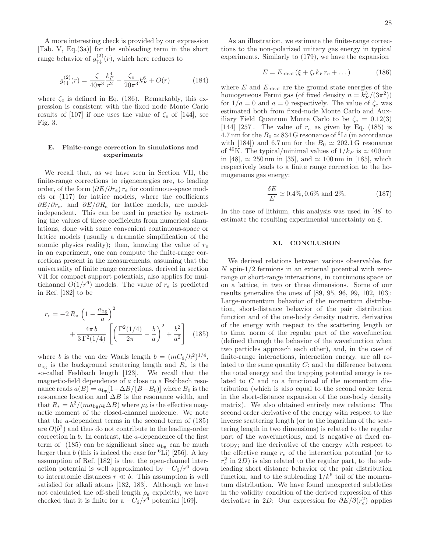A more interesting check is provided by our expression [Tab. V, Eq.(3a)] for the subleading term in the short range behavior of  $g_{\uparrow\downarrow}^{(2)}(r)$ , which here reduces to

$$
g_{\uparrow\downarrow}^{(2)}(r) = \frac{\zeta}{40\pi^3} \frac{k_F^4}{r^2} - \frac{\zeta_e}{20\pi^3} k_F^6 + O(r) \tag{184}
$$

where  $\zeta_e$  is defined in Eq. (186). Remarkably, this expression is consistent with the fixed node Monte Carlo results of [107] if one uses the value of  $\zeta_e$  of [144], see Fig. 3.

# E. Finite-range correction in simulations and experiments

We recall that, as we have seen in Section VII, the finite-range corrections to eigenenergies are, to leading order, of the form  $(\partial E/\partial r_e) r_e$  for continuous-space models or (117) for lattice models, where the coefficients  $\partial E/\partial r_e$ , and  $\partial E/\partial R_e$  for lattice models, are modelindependent. This can be used in practice by extracting the values of these coefficients from numerical simulations, done with some convenient continuous-space or lattice models (usually a dramatic simplification of the atomic physics reality); then, knowing the value of  $r_e$ in an experiment, one can compute the finite-range corrections present in the measurements, assuming that the universality of finite range corrections, derived in section VII for compact support potentials, also applies for multichannel  $O(1/r^6)$  models. The value of  $r_e$  is predicted in Ref. [182] to be

$$
r_e = -2 R_* \left( 1 - \frac{a_{bg}}{a} \right)^2 + \frac{4\pi b}{3 \Gamma^2 (1/4)} \left[ \left( \frac{\Gamma^2 (1/4)}{2\pi} - \frac{b}{a} \right)^2 + \frac{b^2}{a^2} \right] \tag{185}
$$

where b is the van der Waals length  $b = (mC_6/\hbar^2)^{1/4}$ ,  $a_{\text{bg}}$  is the background scattering length and  $R_*$  is the so-called Feshbach length [123]. We recall that the magnetic-field dependence of a close to a Feshbach resonance reads  $a(B) = a_{\text{bg}}[1-\Delta B/(B-B_0)]$  where  $B_0$  is the resonance location and  $\Delta B$  is the resonance width, and that  $R_* = \hbar^2/(ma_{\text{bg}}\mu_b\Delta B)$  where  $\mu_b$  is the effective magnetic moment of the closed-channel molecule. We note that the a-dependent terms in the second term of (185) are  $O(b^2)$  and thus do not contribute to the leading-order correction in b. In contrast, the a-dependence of the first term of  $(185)$  can be significant since  $a_{\text{bg}}$  can be much larger than b (this is indeed the case for  ${}^{6}$ Li) [256]. A key assumption of Ref. [182] is that the open-channel interaction potential is well approximated by  $-C_6/r^6$  down to interatomic distances  $r \ll b$ . This assumption is well satisfied for alkali atoms [182, 183]. Although we have not calculated the off-shell length  $\rho_e$  explicitly, we have checked that it is finite for a  $-C_6/r^6$  potential [169].

As an illustration, we estimate the finite-range corrections to the non-polarized unitary gas energy in typical experiments. Similarly to (179), we have the expansion

$$
E = E_{\text{ideal}} \left( \xi + \zeta_e k_F r_e + \dots \right) \tag{186}
$$

where  $E$  and  $E_{ideal}$  are the ground state energies of the homogeneous Fermi gas (of fixed density  $n = k_F^3/(3\pi^2)$ ) for  $1/a = 0$  and  $a = 0$  respectively. The value of  $\zeta_e$  was estimated both from fixed-node Monte Carlo and Auxiliary Field Quantum Monte Carlo to be  $\zeta_e = 0.12(3)$ [144] [257]. The value of  $r_e$  as given by Eq. (185) is 4.7 nm for the  $B_0 \simeq 834$  G resonance of <sup>6</sup>Li (in accordance with [184]) and 6.7 nm for the  $B_0 \simeq 202.1$  G resonance of <sup>40</sup>K. The typical/minimal values of  $1/k_F$  is  $\simeq 400$  nm in [48], ≃ 250 nm in [35], and ≃ 100 nm in [185], which respectively leads to a finite range correction to the homogeneous gas energy:

$$
\frac{\delta E}{E} \simeq 0.4\%, 0.6\% \text{ and } 2\%.
$$
 (187)

In the case of lithium, this analysis was used in [48] to estimate the resulting experimental uncertainty on  $\xi$ .

# XI. CONCLUSION

We derived relations between various observables for N spin-1/2 fermions in an external potential with zerorange or short-range interactions, in continuous space or on a lattice, in two or three dimensions. Some of our results generalize the ones of [89, 95, 96, 99, 102, 103]: Large-momentum behavior of the momentum distribution, short-distance behavior of the pair distribution function and of the one-body density matrix, derivative of the energy with respect to the scattering length or to time, norm of the regular part of the wavefunction (defined through the behavior of the wavefunction when two particles approach each other), and, in the case of finite-range interactions, interaction energy, are all related to the same quantity  $C$ ; and the difference between the total energy and the trapping potential energy is related to C and to a functional of the momentum distribution (which is also equal to the second order term in the short-distance expansion of the one-body density matrix). We also obtained entirely new relations: The second order derivative of the energy with respect to the inverse scattering length (or to the logarithm of the scattering length in two dimensions) is related to the regular part of the wavefunctions, and is negative at fixed entropy; and the derivative of the energy with respect to the effective range  $r_e$  of the interaction potential (or to  $r_e^2$  in 2D) is also related to the regular part, to the subleading short distance behavior of the pair distribution function, and to the subleading  $1/k^6$  tail of the momentum distribution. We have found unexpected subtleties in the validity condition of the derived expression of this derivative in 2D: Our expression for  $\partial E/\partial(r_e^2)$  applies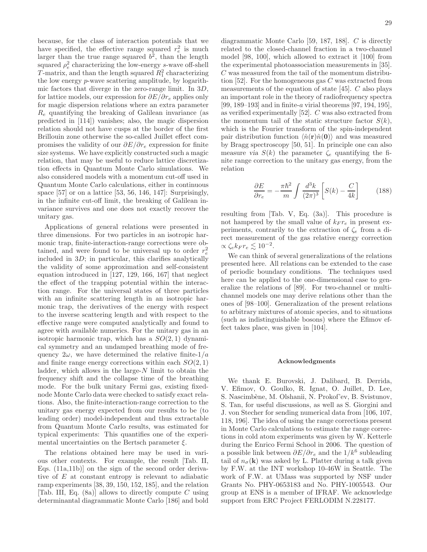because, for the class of interaction potentials that we have specified, the effective range squared  $r_e^2$  is much larger than the true range squared  $b^2$ , than the length squared  $\rho_e^2$  characterizing the low-energy s-wave off-shell T-matrix, and than the length squared  $R_1^2$  characterizing the low energy p-wave scattering amplitude, by logarithmic factors that diverge in the zero-range limit. In 3D, for lattice models, our expression for  $\partial E/\partial r_e$  applies only for magic dispersion relations where an extra parameter  $R_e$  quantifying the breaking of Galilean invariance (as predicted in [114]) vanishes; also, the magic dispersion relation should not have cusps at the border of the first Brillouin zone otherwise the so-called Juillet effect compromises the validity of our  $\partial E/\partial r_e$  expression for finite size systems. We have explicitly constructed such a magic relation, that may be useful to reduce lattice discretization effects in Quantum Monte Carlo simulations. We also considered models with a momentum cut-off used in Quantum Monte Carlo calculations, either in continuous space  $[57]$  or on a lattice  $[53, 56, 146, 147]$ : Surprisingly, in the infinite cut-off limit, the breaking of Galilean invariance survives and one does not exactly recover the unitary gas.

Applications of general relations were presented in three dimensions. For two particles in an isotropic harmonic trap, finite-interaction-range corrections were obtained, and were found to be universal up to order  $r_e^2$ included in  $3D$ ; in particular, this clarifies analytically the validity of some approximation and self-consistent equation introduced in [127, 129, 166, 167] that neglect the effect of the trapping potential within the interaction range. For the universal states of three particles with an infinite scattering length in an isotropic harmonic trap, the derivatives of the energy with respect to the inverse scattering length and with respect to the effective range were computed analytically and found to agree with available numerics. For the unitary gas in an isotropic harmonic trap, which has a  $SO(2,1)$  dynamical symmetry and an undamped breathing mode of frequency  $2\omega$ , we have determined the relative finite- $1/a$ and finite range energy corrections within each  $SO(2,1)$ ladder, which allows in the large- $N$  limit to obtain the frequency shift and the collapse time of the breathing mode. For the bulk unitary Fermi gas, existing fixednode Monte Carlo data were checked to satisfy exact relations. Also, the finite-interaction-range correction to the unitary gas energy expected from our results to be (to leading order) model-independent and thus extractable from Quantum Monte Carlo results, was estimated for typical experiments: This quantifies one of the experimental uncertainties on the Bertsch parameter  $\xi$ .

The relations obtained here may be used in various other contexts. For example, the result [Tab. II, Eqs. (11a,11b)] on the sign of the second order derivative of E at constant entropy is relevant to adiabatic ramp experiments [38, 39, 150, 152, 185], and the relation [Tab. III, Eq.  $(8a)$ ] allows to directly compute C using determinantal diagrammatic Monte Carlo [186] and bold

diagrammatic Monte Carlo [59, 187, 188]. C is directly related to the closed-channel fraction in a two-channel model [98, 100], which allowed to extract it [100] from the experimental photoassociation measurements in [35]. C was measured from the tail of the momentum distribution [52]. For the homogeneous gas  $C$  was extracted from measurements of the equation of state [45]. C also plays an important role in the theory of radiofrequency spectra [99, 189–193] and in finite-a virial theorems [97, 194, 195], as verified experimentally [52]. C was also extracted from the momentum tail of the static structure factor  $S(k)$ , which is the Fourier transform of the spin-independent pair distribution function  $\langle \hat{n}(\mathbf{r})\hat{n}(\mathbf{0})\rangle$  and was measured by Bragg spectroscopy [50, 51]. In principle one can also measure via  $S(k)$  the parameter  $\zeta_e$  quantifying the finite range correction to the unitary gas energy, from the relation

$$
\frac{\partial E}{\partial r_e} = -\frac{\pi \hbar^2}{m} \int \frac{d^3k}{(2\pi)^3} \left[ S(k) - \frac{C}{4k} \right] \tag{188}
$$

resulting from [Tab. V, Eq. (3a)]. This procedure is not hampered by the small value of  $k_F r_e$  in present experiments, contrarily to the extraction of  $\zeta_e$  from a direct measurement of the gas relative energy correction  $\propto \zeta_e k_F r_e \lesssim 10^{-2}.$ 

We can think of several generalizations of the relations presented here. All relations can be extended to the case of periodic boundary conditions. The techniques used here can be applied to the one-dimensional case to generalize the relations of [89]. For two-channel or multichannel models one may derive relations other than the ones of [98–100]. Generalization of the present relations to arbitrary mixtures of atomic species, and to situations (such as indistinguishable bosons) where the Efimov effect takes place, was given in [104].

# Acknowledgments

We thank E. Burovski, J. Dalibard, B. Derrida, V. Efimov, O. Goulko, R. Ignat, O. Juillet, D. Lee, S. Nascimbène, M. Olshanii, N. Prokof'ev, B. Svistunov, S. Tan, for useful discussions, as well as S. Giorgini and J. von Stecher for sending numerical data from [106, 107, 118, 196]. The idea of using the range corrections present in Monte Carlo calculations to estimate the range corrections in cold atom experiments was given by W. Ketterle during the Enrico Fermi School in 2006. The question of a possible link between  $\partial E/\partial r_e$  and the  $1/k^6$  subleading tail of  $n_{\sigma}(\mathbf{k})$  was asked by L. Platter during a talk given by F.W. at the INT workshop 10-46W in Seattle. The work of F.W. at UMass was supported by NSF under Grants No. PHY-0653183 and No. PHY-1005543. Our group at ENS is a member of IFRAF. We acknowledge support from ERC Project FERLODIM N.228177.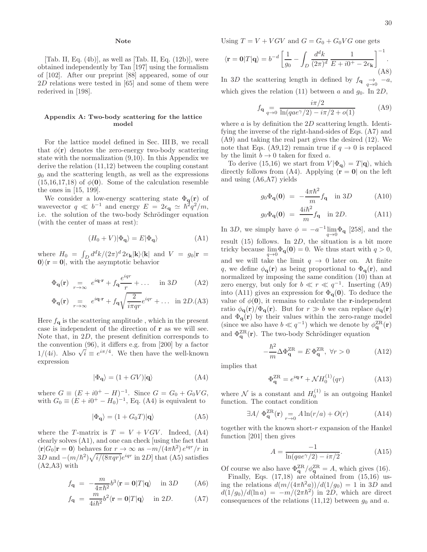# Note

[Tab. II, Eq.  $(4b)$ ], as well as [Tab. II, Eq.  $(12b)$ ], were obtained independently by Tan [197] using the formalism of [102]. After our preprint [88] appeared, some of our 2D relations were tested in [65] and some of them were rederived in [198].

### Appendix A: Two-body scattering for the lattice model

For the lattice model defined in Sec. III B, we recall that  $\phi(\mathbf{r})$  denotes the zero-energy two-body scattering state with the normalization (9,10). In this Appendix we derive the relation (11,12) between the coupling constant  $g_0$  and the scattering length, as well as the expressions  $(15,16,17,18)$  of  $\phi(\mathbf{0})$ . Some of the calculation resemble the ones in [15, 199].

We consider a low-energy scattering state  $\Phi_{\mathbf{q}}(\mathbf{r})$  of wavevector  $q \ll b^{-1}$  and energy  $E = 2\epsilon_{\mathbf{q}} \simeq \hbar^2 q^2/m$ , i.e. the solution of the two-body Schrödinger equation (with the center of mass at rest):

$$
(H_0 + V)|\Phi_{\mathbf{q}}\rangle = E|\Phi_{\mathbf{q}}\rangle \tag{A1}
$$

where  $H_0 = \int_D d^d k / (2\pi)^d 2\epsilon_k |k\rangle\langle k|$  and  $V = g_0 |r|$  $0\rangle\langle \mathbf{r} = 0|$ , with the asymptotic behavior

$$
\Phi_{\mathbf{q}}(\mathbf{r}) = e^{i\mathbf{q}\cdot\mathbf{r}} + f_{\mathbf{q}} \frac{e^{iqr}}{r} + \dots \quad \text{in } 3D \tag{A2}
$$

$$
\Phi_{\mathbf{q}}(\mathbf{r}) \underset{r \to \infty}{=} e^{i\mathbf{q} \cdot \mathbf{r}} + f_{\mathbf{q}} \sqrt{\frac{2}{i\pi qr}} e^{iqr} + \dots \text{ in } 2D. \text{(A3)}
$$

Here  $f_{\mathbf{q}}$  is the scattering amplitude, which in the present case is independent of the direction of r as we will see. Note that, in 2D, the present definition corresponds to the convention (96), it differs e.g. from [200] by a factor  $1/(4i)$ . Also  $\sqrt{i} \equiv e^{i\pi/4}$ . We then have the well-known expression

$$
|\Phi_{\mathbf{q}}\rangle = (1 + GV)|\mathbf{q}\rangle \tag{A4}
$$

where  $G = (E + i0^+ - H)^{-1}$ . Since  $G = G_0 + G_0VG$ , with  $G_0 \equiv (E + i0^+ - H_0)^{-1}$ , Eq. (A4) is equivalent to

$$
|\Phi_{\mathbf{q}}\rangle = (1 + G_0 T)|\mathbf{q}\rangle \tag{A5}
$$

where the T-matrix is  $T = V + VGV$ . Indeed, (A4) clearly solves (A1), and one can check [using the fact that  $\langle \mathbf{r}|G_0|\mathbf{r}=\mathbf{0}\rangle$  behaves for  $r\to\infty$  as  $-m/(4\pi\hbar^2)e^{iqr}/r$  in  $3D$  and  $-(m/\hbar^2)\sqrt{i/(8\pi qr)}e^{iqr}$  in  $2D$ ] that (A5) satisfies  $(A2, A3)$  with

$$
f_{\mathbf{q}} = -\frac{m}{4\pi\hbar^2}b^3\langle \mathbf{r} = \mathbf{0}|T|\mathbf{q}\rangle \quad \text{in } 3D \tag{A6}
$$

$$
f_{\mathbf{q}} = \frac{m}{4i\hbar^2}b^2 \langle \mathbf{r} = \mathbf{0}|T|\mathbf{q} \rangle \quad \text{in } 2D. \tag{A7}
$$

Using  $T = V + VGV$  and  $G = G_0 + G_0VG$  one gets

$$
\langle \mathbf{r} = \mathbf{0} | T | \mathbf{q} \rangle = b^{-d} \left[ \frac{1}{g_0} - \int_D \frac{d^d k}{(2\pi)^d} \frac{1}{E + i0^+ - 2\epsilon_\mathbf{k}} \right]^{-1}.
$$
\n(A8)

In 3D the scattering length in defined by  $f_{\mathbf{q}} \rightarrow -a$ , which gives the relation (11) between a and  $g_0$ . In 2D,

$$
f_{\mathbf{q}} = \frac{i\pi/2}{\ln(qae^{\gamma}/2) - i\pi/2 + o(1)} \tag{A9}
$$

where  $a$  is by definition the  $2D$  scattering length. Identifying the inverse of the right-hand-sides of Eqs. (A7) and (A9) and taking the real part gives the desired (12). We note that Eqs. (A9,12) remain true if  $q \to 0$  is replaced by the limit  $b \to 0$  taken for fixed a.

To derive (15,16) we start from  $V|\Phi_{\bf q}\rangle = T |{\bf q}\rangle$ , which directly follows from (A4). Applying  $\langle \mathbf{r} = \mathbf{0} |$  on the left and using (A6,A7) yields

$$
g_0 \Phi_{\mathbf{q}}(\mathbf{0}) = -\frac{4\pi\hbar^2}{m} f_{\mathbf{q}} \quad \text{in } 3D \tag{A10}
$$

$$
g_0 \Phi_{\mathbf{q}}(\mathbf{0}) = \frac{4i\hbar^2}{m} f_{\mathbf{q}} \quad \text{in } 2D. \tag{A11}
$$

In 3D, we simply have  $\phi = -a^{-1} \lim_{q \to 0} \Phi_q$  [258], and the result  $(15)$  follows. In  $2D$ , the situation is a bit more tricky because  $\lim_{q \to 0} \Phi_{\mathbf{q}}(\mathbf{0}) = 0$ . We thus start with  $q > 0$ , and we will take the limit  $q \to 0$  later on. At finite q, we define  $\phi_{q}(\mathbf{r})$  as being proportional to  $\Phi_{q}(\mathbf{r})$ , and normalized by imposing the same condition (10) than at zero energy, but only for  $b \ll r \ll q^{-1}$ . Inserting (A9) into (A11) gives an expression for  $\Phi_{q}(0)$ . To deduce the value of  $\phi(0)$ , it remains to calculate the r-independent ratio  $\phi_{\bf q}({\bf r})/\Phi_{\bf q}({\bf r})$ . But for  $r \gg b$  we can replace  $\phi_{\bf q}({\bf r})$ and  $\Phi_{\mathbf{q}}(\mathbf{r})$  by their values within the zero-range model (since we also have  $b \ll q^{-1}$ ) which we denote by  $\phi_{\mathbf{q}}^{\text{ZR}}(\mathbf{r})$ and  $\Phi_{\mathbf{q}}^{\text{ZR}}(\mathbf{r})$ . The two-body Schrödinger equation

$$
-\frac{\hbar^2}{m}\Delta\Phi_{\mathbf{q}}^{\text{ZR}} = E\,\Phi_{\mathbf{q}}^{\text{ZR}},\,\,\forall r>0\tag{A12}
$$

implies that

$$
\Phi_{\mathbf{q}}^{\mathrm{ZR}} = e^{i\mathbf{q}\cdot\mathbf{r}} + \mathcal{N}H_0^{(1)}(qr) \tag{A13}
$$

where N is a constant and  $H_0^{(1)}$  is an outgoing Hankel function. The contact condition

$$
\exists A/\ \Phi_{\mathbf{q}}^{\mathrm{ZR}}(\mathbf{r}) \underset{r \to 0}{=} A \ln(r/a) + O(r) \tag{A14}
$$

together with the known short- $r$  expansion of the Hankel function [201] then gives

$$
A = \frac{-1}{\ln(qae^{\gamma}/2) - i\pi/2}.\tag{A15}
$$

Of course we also have  $\Phi_{\mathbf{q}}^{\text{ZR}}/\phi_{\mathbf{q}}^{\text{ZR}} = A$ , which gives (16).

Finally, Eqs. (17,18) are obtained from (15,16) using the relations  $d(m/(4\pi\hbar^2a))/d(1/g_0) = 1$  in 3D and  $d(1/g_0)/d(\ln a) = -m/(2\pi\hbar^2)$  in 2D, which are direct consequences of the relations  $(11,12)$  between  $g_0$  and a.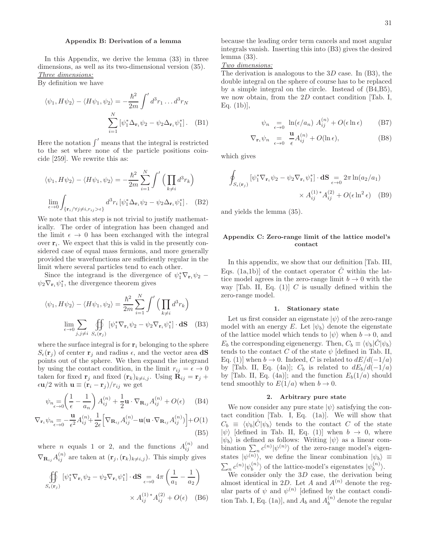# Appendix B: Derivation of a lemma

In this Appendix, we derive the lemma (33) in three dimensions, as well as its two-dimensional version (35). Three dimensions:

By definition we have

$$
\langle \psi_1, H\psi_2 \rangle - \langle H\psi_1, \psi_2 \rangle = -\frac{\hbar^2}{2m} \int d^3 r_1 \dots d^3 r_N
$$

$$
\sum_{i=1}^N \left[ \psi_1^* \Delta_{\mathbf{r}_i} \psi_2 - \psi_2 \Delta_{\mathbf{r}_i} \psi_1^* \right]. \quad (B1)
$$

Here the notation  $\int'$  means that the integral is restricted to the set where none of the particle positions coincide [259]. We rewrite this as:

$$
\langle \psi_1, H\psi_2 \rangle - \langle H\psi_1, \psi_2 \rangle = -\frac{\hbar^2}{2m} \sum_{i=1}^N \int' \left( \prod_{k \neq i} d^3 r_k \right)
$$

$$
\lim_{\epsilon \to 0} \int_{\{\mathbf{r}_i/\forall j \neq i, r_{ij} > \epsilon\}} d^3 r_i \left[ \psi_1^* \Delta_{\mathbf{r}_i} \psi_2 - \psi_2 \Delta_{\mathbf{r}_i} \psi_1^* \right]. \quad (B2)
$$

We note that this step is not trivial to justify mathematically. The order of integration has been changed and the limit  $\epsilon \to 0$  has been exchanged with the integral over  $\mathbf{r}_i$ . We expect that this is valid in the presently considered case of equal mass fermions, and more generally provided the wavefunctions are sufficiently regular in the limit where several particles tend to each other.

Since the integrand is the divergence of  $\psi_1^* \nabla_{\mathbf{r}_i} \psi_2$  –  $\psi_2 \nabla_{\mathbf{r}_i} \psi_1^*$ , the divergence theorem gives

$$
\langle \psi_1, H\psi_2 \rangle - \langle H\psi_1, \psi_2 \rangle = \frac{\hbar^2}{2m} \sum_{i=1}^N \int' \left( \prod_{k \neq i} d^3 r_k \right)
$$

$$
\lim_{\epsilon \to 0} \sum_{j,j \neq i} \iint_{S_{\epsilon}(\mathbf{r}_j)} [\psi_1^* \nabla_{\mathbf{r}_i} \psi_2 - \psi_2 \nabla_{\mathbf{r}_i} \psi_1^*] \cdot \mathbf{dS} \quad (B3)
$$

where the surface integral is for  $r_i$  belonging to the sphere  $S_{\epsilon}(\mathbf{r}_i)$  of center  $\mathbf{r}_i$  and radius  $\epsilon$ , and the vector area **dS** points out of the sphere. We then expand the integrand by using the contact condition, in the limit  $r_{ij} = \epsilon \rightarrow 0$ taken for fixed  $\mathbf{r}_j$  and fixed  $(\mathbf{r}_k)_{k\neq i,j}$ . Using  $\mathbf{R}_{ij} = \mathbf{r}_j + \mathbf{R}_{ij}$  $\epsilon \mathbf{u}/2$  with  $\mathbf{u} \equiv (\mathbf{r}_i - \mathbf{r}_j)/r_{ij}$  we get

$$
\psi_{n} = \left(\frac{1}{\epsilon} - \frac{1}{a_n}\right) A_{ij}^{(n)} + \frac{1}{2} \mathbf{u} \cdot \nabla_{\mathbf{R}_{ij}} A_{ij}^{(n)} + O(\epsilon) \quad \text{(B4)}
$$

$$
\nabla_{\mathbf{r}_{i}} \psi_{n} = -\frac{\mathbf{u}}{\epsilon^{2}} A_{ij}^{(n)} + \frac{1}{2\epsilon} \Big[ \nabla_{\mathbf{R}_{ij}} A_{ij}^{(n)} - \mathbf{u} (\mathbf{u} \cdot \nabla_{\mathbf{R}_{ij}} A_{ij}^{(n)}) \Big] + O(1)
$$
\n(B5)

where *n* equals 1 or 2, and the functions  $A_{ij}^{(n)}$  and  $\nabla_{\mathbf{R}_{ij}} A_{ij}^{(n)}$  are taken at  $(\mathbf{r}_j, (\mathbf{r}_k)_{k \neq i,j})$ . This simply gives

$$
\iint\limits_{S_{\epsilon}(\mathbf{r}_j)} [\psi_1^* \nabla_{\mathbf{r}_i} \psi_2 - \psi_2 \nabla_{\mathbf{r}_i} \psi_1^*] \cdot d\mathbf{S} = 4\pi \left( \frac{1}{a_1} - \frac{1}{a_2} \right)
$$

$$
\times A_{ij}^{(1)*} A_{ij}^{(2)} + O(\epsilon) \quad (B6)
$$

because the leading order term cancels and most angular integrals vanish. Inserting this into (B3) gives the desired lemma (33).

# Two dimensions:

The derivation is analogous to the  $3D$  case. In (B3), the double integral on the sphere of course has to be replaced by a simple integral on the circle. Instead of (B4,B5), we now obtain, from the 2D contact condition [Tab. I, Eq.  $(1b)$ ,

$$
\psi_n \underset{\epsilon \to 0}{} = \ln(\epsilon/a_n) A_{ij}^{(n)} + O(\epsilon \ln \epsilon) \tag{B7}
$$

$$
\nabla_{\mathbf{r}_i} \psi_n \underset{\epsilon \to 0}{=} \frac{\mathbf{u}}{\epsilon} A_{ij}^{(n)} + O(\ln \epsilon), \tag{B8}
$$

which gives

$$
\oint_{S_{\epsilon}(\mathbf{r}_j)} \left[ \psi_1^* \nabla_{\mathbf{r}_i} \psi_2 - \psi_2 \nabla_{\mathbf{r}_i} \psi_1^* \right] \cdot \mathbf{dS} = 2\pi \ln(a_2/a_1)
$$
\n
$$
\times A_{ij}^{(1)} \cdot A_{ij}^{(2)} + O(\epsilon \ln^2 \epsilon) \quad (B9)
$$

and yields the lemma (35).

# Appendix C: Zero-range limit of the lattice model's contact

In this appendix, we show that our definition [Tab. III, Eqs. (1a,1b)] of the contact operator  $\hat{C}$  within the lattice model agrees in the zero-range limit  $b \to 0$  with the way [Tab. II, Eq.  $(1)$ ] C is usually defined within the zero-range model.

# 1. Stationary state

Let us first consider an eigenstate  $|\psi\rangle$  of the zero-range model with an energy E. Let  $|\psi_b\rangle$  denote the eigenstate of the lattice model which tends to  $|\psi\rangle$  when  $b \to 0$ , and  $E_b$  the corresponding eigenenergy. Then,  $C_b \equiv \langle \psi_b | C | \psi_b \rangle$ tends to the contact C of the state  $\psi$  [defined in Tab. II, Eq. (1)] when  $b \to 0$ . Indeed, C is related to  $dE/d(-1/a)$ by [Tab. II, Eq. (4a)];  $C_b$  is related to  $dE_b/d(-1/a)$ by [Tab. II, Eq. (4a)]; and the function  $E_b(1/a)$  should tend smoothly to  $E(1/a)$  when  $b \to 0$ .

# 2. Arbitrary pure state

We now consider any pure state  $|\psi\rangle$  satisfying the contact condition  $[Tab. I, Eq. (1a)]$ . We will show that  $C_b \equiv \langle \psi_b | C | \psi_b \rangle$  tends to the contact C of the state  $|\psi\rangle$  [defined in Tab. II, Eq. (1)] when  $b \rightarrow 0$ , where  $|\psi_b\rangle$  is defined as follows: Writing  $|\psi\rangle$  as a linear combination  $\sum_{n} c^{(n)} |\psi^{(n)}\rangle$  of the zero-range model's eigenbination  $\sum_n e^{i\theta} |\psi^{(n)}\rangle$ , we define the linear combination  $|\psi_b\rangle \equiv$  $\sum_n c^{(n)} |\psi_b^{(n)}|$  $\binom{n}{b}$  of the lattice-model's eigenstates  $|\psi_b^{(n)}\rangle$  $\binom{n}{b}$ .

We consider only the  $3D$  case, the derivation being almost identical in 2D. Let A and  $A^{(n)}$  denote the regular parts of  $\psi$  and  $\psi^{(n)}$  [defined by the contact condition Tab. I, Eq. (1a)], and  $A_b$  and  $A_b^{(n)}$  $b^{(n)}_b$  denote the regular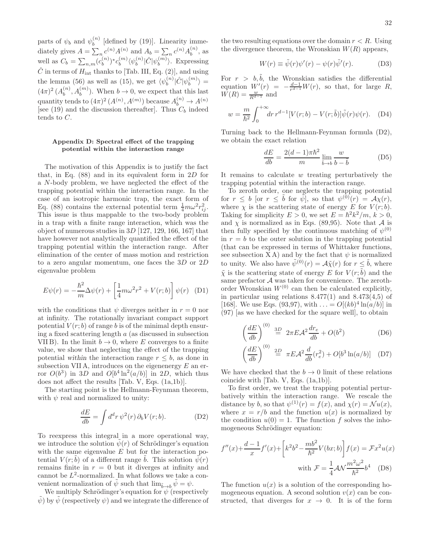parts of  $\psi_b$  and  $\psi_b^{(n)}$  $b^{(n)}$  [defined by (19)]. Linearity immediately gives  $A = \sum_n c^{(n)} A^{(n)}$  and  $A_b = \sum_n c^{(n)} A_b^{(n)}$  $b^{(n)}$ , as well as  $C_b = \sum_{n,m} (c_b^{(n)}$  $\binom{n}{b}$ <sup>\*</sup> $c_b^{(m)}$  $_{b}^{(m)}\langle \psi _{b}^{(n)}$  $\stackrel{(n)}{b}|\hat{C}|\psi_b^{(m)}$  $\langle u^{(m)} \rangle$ . Expressing  $\hat{C}$  in terms of  $H_{\text{int}}$  thanks to [Tab. III, Eq. (2)], and using the lemma (56) as well as (15), we get  $\langle \psi_b^{(n)} \rangle$  $_{b}^{(n)}|\hat{C}|\psi_{b}^{(m)}$  $\binom{m}{b}$  =  $(4\pi)^2(A_b^{(n)}$  $b^{(n)}$ ,  $A_b^{(m)}$ ). When  $b \to 0$ , we expect that this last quantity tends to  $(4\pi)^2 (A^{(n)}, A^{(m)})$  because  $A_b^{(n)} \to A^{(n)}$ [see (19) and the discussion thereafter]. Thus  $C_b$  indeed tends to C.

# Appendix D: Spectral effect of the trapping potential within the interaction range

The motivation of this Appendix is to justify the fact that, in Eq.  $(88)$  and in its equivalent form in 2D for a N-body problem, we have neglected the effect of the trapping potential within the interaction range. In the case of an isotropic harmonic trap, the exact form of Eq. (88) contains the external potential term  $\frac{1}{4}m\omega^2 r_{ij}^2$ . This issue is thus mappable to the two-body problem in a trap with a finite range interaction, which was the object of numerous studies in 3D [127, 129, 166, 167] that have however not analytically quantified the effect of the trapping potential within the interaction range. After elimination of the center of mass motion and restriction to a zero angular momentum, one faces the 3D or 2D eigenvalue problem

$$
E\psi(r) = -\frac{\hbar^2}{m}\Delta\psi(r) + \left[\frac{1}{4}m\omega^2r^2 + V(r;b)\right]\psi(r)
$$
 (D1)

with the conditions that  $\psi$  diverges neither in  $r = 0$  nor at infinity. The rotationally invariant compact support potential  $V(r; b)$  of range b is of the minimal depth ensuring a fixed scattering length a (as discussed in subsection VII B). In the limit  $b \to 0$ , where E converges to a finite value, we show that neglecting the effect of the trapping potential within the interaction range  $r \leq b$ , as done in subsection VII A, introduces on the eigenenergy  $E$  an error  $O(b^3)$  in 3D and  $O[b^4 \ln^2(a/b)]$  in 2D, which thus does not affect the results [Tab. V, Eqs. (1a,1b)].

The starting point is the Hellmann-Feynman theorem, with  $\psi$  real and normalized to unity:

$$
\frac{dE}{db} = \int d^d r \, \psi^2(r) \, \partial_b V(r; b). \tag{D2}
$$

To reexpress this integral in a more operational way, we introduce the solution  $\psi(r)$  of Schrödinger's equation with the same eigenvalue  $E$  but for the interaction potential  $V(r; \tilde{b})$  of a different range  $\tilde{b}$ . This solution  $\tilde{\psi}(r)$ remains finite in  $r = 0$  but it diverges at infinity and cannot be  $L^2$ -normalized. In what follows we take a convenient normalization of  $\psi$  such that  $\lim_{\tilde{b}\to b}\psi=\psi$ .

We multiply Schrödinger's equation for  $\psi$  (respectively  $\tilde{\psi}$  by  $\tilde{\psi}$  (respectively  $\psi$ ) and we integrate the difference of the two resulting equations over the domain  $r < R$ . Using the divergence theorem, the Wronskian  $W(R)$  appears,

$$
W(r) \equiv \tilde{\psi}(r)\psi'(r) - \psi(r)\tilde{\psi}'(r). \tag{D3}
$$

For  $r > b, \tilde{b}$ , the Wronskian satisfies the differential equation  $W'(r) = -\frac{d-1}{r^{d-1}}W(r)$ , so that, for large R,  $W(R) = \frac{w}{R^{d-1}}$  and

$$
w = \frac{m}{\hbar^2} \int_0^{+\infty} dr \, r^{d-1} [V(r; b) - V(r; \tilde{b})] \tilde{\psi}(r) \psi(r). \quad (D4)
$$

Turning back to the Hellmann-Feynman formula (D2), we obtain the exact relation

$$
\frac{dE}{db} = \frac{2(d-1)\pi\hbar^2}{m} \lim_{\tilde{b}\to b} \frac{w}{b-\tilde{b}} \tag{D5}
$$

It remains to calculate  $w$  treating perturbatively the trapping potential within the interaction range.

To zeroth order, one neglects the trapping potential for  $r \leq b$  [or  $r \leq \tilde{b}$  for  $\tilde{\psi}$ ], so that  $\psi^{(0)}(r) = \mathcal{A}\chi(r)$ , where  $\chi$  is the scattering state of energy E for  $V(r; b)$ . Taking for simplicity  $E > 0$ , we set  $E = \hbar^2 k^2/m$ ,  $k > 0$ , and  $\chi$  is normalized as in Eqs. (89,95). Note that  $\mathcal A$  is then fully specified by the continuous matching of  $\psi^{(0)}$ in  $r = b$  to the outer solution in the trapping potential (that can be expressed in terms of Whittaker functions, see subsection  $X A$ ) and by the fact that  $\psi$  is normalized to unity. We also have  $\tilde{\psi}^{(0)}(r) = \mathcal{A}\tilde{\chi}(r)$  for  $r \leq \tilde{b}$ , where  $\tilde{\chi}$  is the scattering state of energy E for  $V(r, \tilde{b})$  and the same prefactor A was taken for convenience. The zerothorder Wronskian  $W^{(0)}$  can then be calculated explicitly, in particular using relations  $8.477(1)$  and  $8.473(4,5)$  of [168]. We use Eqs. (93,97), with  $\ldots = O[(kb)^4 \ln(a/b)]$  in (97) [as we have checked for the square well], to obtain

$$
\left(\frac{dE}{db}\right)^{(0)} \stackrel{3D}{=} 2\pi E \mathcal{A}^2 \frac{dr_e}{db} + O(b^2) \tag{D6}
$$

$$
\left(\frac{dE}{db}\right)^{(0)} \stackrel{2D}{=} \pi E \mathcal{A}^2 \frac{d}{db} (r_e^2) + O[b^3 \ln(a/b)] \quad (D7)
$$

We have checked that the  $b \to 0$  limit of these relations coincide with [Tab. V, Eqs. (1a,1b)].

To first order, we treat the trapping potential perturbatively within the interaction range. We rescale the distance by b, so that  $\psi^{(1)}(r) = f(x)$ , and  $\chi(r) = \mathcal{N}u(x)$ , where  $x = r/b$  and the function  $u(x)$  is normalized by the condition  $u(0) = 1$ . The function f solves the inhomogeneous Schrödinger equation:

$$
f''(x) + \frac{d-1}{x}f'(x) + \left[k^2b^2 - \frac{mb^2}{\hbar^2}V(bx;b)\right]f(x) = \mathcal{F}x^2u(x)
$$
  
with 
$$
\mathcal{F} = \frac{1}{4}\mathcal{A}\mathcal{N}\frac{m^2\omega^2}{\hbar^2}b^4
$$
 (D8)

The function  $u(x)$  is a solution of the corresponding homogeneous equation. A second solution  $v(x)$  can be constructed, that diverges for  $x \to 0$ . It is of the form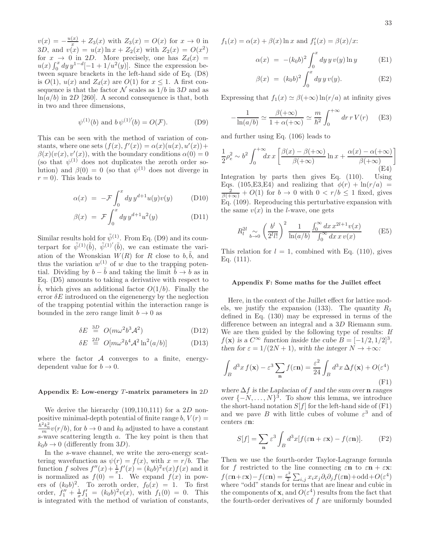33

 $v(x) = -\frac{u(x)}{x} + Z_3(x)$  with  $Z_3(x) = O(x)$  for  $x \to 0$  in 3D, and  $v(x) = u(x) \ln x + Z_2(x)$  with  $Z_2(x) = O(x^2)$ for  $x \to 0$  in 2D. More precisely, one has  $Z_d(x) =$  $u(x) \int_0^x dy \, y^{1-d}[-1+1/u^2(y)]$ . Since the expression between square brackets in the left-hand side of Eq. (D8) is  $O(1)$ ,  $u(x)$  and  $Z_d(x)$  are  $O(1)$  for  $x \leq 1$ . A first consequence is that the factor  $N$  scales as  $1/b$  in 3D and as  $ln(a/b)$  in 2D [260]. A second consequence is that, both in two and three dimensions,

$$
\psi^{(1)}(b)
$$
 and  $b \psi^{(1)'}(b) = O(\mathcal{F}).$  (D9)

This can be seen with the method of variation of constants, where one sets  $(f(x), f'(x)) = \alpha(x)(u(x), u'(x)) +$  $\beta(x)(v(x), v'(x))$ , with the boundary conditions  $\alpha(0) = 0$ (so that  $\psi^{(1)}$  does not duplicates the zeroth order solution) and  $\beta(0) = 0$  (so that  $\psi^{(1)}$  does not diverge in  $r = 0$ ). This leads to

$$
\alpha(x) = -\mathcal{F} \int_0^x dy \, y^{d+1} u(y) v(y) \tag{D10}
$$

$$
\beta(x) = \mathcal{F} \int_0^x dy \, y^{d+1} u^2(y) \tag{D11}
$$

Similar results hold for  $\tilde{\psi}^{(1)}$ . From Eq. (D9) and its counterpart for  $\tilde{\psi}^{(1)}(\tilde{b}), \ \tilde{\psi}^{(1)'}(\tilde{b}),$  we can estimate the variation of the Wronskian  $W(R)$  for R close to  $b, \tilde{b}$ , and thus the variation  $w^{(1)}$  of w due to the trapping potential. Dividing by  $b - \tilde{b}$  and taking the limit  $\tilde{b} \to b$  as in Eq. (D5) amounts to taking a derivative with respect to b, which gives an additional factor  $O(1/b)$ . Finally the error  $\delta E$  introduced on the eigenenergy by the neglection of the trapping potential within the interaction range is bounded in the zero range limit  $b \to 0$  as

$$
\delta E \stackrel{3D}{=} O(m\omega^2 b^3 \mathcal{A}^2) \tag{D12}
$$

$$
\delta E \stackrel{2D}{=} O[m\omega^2 b^4 \mathcal{A}^2 \ln^2(a/b)] \tag{D13}
$$

where the factor  $A$  converges to a finite, energydependent value for  $b \to 0$ .

# Appendix E: Low-energy  $T$ -matrix parameters in  $2D$

We derive the hierarchy  $(109,110,111)$  for a 2D nonpositive minimal-depth potential of finite range  $b, V(r) =$  $\frac{\hbar^2 k_0^2}{m} v(r/b)$ , for  $b \to 0$  and  $k_0$  adjusted to have a constant s-wave scattering length a. The key point is then that  $k_0b \rightarrow 0$  (differently from 3D).

In the s-wave channel, we write the zero-energy scattering wavefunction as  $\psi(r) = f(x)$ , with  $x = r/b$ . The function f solves  $f''(x) + \frac{1}{x}f'(x) = (k_0b)^2 v(x)f(x)$  and it is normalized as  $f(0) = 1$ . We expand  $f(x)$  in powers of  $(k_0b)^2$ . To zeroth order,  $f_0(x) = 1$ . To first order,  $f_1'' + \frac{1}{x}f_1' = (k_0b)^2v(x)$ , with  $f_1(0) = 0$ . This is integrated with the method of variation of constants,  $f_1(x) = \alpha(x) + \beta(x) \ln x$  and  $f'_1(x) = \beta(x)/x$ :

$$
\alpha(x) = -(k_0 b)^2 \int_0^x dy \, y \, v(y) \ln y \tag{E1}
$$

$$
\beta(x) = (k_0 b)^2 \int_0^x dy \, y \, v(y). \tag{E2}
$$

Expressing that  $f_1(x) \simeq \beta(+\infty) \ln(r/a)$  at infinity gives

$$
-\frac{1}{\ln(a/b)} \simeq \frac{\beta(+\infty)}{1+\alpha(+\infty)} \simeq \frac{m}{\hbar^2} \int_0^{+\infty} dr \, r \, V(r) \qquad (E3)
$$

and further using Eq. (106) leads to

$$
\frac{1}{2}\rho_e^2 \sim b^2 \int_0^{+\infty} dx \, x \left[ \frac{\beta(x) - \beta(+\infty)}{\beta(+\infty)} \ln x + \frac{\alpha(x) - \alpha(+\infty)}{\beta(+\infty)} \right]
$$
\n(E4)

Integration by parts then gives Eq. (110). Using Eqs. (105,E3,E4) and realizing that  $\phi(r) + \ln(r/a)$  =  $\frac{2}{\beta(+\infty)} + O(1)$  for  $b \to 0$  with  $0 < r/b \le 1$  fixed, gives Eq. (109). Reproducing this perturbative expansion with the same  $v(x)$  in the *l*-wave, one gets

$$
R_l^{2l} \underset{b \to 0}{\sim} \left(\frac{b^l}{2^l l!}\right)^2 \frac{1}{\ln(a/b)} \frac{\int_0^\infty dx \, x^{2l+1} v(x)}{\int_0^\infty dx \, x \, v(x)} \tag{E5}
$$

This relation for  $l = 1$ , combined with Eq. (110), gives Eq. (111).

# Appendix F: Some maths for the Juillet effect

Here, in the context of the Juillet effect for lattice models, we justify the expansion (133). The quantity  $R_1$ defined in Eq. (130) may be expressed in terms of the difference between an integral and a 3D Riemann sum. We are then guided by the following type of results: If  $f(\mathbf{x})$  is a  $C^{\infty}$  function inside the cube  $B = [-1/2, 1/2]^3$ , then for  $\varepsilon = 1/(2N+1)$ , with the integer  $N \to +\infty$ :

$$
\int_{B} d^{3}x f(\mathbf{x}) - \varepsilon^{3} \sum_{\mathbf{n}} f(\varepsilon \mathbf{n}) = \frac{\varepsilon^{2}}{24} \int_{B} d^{3}x \,\Delta f(\mathbf{x}) + O(\varepsilon^{4})
$$
\n(F1)

where  $\Delta f$  is the Laplacian of f and the sum over n ranges over  $\{-N, \ldots, N\}^3$ . To show this lemma, we introduce the short-hand notation  $S[f]$  for the left-hand side of  $(F1)$ and we pave B with little cubes of volume  $\varepsilon^3$  and of centers  $\varepsilon$ n:

$$
S[f] = \sum_{\mathbf{n}} \varepsilon^3 \int_B d^3x [f(\varepsilon \mathbf{n} + \varepsilon \mathbf{x}) - f(\varepsilon \mathbf{n})]. \tag{F2}
$$

Then we use the fourth-order Taylor-Lagrange formula for f restricted to the line connecting  $\varepsilon$ **n** to  $\varepsilon$ **n** +  $\varepsilon$ **x**:  $f(\varepsilon \mathbf{n}+\varepsilon \mathbf{x})-f(\varepsilon \mathbf{n})=\frac{\varepsilon^2}{2}$  $\frac{\varepsilon^2}{2} \sum_{i,j} x_i x_j \partial_i \partial_j f(\varepsilon \mathbf{n}) + \text{odd} + O(\varepsilon^4)$ where "odd" stands for terms that are linear and cubic in the components of **x**, and  $O(\varepsilon^4)$  results from the fact that the fourth-order derivatives of f are uniformly bounded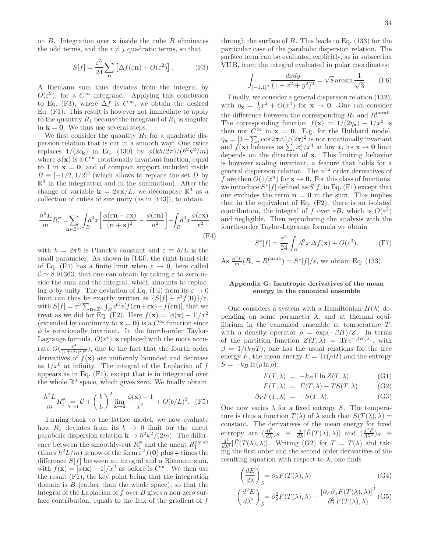on  $B$ . Integration over  $x$  inside the cube  $B$  eliminates the odd terms, and the  $i \neq j$  quadratic terms, so that

$$
S[f] = \frac{\varepsilon^5}{24} \sum_{\mathbf{n}} \left[ \Delta f(\varepsilon \mathbf{n}) + O(\varepsilon^2) \right]. \tag{F3}
$$

A Riemann sum thus deviates from the integral by  $O(\varepsilon^2)$ , for a  $C^{\infty}$  integrand. Applying this conclusion to Eq. (F3), where  $\Delta f$  is  $C^{\infty}$ , we obtain the desired Eq. (F1). This result is however not immediate to apply to the quantity  $R_1$  because the integrand of  $R_1$  is singular in  $k = 0$ . We thus use several steps.

We first consider the quantity  $R_1$  for a quadratic dispersion relation that is cut in a smooth way: One twice replaces  $1/(2\epsilon_{\mathbf{k}})$  in Eq. (130) by  $\phi(\mathbf{k}b/2\pi)/(\hbar^2k^2/m)$ where  $\phi(\mathbf{x})$  is a  $C^{\infty}$  rotationally invariant function, equal to 1 in  $x = 0$ , and of compact support included inside  $B \equiv [-1/2, 1/2]^3$  (which allows to replace the set D by  $\mathbb{R}^3$  in the integration and in the summation). After the change of variable  $\mathbf{k} = 2\pi \mathbf{x}/L$ , we decompose  $\mathbb{R}^3$  as a collection of cubes of size unity (as in [143]), to obtain

$$
\frac{h^2 L}{m} R_1^{\phi} = \sum_{\mathbf{n} \in \mathbb{Z}^{3*}} \int_B d^3 x \left[ \frac{\phi(\varepsilon \mathbf{n} + \varepsilon \mathbf{x})}{(\mathbf{n} + \mathbf{x})^2} - \frac{\phi(\varepsilon \mathbf{n})}{n^2} \right] + \int_B d^3 x \frac{\phi(\varepsilon \mathbf{x})}{x^2} \tag{F4}
$$

with  $h = 2\pi\hbar$  is Planck's constant and  $\varepsilon \equiv b/L$  is the small parameter. As shown in [143], the right-hand side of Eq. (F4) has a finite limit when  $\varepsilon \to 0$ , here called  $\mathcal{C} \simeq 8.91363$ , that one can obtain by taking  $\varepsilon$  to zero inside the sum and the integral, which amounts to replacing  $\phi$  by unity. The deviation of Eq. (F4) from its  $\varepsilon \to 0$ limit can thus be exactly written as  $\{S[f] + \varepsilon^3 f(\mathbf{0})\}/\varepsilon$ , with  $S[f] = \varepsilon^3 \sum_{\mathbf{n} \in \mathbb{Z}^3} \int_B d^3x [f(\varepsilon \mathbf{n} + \varepsilon \mathbf{x}) - f(\varepsilon \mathbf{n})],$  that we treat as we did for Eq. (F2). Here  $f(\mathbf{x}) = [\phi(\mathbf{x}) - 1]/x^2$ (extended by continuity to  $\mathbf{x} = \mathbf{0}$ ) is a  $C^{\infty}$  function since  $\phi$  is rotationally invariant. In the fourth-order Taylor-Lagrange formula,  $O(\varepsilon^4)$  is replaced with the more accurate  $O(\frac{\varepsilon^4}{(1+\varepsilon^2))}$  $\frac{\varepsilon^2}{(1+\varepsilon^2n^2)^3}$ , due to the fact that the fourth order derivatives of  $f(\mathbf{x})$  are uniformly bounded and decrease as  $1/x^6$  at infinity. The integral of the Laplacian of f appears as in Eq. (F1), except that is in integrated over the whole  $\mathbb{R}^3$  space, which gives zero. We finally obtain

$$
\frac{h^2 L}{m} R_1^{\phi} = C + \left(\frac{b}{L}\right)^2 \lim_{\mathbf{x} \to \mathbf{0}} \frac{\phi(\mathbf{x}) - 1}{x^2} + O(b/L)^3. \tag{F5}
$$

Turning back to the lattice model, we now evaluate how  $R_1$  deviates from its  $b \rightarrow 0$  limit for the uncut parabolic dispersion relation  $\mathbf{k} \to \hbar^2 k^2/(2m)$ . The difference between the smoothly-cut  $R_1^{\phi}$  and the uncut  $R_1^{\text{parab}}$ <br>(times  $h^2 L/m$ ) is now of the form  $\varepsilon^2 f(\mathbf{0})$  plus  $\frac{1}{\varepsilon}$  times the difference  $S[f]$  between an integral and a Riemann sum, with  $f(\mathbf{x}) = [\phi(\mathbf{x}) - 1]/x^2$  as before is  $C^{\infty}$ . We then use the result (F1), the key point being that the integration domain is  $B$  (rather than the whole space), so that the integral of the Laplacian of  $f$  over  $B$  gives a non-zero surface contribution, equals to the flux of the gradient of f

through the surface of  $B$ . This leads to Eq. (133) for the particular case of the parabolic dispersion relation. The surface term can be evaluated explicitly, as in subsection VII B, from the integral evaluated in polar coordinates:

$$
\int_{[-1,1]^2} \frac{dxdy}{(1+x^2+y^2)^2} = \sqrt{8} \arcsin \frac{1}{\sqrt{3}} \qquad \text{(F6)}
$$

Finally, we consider a general dispersion relation (132), with  $\eta_{\mathbf{x}} = \frac{1}{2}x^2 + O(x^4)$  for  $\mathbf{x} \to \mathbf{0}$ . One can consider the difference between the corresponding  $R_1$  and  $R_1^{\text{parab}}$ . The corresponding function  $f(\mathbf{x}) = 1/(2\eta_{\mathbf{x}}) - 1/x^2$  is then not  $C^{\infty}$  in  $\mathbf{x} = \mathbf{0}$ . E.g. for the Hubbard model,  $\eta_{\mathbf{x}} = [3 - \sum_i \cos 2\pi x_i]/(2\pi)^2$  is not rotationally invariant and  $f(\mathbf{x})$  behaves as  $\sum_i x_i^4/x^4$  at low x, its  $\mathbf{x} \to \mathbf{0}$  limit depends on the direction of x. This limiting behavior is however scaling invariant, a feature that holds for a general dispersion relation. The  $n<sup>th</sup>$  order derivatives of f are then  $O(1/x^n)$  for  $\mathbf{x} \to \mathbf{0}$ . For this class of functions, we introduce  $S^*[f]$  defined as  $S[f]$  in Eq. (F1) except that one excludes the term  $n = 0$  in the sum. This implies that in the equivalent of Eq. (F2), there is an isolated contribution, the integral of f over  $\epsilon B$ , which is  $O(\epsilon^3)$ and negligible. Then reproducing the analysis with the fourth-order Taylor-Lagrange formula we obtain

$$
S^*[f] = \frac{\varepsilon^2}{24} \int_B d^3x \,\Delta f(\mathbf{x}) + O(\varepsilon^3). \tag{F7}
$$

As  $\frac{h^2 L}{m}(R_1 - R_1^{\text{parab}}) = S^*[f]/\varepsilon$ , we obtain Eq. (133).

# Appendix G: Isentropic derivatives of the mean energy in the canonical ensemble

One considers a system with a Hamiltonian  $H(\lambda)$  depending on some parameter  $\lambda$ , and at thermal equilibrium in the canonical ensemble at temperature  $T$ , with a density operator  $\rho = \exp(-\beta H)/Z$ . In terms of the partition function  $Z(T, \lambda) = \text{Tr} e^{-\beta H(\lambda)}$ , with  $\beta = 1/(k_BT)$ , one has the usual relations for the free energy F, the mean energy  $\bar{E} = \text{Tr}(\rho H)$  and the entropy  $S = -k_B \text{Tr}(\rho \ln \rho)$ :

$$
F(T,\lambda) = -k_B T \ln Z(T,\lambda)
$$
 (G1)

$$
F(T,\lambda) = \bar{E}(T,\lambda) - TS(T,\lambda)
$$
 (G2)

$$
\partial_T F(T,\lambda) = -S(T,\lambda). \tag{G3}
$$

One now varies  $\lambda$  for a fixed entropy S. The temperature is thus a function  $T(\lambda)$  of  $\lambda$  such that  $S(T(\lambda), \lambda) =$ constant. The derivatives of the mean energy for fixed entropy are  $\left(\frac{d\bar{E}}{d\lambda}\right)_{S} \equiv \frac{d}{d\lambda} [\bar{E}(T(\lambda),\lambda)]$  and  $\left(\frac{d^2\bar{E}}{d\lambda^2}\right)_{S} \equiv$  $\frac{d^2}{d\lambda^2} [\bar{E}(T(\lambda), \lambda)].$  Writing (G2) for  $T = T(\lambda)$  and taking the first order and the second order derivatives of the resulting equation with respect to  $\lambda$ , one finds

$$
\left(\frac{d\bar{E}}{d\lambda}\right)_{S} = \partial_{\lambda} F(T(\lambda), \lambda)
$$
\n(G4)

$$
\left(\frac{d^2\bar{E}}{d\lambda^2}\right)_S = \partial^2_\lambda F(T(\lambda), \lambda) - \frac{\left[\partial_T \partial_\lambda F(T(\lambda), \lambda)\right]^2}{\partial^2_T F(T(\lambda), \lambda)}\tag{G5}
$$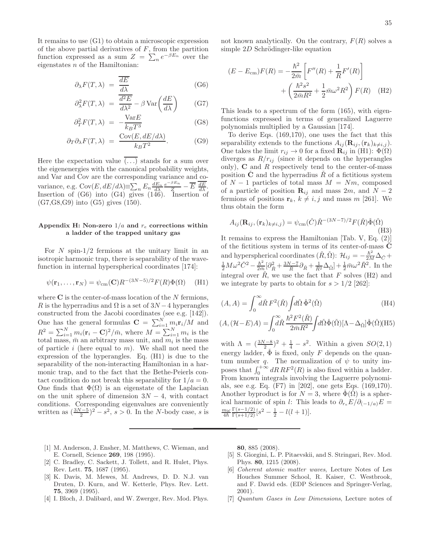It remains to use (G1) to obtain a microscopic expression of the above partial derivatives of  $F$ , from the partition function expressed as a sum  $Z = \sum_n e^{-\beta E_n}$  over the eigenstates  $n$  of the Hamiltonian:

$$
\partial_{\lambda} F(T, \lambda) = \frac{\overline{dE}}{\underline{d\lambda}} \tag{G6}
$$

$$
\partial_{\lambda}^{2} F(T, \lambda) = \frac{d^{2} E}{d\lambda^{2}} - \beta \operatorname{Var}\left(\frac{dE}{d\lambda}\right) \qquad \text{(G7)}
$$

$$
\partial_T^2 F(T,\lambda) = -\frac{\text{Var}E}{k_B T^3} \tag{G8}
$$

$$
\partial_T \partial_\lambda F(T, \lambda) = \frac{\text{Cov}(E, dE/d\lambda)}{k_B T^2}.
$$
 (G9)

Here the expectation value  $\overline{(\ldots)}$  stands for a sum over the eigenenergies with the canonical probability weights, and Var and Cov are the corresponding variance and covariance, e.g.  $Cov(E, dE/d\lambda) \equiv \sum_n E_n \frac{dE_n}{d\lambda} \frac{e^{-\beta E_n}}{Z} - \overline{E} \frac{\overline{dE}}{d\lambda}$ . Insertion of (G6) into (G4) gives (146). Insertion of (G7,G8,G9) into (G5) gives (150).

# Appendix H: Non-zero  $1/a$  and  $r_e$  corrections within a ladder of the trapped unitary gas

For  $N$  spin- $1/2$  fermions at the unitary limit in an isotropic harmonic trap, there is separability of the wavefunction in internal hyperspherical coordinates [174]:

$$
\psi(\mathbf{r}_1,\ldots,\mathbf{r}_N)=\psi_{\rm cm}(\mathbf{C})R^{-(3N-5)/2}F(R)\Phi(\Omega)
$$
 (H1)

where  $C$  is the center-of-mass location of the  $N$  fermions, R is the hyperradius and  $\Omega$  is a set of  $3N-4$  hyperangles constructed from the Jacobi coordinates (see e.g. [142]). One has the general formulas  $\mathbf{C} = \sum_{i=1}^{N} m_i \mathbf{r}_i/M$  and  $R^2 = \sum_{i=1}^{N} m_i (\mathbf{r}_i - \mathbf{C})^2 / \bar{m}$ , where  $M = \sum_{i=1}^{N} m_i$  is the total mass,  $\bar{m}$  an arbitrary mass unit, and  $m_i$  is the mass of particle  $i$  (here equal to  $m$ ). We shall not need the expression of the hyperangles. Eq. (H1) is due to the separability of the non-interacting Hamiltonian in a harmonic trap, and to the fact that the Bethe-Peierls contact condition do not break this separability for  $1/a = 0$ . One finds that  $\Phi(\Omega)$  is an eigenstate of the Laplacian on the unit sphere of dimension  $3N - 4$ , with contact conditions. Corresponding eigenvalues are conveniently written as  $\left(\frac{3N-5}{2}\right)^2 - s^2$ ,  $s > 0$ . In the N-body case, s is

- [1] M. Anderson, J. Ensher, M. Matthews, C. Wieman, and E. Cornell, Science 269, 198 (1995).
- [2] C. Bradley, C. Sackett, J. Tollett, and R. Hulet, Phys. Rev. Lett. 75, 1687 (1995).
- [3] K. Davis, M. Mewes, M. Andrews, D. D. N.J. van Druten, D. Kurn, and W. Ketterle, Phys. Rev. Lett. 75, 3969 (1995).
- [4] I. Bloch, J. Dalibard, and W. Zwerger, Rev. Mod. Phys.

not known analytically. On the contrary,  $F(R)$  solves a simple  $2D$  Schrödinger-like equation

$$
(E - E_{\rm cm})F(R) = -\frac{\hbar^2}{2\bar{m}} \left[ F''(R) + \frac{1}{R} F'(R) \right] + \left( \frac{\hbar^2 s^2}{2\bar{m}R^2} + \frac{1}{2}\bar{m}\omega^2 R^2 \right) F(R) \quad (H2)
$$

This leads to a spectrum of the form (165), with eigenfunctions expressed in terms of generalized Laguerre polynomials multiplied by a Gaussian [174].

To derive Eqs. (169,170), one uses the fact that this separability extends to the functions  $A_{ij}(\mathbf{R}_{ij}, (\mathbf{r}_k)_{k\neq i,j}).$ One takes the limit  $r_{ij} \to 0$  for a fixed  $\mathbf{R}_{ij}$  in (H1):  $\Phi(\Omega)$ diverges as  $R/r_{ij}$  (since it depends on the hyperangles only),  $C$  and  $R$  respectively tend to the center-of-mass position  $C$  and the hyperradius R of a fictitious system of  $N-1$  particles of total mass  $M = Nm$ , composed of a particle of position  $\mathbf{R}_{ij}$  and mass 2m, and  $N-2$ fermions of positions  $\mathbf{r}_k, k \neq i, j$  and mass m [261]. We thus obtain the form

$$
A_{ij}(\mathbf{R}_{ij}, (\mathbf{r}_k)_{k \neq i,j}) = \psi_{\text{cm}}(\check{C})\check{R}^{-(3N-7)/2}F(\check{R})\check{\Phi}(\check{\Omega})
$$
(H3)

It remains to express the Hamiltonian [Tab. V, Eq. (2)] of the fictitious system in terms of its center-of-mass  $C$ and hyperspherical coordinates  $(\check{R}, \check{\Omega})$ :  $\mathcal{H}_{ij} = -\frac{\hbar^2}{2M} \Delta_{\check{C}} +$  $\frac{1}{2}M\omega^2\check{C}^2 - \frac{\hbar^2}{2\bar{m}}[\partial_{\check{R}}^2 + \frac{3N-7}{\check{R}}\partial_{\check{R}} + \frac{1}{\check{R}^2}\Delta_{\check{\Omega}}] + \frac{1}{2}\bar{m}\omega^2\check{R}^2$ . In the integral over  $\check{R}$ , we use the fact that F solves (H2) and we integrate by parts to obtain for  $s > 1/2$  [262]:

$$
(A, A) = \int_0^\infty d\tilde{R} F^2(\tilde{R}) \int d\tilde{\Omega} \, \check{\Phi}^2(\tilde{\Omega})
$$
\n(H4)

$$
(A, (\mathcal{H} - E)A) = \int_0^\infty d\tilde{R} \frac{\hbar^2 F^2(\tilde{R})}{2\bar{m}R^2} \int d\tilde{\Omega} \check{\Phi}(\tilde{\Omega}) [\Lambda - \Delta_{\tilde{\Omega}}] \check{\Phi}(\tilde{\Omega}) (H5)
$$

with  $\Lambda = (\frac{3N-8}{2})^2 + \frac{1}{4} - s^2$ . Within a given  $SO(2, 1)$ energy ladder,  $\check{\Phi}$  is fixed, only F depends on the quantum number q. The normalization of  $\psi$  to unity imposes that  $\int_0^{+\infty} dR \, RF^2(R)$  is also fixed within a ladder. From known integrals involving the Laguerre polynomials, see e.g. Eq. (F7) in [202], one gets Eqs. (169,170). Another byproduct is for  $N = 3$ , where  $\dot{\Phi}(\dot{\Omega})$  is a spherical harmonic of spin l: This leads to  $\partial_{r_e} E/\partial_{(-1/a)} E =$  $\frac{m\omega}{4\hbar} \frac{\Gamma(s-1/2)}{\Gamma(s+1/2)} [s^2 - \frac{1}{2} - l(l+1)].$ 

80, 885 (2008).

- [5] S. Giorgini, L. P. Pitaevskii, and S. Stringari, Rev. Mod. Phys. 80, 1215 (2008).
- [6] Coherent atomic matter waves, Lecture Notes of Les Houches Summer School, R. Kaiser, C. Westbrook, and F. David eds. (EDP Sciences and Springer-Verlag, 2001).
- [7] Quantum Gases in Low Dimensions, Lecture notes of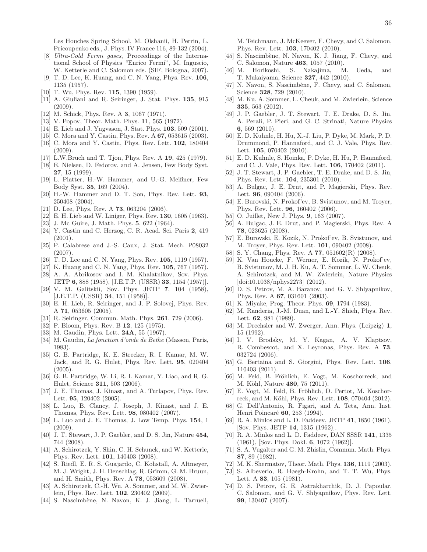Les Houches Spring School, M. Olshanii, H. Perrin, L. Pricoupenko eds., J. Phys. IV France 116, 89-132 (2004).

- [8] Ultra-Cold Fermi gases, Proceedings of the International School of Physics "Enrico Fermi", M. Inguscio, W. Ketterle and C. Salomon eds. (SIF, Bologna, 2007).
- [9] T. D. Lee, K. Huang, and C. N. Yang, Phys. Rev. 106, 1135 (1957).
- [10] T. Wu, Phys. Rev. 115, 1390 (1959).
- [11] A. Giuliani and R. Seiringer, J. Stat. Phys. 135, 915 (2009).
- [12] M. Schick, Phys. Rev. A 3, 1067 (1971).
- [13] V. Popov, Theor. Math. Phys. **11**, 565 (1972).
- [14] E. Lieb and J. Yngvason, J. Stat. Phys. **103**, 509 (2001).
- [15] C. Mora and Y. Castin, Phys. Rev. A **67**, 053615 (2003).
- [16] C. Mora and Y. Castin, Phys. Rev. Lett. **102**, 180404 (2009).
- [17] L.W.Bruch and T. Tjon, Phys. Rev. A 19, 425 (1979).
- [18] E. Nielsen, D. Fedorov, and A. Jensen, Few Body Syst. 27, 15 (1999).
- [19] L. Platter, H.-W. Hammer, and U.-G. Meißner, Few Body Syst. 35, 169 (2004).
- [20] H.-W. Hammer and D. T. Son, Phys. Rev. Lett. 93, 250408 (2004).
- [21] D. Lee, Phys. Rev. A  $73$ , 063204 (2006).
- [22] E. H. Lieb and W. Liniger, Phys. Rev. 130, 1605 (1963).
- [23] J. Mc Guire, J. Math. Phys. 5, 622 (1964).
- [24] Y. Castin and C. Herzog, C. R. Acad. Sci. Paris 2, 419  $(2001)$ .
- [25] P. Calabrese and J.-S. Caux, J. Stat. Mech. P08032 (2007).
- [26] T. D. Lee and C. N. Yang, Phys. Rev. 105, 1119 (1957).
- [27] K. Huang and C. N. Yang, Phys. Rev. 105, 767 (1957).
- [28] A. A. Abrikosov and I. M. Khalatnikov, Sov. Phys. JETP 6, 888 (1958), [J.E.T.P. (USSR) 33, 1154 (1957)].
- [29] V. M. Galitskii, Sov. Phys. JETP 7, 104 (1958), [J.E.T.P. (USSR) 34, 151 (1958)].
- [30] E. H. Lieb, R. Seiringer, and J. P. Solovej, Phys. Rev. A 71, 053605 (2005).
- [31] R. Seiringer, Commun. Math. Phys. 261, 729 (2006).
- [32] P. Bloom, Phys. Rev. B **12**, 125 (1975).
- [33] M. Gaudin, Phys. Lett. **24A**, 55 (1967).
- [34] M. Gaudin, La fonction d'onde de Bethe (Masson, Paris, 1983).
- [35] G. B. Partridge, K. E. Strecker, R. I. Kamar, M. W. Jack, and R. G. Hulet, Phys. Rev. Lett. 95, 020404  $(2005).$
- [36] G. B. Partridge, W. Li, R. I. Kamar, Y. Liao, and R. G. Hulet, Science 311, 503 (2006).
- [37] J. E. Thomas, J. Kinast, and A. Turlapov, Phys. Rev. Lett. 95, 120402 (2005).
- [38] L. Luo, B. Clancy, J. Joseph, J. Kinast, and J. E. Thomas, Phys. Rev. Lett. 98, 080402 (2007).
- [39] L. Luo and J. E. Thomas, J. Low Temp. Phys. 154, 1 (2009).
- [40] J. T. Stewart, J. P. Gaebler, and D. S. Jin, Nature  $454$ , 744 (2008).
- [41] A. Schirotzek, Y. Shin, C. H. Schunck, and W. Ketterle, Phys. Rev. Lett. 101, 140403 (2008).
- [42] S. Riedl, E. R. S. Guajardo, C. Kohstall, A. Altmeyer, M. J. Wright, J. H. Denschlag, R. Grimm, G. M. Bruun, and H. Smith, Phys. Rev. A 78, 053609 (2008).
- [43] A. Schirotzek, C.-H. Wu, A. Sommer, and M. W. Zwierlein, Phys. Rev. Lett. 102, 230402 (2009).
- [44] S. Nascimbène, N. Navon, K. J. Jiang, L. Tarruell,

M. Teichmann, J. McKeever, F. Chevy, and C. Salomon, Phys. Rev. Lett. 103, 170402 (2010).

- [45] S. Nascimbène, N. Navon, K. J. Jiang, F. Chevy, and C. Salomon, Nature  ${\bf 463},\,1057$  (2010). [46] M. Horikoshi, S. Nakajima,  $\,$  M
- [46] M. Horikoshi, S. Nakajima, M. Ueda, and T. Mukaiyama, Science 327, 442 (2010).
- [47] N. Navon, S. Nascimbène, F. Chevy, and C. Salomon, Science 328, 729 (2010).
- [48] M. Ku, A. Sommer, L. Cheuk, and M. Zwierlein, Science 335, 563 (2012).
- [49] J. P. Gaebler, J. T. Stewart, T. E. Drake, D. S. Jin, A. Perali, P. Pieri, and G. C. Strinati, Nature Physics 6, 569 (2010).
- [50] E. D. Kuhnle, H. Hu, X.-J. Liu, P. Dyke, M. Mark, P. D. Drummond, P. Hannaford, and C. J. Vale, Phys. Rev. Lett. 105, 070402 (2010).
- [51] E. D. Kuhnle, S. Hoinka, P. Dyke, H. Hu, P. Hannaford, and C. J. Vale, Phys. Rev. Lett. 106, 170402 (2011).
- [52] J. T. Stewart, J. P. Gaebler, T. E. Drake, and D. S. Jin, Phys. Rev. Lett. 104, 235301 (2010).
- [53] A. Bulgac, J. E. Drut, and P. Magierski, Phys. Rev. Lett. 96, 090404 (2006).
- [54] E. Burovski, N. Prokof'ev, B. Svistunov, and M. Troyer, Phys. Rev. Lett. 96, 160402 (2006).
- [55] O. Juillet, New J. Phys. 9, 163 (2007).
- [56] A. Bulgac, J. E. Drut, and P. Magierski, Phys. Rev. A 78, 023625 (2008).
- [57] E. Burovski, E. Kozik, N. Prokof'ev, B. Svistunov, and M. Troyer, Phys. Rev. Lett. 101, 090402 (2008).
- [58] S. Y. Chang, Phys. Rev. A 77, 051602(R) (2008).
- [59] K. Van Houcke, F. Werner, E. Kozik, N. Prokof'ev, B. Svistunov, M. J. H. Ku, A. T. Sommer, L. W. Cheuk, A. Schirotzek, and M. W. Zwierlein, Nature Physics [doi:10.1038/nphys2273] (2012).
- [60] D. S. Petrov, M. A. Baranov, and G. V. Shlyapnikov, Phys. Rev. A 67, 031601 (2003).
- [61] K. Miyake, Prog. Theor. Phys. **69**, 1794 (1983).
- [62] M. Randeria, J.-M. Duan, and L.-Y. Shieh, Phys. Rev. Lett. 62, 981 (1989).
- [63] M. Drechsler and W. Zwerger, Ann. Phys. (Leipzig) 1, 15 (1992).
- [64] I. V. Brodsky, M. Y. Kagan, A. V. Klaptsov, R. Combescot, and X. Leyronas, Phys. Rev. A 73, 032724 (2006).
- [65] G. Bertaina and S. Giorgini, Phys. Rev. Lett. 106, 110403 (2011).
- [66] M. Feld, B. Fröhlich, E. Vogt, M. Koschorreck, and M. Köhl, Nature 480, 75 (2011).
- [67] E. Vogt, M. Feld, B. Fröhlich, D. Pertot, M. Koschorreck, and M. Köhl, Phys. Rev. Lett. 108, 070404 (2012).
- [68] G. Dell'Antonio, R. Figari, and A. Teta, Ann. Inst. Henri Poincaré 60, 253 (1994).
- [69] R. A. Minlos and L. D. Faddeev, JETP 41, 1850 (1961), [Sov. Phys. JETP 14, 1315 (1962)].
- [70] R. A. Minlos and L. D. Faddeev, DAN SSSR 141, 1335 (1961), [Sov. Phys. Dokl. 6, 1072 (1962)].
- [71] S. A. Vugalter and G. M. Zhislin, Commun. Math. Phys. 87, 89 (1982).
- [72] M. K. Shermatov, Theor. Math. Phys. **136**, 1119 (2003).
- [73] S. Albeverio, R. Høegh-Krohn, and T. T. Wu, Phys. Lett. A 83, 105 (1981).
- [74] D. S. Petrov, G. E. Astrakharchik, D. J. Papoular, C. Salomon, and G. V. Shlyapnikov, Phys. Rev. Lett. 99, 130407 (2007).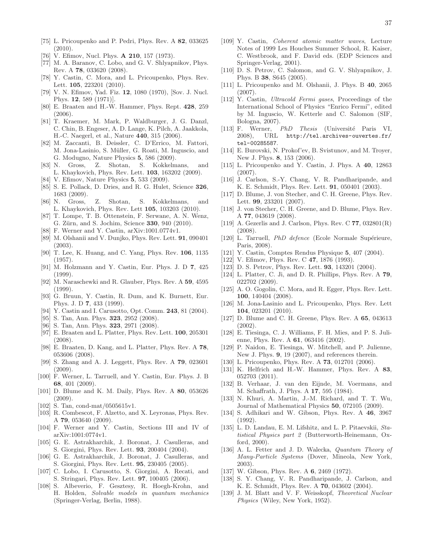- [75] L. Pricoupenko and P. Pedri, Phys. Rev. A 82, 033625 (2010).
- [76] V. Efimov, Nucl. Phys. **A 210**, 157 (1973).
- [77] M. A. Baranov, C. Lobo, and G. V. Shlyapnikov, Phys. Rev. A 78, 033620 (2008).
- [78] Y. Castin, C. Mora, and L. Pricoupenko, Phys. Rev. Lett. 105, 223201 (2010).
- [79] V. N. Efimov, Yad. Fiz. 12, 1080 (1970), [Sov. J. Nucl. Phys. 12, 589 (1971)].
- [80] E. Braaten and H.-W. Hammer, Phys. Rept. 428, 259 (2006).
- [81] T. Kraemer, M. Mark, P. Waldburger, J. G. Danzl, C. Chin, B. Engeser, A. D. Lange, K. Pilch, A. Jaakkola, H.-C. Naegerl, et al., Nature 440, 315 (2006).
- [82] M. Zaccanti, B. Deissler, C. D'Errico, M. Fattori, M. Jona-Lasinio, S. Müller, G. Roati, M. Inguscio, and G. Modugno, Nature Physics 5, 586 (2009).
- [83] N. Gross, Z. Shotan, S. Kokkelmans, and L. Khaykovich, Phys. Rev. Lett. 103, 163202 (2009).
- [84] V. Efimov, Nature Physics 5, 533 (2009).
- [85] S. E. Pollack, D. Dries, and R. G. Hulet, Science 326, 1683 (2009).
- [86] N. Gross, Z. Shotan, S. Kokkelmans, and L. Khaykovich, Phys. Rev. Lett 105, 103203 (2010).
- [87] T. Lompe, T. B. Ottenstein, F. Serwane, A. N. Wenz, G. Zürn, and S. Jochim, Science 330, 940 (2010).
- [88] F. Werner and Y. Castin, arXiv:1001.0774v1.
- [89] M. Olshanii and V. Dunjko, Phys. Rev. Lett. 91, 090401 (2003).
- [90] T. Lee, K. Huang, and C. Yang, Phys. Rev. 106, 1135 (1957).
- [91] M. Holzmann and Y. Castin, Eur. Phys. J. D 7, 425  $(1999)$ .
- [92] M. Naraschewki and R. Glauber, Phys. Rev. A 59, 4595 (1999).
- [93] G. Bruun, Y. Castin, R. Dum, and K. Burnett, Eur. Phys. J. D 7, 433 (1999).
- [94] Y. Castin and I. Carusotto, Opt. Comm. **243**, 81 (2004).
- [95] S. Tan, Ann. Phys. **323**, 2952 (2008).
- [96] S. Tan, Ann. Phys. **323**, 2971 (2008).
- [97] E. Braaten and L. Platter, Phys. Rev. Lett. 100, 205301 (2008).
- [98] E. Braaten, D. Kang, and L. Platter, Phys. Rev. A 78, 053606 (2008).
- [99] S. Zhang and A. J. Leggett, Phys. Rev. A 79, 023601  $(2009).$
- [100] F. Werner, L. Tarruell, and Y. Castin, Eur. Phys. J. B 68, 401 (2009).
- [101] D. Blume and K. M. Daily, Phys. Rev. A 80, 053626 (2009).
- [102] S. Tan, cond-mat/0505615v1.
- [103] R. Combescot, F. Alzetto, and X. Leyronas, Phys. Rev. A 79, 053640 (2009).
- [104] F. Werner and Y. Castin, Sections III and IV of arXiv:1001:0774v1.
- [105] G. E. Astrakharchik, J. Boronat, J. Casulleras, and S. Giorgini, Phys. Rev. Lett. 93, 200404 (2004).
- [106] G. E. Astrakharchik, J. Boronat, J. Casulleras, and S. Giorgini, Phys. Rev. Lett. 95, 230405 (2005).
- [107] C. Lobo, I. Carusotto, S. Giorgini, A. Recati, and S. Stringari, Phys. Rev. Lett. 97, 100405 (2006).
- [108] S. Albeverio, F. Gesztesy, R. Hoegh-Krohn, and H. Holden, Solvable models in quantum mechanics (Springer-Verlag, Berlin, 1988).
- [109] Y. Castin, Coherent atomic matter waves, Lecture Notes of 1999 Les Houches Summer School, R. Kaiser, C. Westbrook, and F. David eds. (EDP Sciences and Springer-Verlag, 2001).
- [110] D. S. Petrov, C. Salomon, and G. V. Shlyapnikov, J. Phys. B 38, S645 (2005).
- [111] L. Pricoupenko and M. Olshanii, J. Phys. B 40, 2065 (2007).
- [112] Y. Castin, Ultracold Fermi gases, Proceedings of the International School of Physics "Enrico Fermi", edited by M. Inguscio, W. Ketterle and C. Salomon (SIF, Bologna, 2007).
- [113] F. Werner, *PhD Thesis* (Université Paris VI, 2008), URL http://tel.archives-ouvertes.fr/ tel-00285587.
- [114] E. Burovski, N. Prokof'ev, B. Svistunov, and M. Troyer, New J. Phys. 8, 153 (2006).
- [115] L. Pricoupenko and Y. Castin, J. Phys. A 40, 12863  $(2007).$
- [116] J. Carlson, S.-Y. Chang, V. R. Pandharipande, and K. E. Schmidt, Phys. Rev. Lett. 91, 050401 (2003).
- [117] D. Blume, J. von Stecher, and C. H. Greene, Phys. Rev. Lett. 99, 233201 (2007).
- [118] J. von Stecher, C. H. Greene, and D. Blume, Phys. Rev. A 77, 043619 (2008).
- [119] A. Gezerlis and J. Carlson, Phys. Rev. C **77**, 032801(R) (2008).
- [120] L. Tarruell, *PhD defence* (Ecole Normale Supérieure, Paris, 2008).
- [121] Y. Castin, Comptes Rendus Physique 5, 407 (2004).
- [122] V. Efimov, Phys. Rev. C **47**, 1876 (1993).
- [123] D. S. Petrov, Phys. Rev. Lett. **93**, 143201 (2004).
- [124] L. Platter, C. Ji, and D. R. Phillips, Phys. Rev. A 79, 022702 (2009).
- [125] A. O. Gogolin, C. Mora, and R. Egger, Phys. Rev. Lett. 100, 140404 (2008).
- [126] M. Jona-Lasinio and L. Pricoupenko, Phys. Rev. Lett 104, 023201 (2010).
- [127] D. Blume and C. H. Greene, Phys. Rev. A 65, 043613 (2002).
- [128] E. Tiesinga, C. J. Williams, F. H. Mies, and P. S. Julienne, Phys. Rev. A 61, 063416 (2002).
- [129] P. Naidon, E. Tiesinga, W. Mitchell, and P. Julienne, New J. Phys. 9, 19 (2007), and references therein.
- [130] L. Pricoupenko, Phys. Rev. A **73**, 012701 (2006).
- [131] K. Helfrich and H.-W. Hammer, Phys. Rev. A 83. 052703 (2011).
- [132] B. Verhaar, J. van den Eijnde, M. Voermans, and M. Schaffrath, J. Phys. A 17, 595 (1984).
- [133] N. Khuri, A. Martin, J.-M. Richard, and T. T. Wu, Journal of Mathematical Physics 50, 072105 (2009).
- [134] S. Adhikari and W. Gibson, Phys. Rev. A 46, 3967 (1992).
- [135] L. D. Landau, E. M. Lifshitz, and L. P. Pitaevskii, Statistical Physics part 2 (Butterworth-Heinemann, Oxford, 2000).
- [136] A. L. Fetter and J. D. Walecka, *Quantum Theory of* Many-Particle Systems (Dover, Mineola, New York, 2003).
- [137] W. Gibson, Phys. Rev. A **6**, 2469 (1972).
- [138] S. Y. Chang, V. R. Pandharipande, J. Carlson, and K. E. Schmidt, Phys. Rev. A 70, 043602 (2004).
- [139] J. M. Blatt and V. F. Weisskopf, Theoretical Nuclear Physics (Wiley, New York, 1952).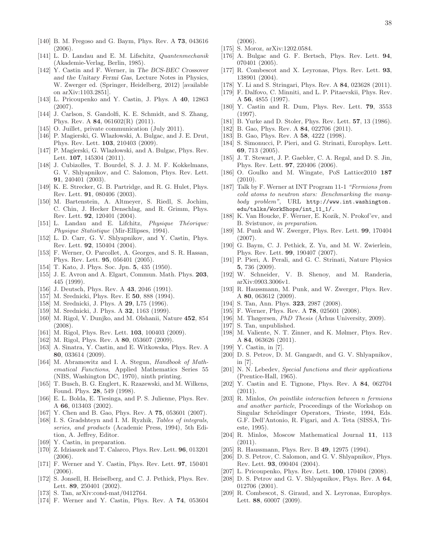- [140] B. M. Fregoso and G. Baym, Phys. Rev. A 73, 043616 (2006).
- [141] L. D. Landau and E. M. Lifschitz, *Quantenmechanik* (Akademie-Verlag, Berlin, 1985).
- [142] Y. Castin and F. Werner, in The BCS-BEC Crossover and the Unitary Fermi Gas, Lecture Notes in Physics, W. Zwerger ed. (Springer, Heidelberg, 2012) [available on arXiv:1103.2851].
- [143] L. Pricoupenko and Y. Castin, J. Phys. A 40, 12863 (2007).
- [144] J. Carlson, S. Gandolfi, K. E. Schmidt, and S. Zhang, Phys. Rev. A 84, 061602(R) (2011).
- [145] O. Juillet, private communication (July 2011).
- [146] P. Magierski, G. Wlazłowski, A. Bulgac, and J. E. Drut, Phys. Rev. Lett. **103**, 210403 (2009).
- [147] P. Magierski, G. Wlazłowski, and A. Bulgac, Phys. Rev. Lett. 107, 145304 (2011).
- [148] J. Cubizolles, T. Bourdel, S. J. J. M. F. Kokkelmans, G. V. Shlyapnikov, and C. Salomon, Phys. Rev. Lett. 91, 240401 (2003).
- [149] K. E. Strecker, G. B. Partridge, and R. G. Hulet, Phys. Rev. Lett. 91, 080406 (2003).
- [150] M. Bartenstein, A. Altmeyer, S. Riedl, S. Jochim, C. Chin, J. Hecker Denschlag, and R. Grimm, Phys. Rev. Lett. 92, 120401 (2004).
- [151] L. Landau and E. Lifchitz, Physique Théorique: Physique Statistique (Mir-Ellipses, 1994).
- [152] L. D. Carr, G. V. Shlyapnikov, and Y. Castin, Phys. Rev. Lett. 92, 150404 (2004).
- [153] F. Werner, O. Parcollet, A. Georges, and S. R. Hassan, Phys. Rev. Lett. 95, 056401 (2005).
- [154] T. Kato, J. Phys. Soc. Jpn. 5, 435 (1950).
- [155] J. E. Avron and A. Elgart, Commun. Math. Phys. 203, 445 (1999).
- [156] J. Deutsch, Phys. Rev. A **43**, 2046 (1991).
- [157] M. Srednicki, Phys. Rev. E **50**, 888 (1994).
- [158] M. Srednicki, J. Phys. A **29**, L75 (1996).
- [159] M. Srednicki, J. Phys. A **32**, 1163 (1999).
- [160] M. Rigol, V. Dunjko, and M. Olshanii, Nature 452, 854 (2008).
- [161] M. Rigol, Phys. Rev. Lett. **103**, 100403 (2009).
- [162] M. Rigol, Phys. Rev. A **80**, 053607 (2009).
- [163] A. Sinatra, Y. Castin, and E. Witkowska, Phys. Rev. A 80, 033614 (2009).
- [164] M. Abramowitz and I. A. Stegun, *Handbook of Math*ematical Functions, Applied Mathematics Series 55 (NBS, Washington DC, 1970), ninth printing.
- [165] T. Busch, B. G. Englert, K. Rzazewski, and M. Wilkens, Found. Phys. 28, 549 (1998).
- [166] E. L. Bolda, E. Tiesinga, and P. S. Julienne, Phys. Rev. A 66, 013403 (2002).
- [167] Y. Chen and B. Gao, Phys. Rev. A 75, 053601 (2007).
- [168] I. S. Gradshteyn and I. M. Ryzhik, Tables of integrals, series, and products (Academic Press, 1994), 5th Edition, A. Jeffrey, Editor.
- [169] Y. Castin, in preparation.
- [170] Z. Idziaszek and T. Calarco, Phys. Rev. Lett. 96, 013201  $(2006).$
- [171] F. Werner and Y. Castin, Phys. Rev. Lett. 97, 150401 (2006).
- [172] S. Jonsell, H. Heiselberg, and C. J. Pethick, Phys. Rev. Lett. 89, 250401 (2002).
- [173] S. Tan, arXiv:cond-mat/0412764.
- [174] F. Werner and Y. Castin, Phys. Rev. A **74**, 053604

(2006).

- [175] S. Moroz, arXiv:1202.0584.
- [176] A. Bulgac and G. F. Bertsch, Phys. Rev. Lett. 94, 070401 (2005).
- [177] R. Combescot and X. Leyronas, Phys. Rev. Lett. 93, 138901 (2004).
- [178] Y. Li and S. Stringari, Phys. Rev. A 84, 023628 (2011).
- [179] F. Dalfovo, C. Minniti, and L. P. Pitaevskii, Phys. Rev. A 56, 4855 (1997).
- [180] Y. Castin and R. Dum, Phys. Rev. Lett. **79**, 3553 (1997).
- [181] B. Yurke and D. Stoler, Phys. Rev. Lett. **57**, 13 (1986).
- [182] B. Gao, Phys. Rev. A **84**, 022706 (2011).
- [183] B. Gao, Phys. Rev. A **58**, 4222 (1998).
- [184] S. Simonucci, P. Pieri, and G. Strinati, Europhys. Lett. 69, 713 (2005).
- [185] J. T. Stewart, J. P. Gaebler, C. A. Regal, and D. S. Jin, Phys. Rev. Lett. 97, 220406 (2006).
- [186] O. Goulko and M. Wingate, PoS Lattice2010 187 (2010).
- [187] Talk by F. Werner at INT Program 11-1 "Fermions from cold atoms to neutron stars: Benchmarking the manybody problem", URL http://www.int.washington. edu/talks/WorkShops/int\_11\_1/.
- [188] K. Van Houcke, F. Werner, E. Kozik, N. Prokof'ev, and B. Svistunov, in preparation.
- [189] M. Punk and W. Zwerger, Phys. Rev. Lett. 99, 170404 (2007).
- [190] G. Baym, C. J. Pethick, Z. Yu, and M. W. Zwierlein, Phys. Rev. Lett. 99, 190407 (2007).
- [191] P. Pieri, A. Perali, and G. C. Strinati, Nature Physics 5, 736 (2009).
- [192] W. Schneider, V. B. Shenoy, and M. Randeria, arXiv:0903.3006v1.
- [193] R. Haussmann, M. Punk, and W. Zwerger, Phys. Rev. A 80, 063612 (2009).
- [194] S. Tan, Ann. Phys. **323**, 2987 (2008).
- [195] F. Werner, Phys. Rev. A **78**, 025601 (2008).
- [196] M. Thøgersen, *PhD Thesis* (Århus University, 2009).
- [197] S. Tan, unpublished.
- [198] M. Valiente, N. T. Zinner, and K. Mølmer, Phys. Rev. A 84, 063626 (2011).
- [199] Y. Castin, in [7].
- [200] D. S. Petrov, D. M. Gangardt, and G. V. Shlyapnikov, in [7].
- [201] N. N. Lebedev, Special functions and their applications (Prentice-Hall, 1965).
- [202] Y. Castin and E. Tignone, Phys. Rev. A 84, 062704 (2011).
- [203] R. Minlos, On pointlike interaction between n fermions and another particle, Proceedings of the Workshop on Singular Schrödinger Operators, Trieste, 1994, Eds. G.F. Dell'Antonio, R. Figari, and A. Teta (SISSA, Trieste, 1995).
- [204] R. Minlos, Moscow Mathematical Journal 11, 113  $(2011).$
- [205] R. Haussmann, Phys. Rev. B 49, 12975 (1994).
- [206] D. S. Petrov, C. Salomon, and G. V. Shlyapnikov, Phys. Rev. Lett. 93, 090404 (2004).
- [207] L. Pricoupenko, Phys. Rev. Lett. 100, 170404 (2008).
- [208] D. S. Petrov and G. V. Shlyapnikov, Phys. Rev. A 64, 012706 (2001).
- [209] R. Combescot, S. Giraud, and X. Leyronas, Europhys. Lett. 88, 60007 (2009).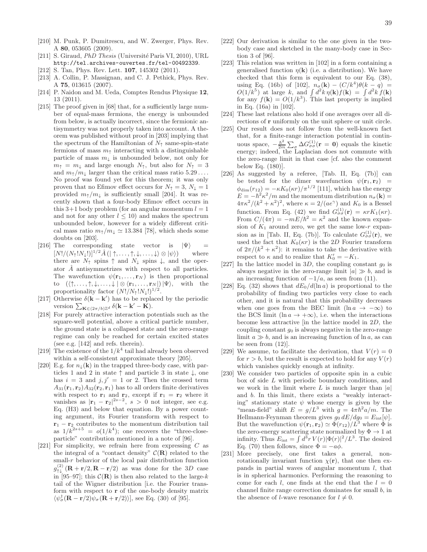- [210] M. Punk, P. Dumitrescu, and W. Zwerger, Phys. Rev. A 80, 053605 (2009).
- [211] S. Giraud, PhD Thesis (Université Paris VI, 2010), URL http://tel.archives-ouvertes.fr/tel-00492339.
- [212] S. Tan, Phys. Rev. Lett. **107**, 145302 (2011).
- [213] A. Collin, P. Massignan, and C. J. Pethick, Phys. Rev. A 75, 013615 (2007).
- [214] P. Naidon and M. Ueda, Comptes Rendus Physique 12, 13 (2011).
- [215] The proof given in [68] that, for a sufficiently large number of equal-mass fermions, the energy is unbounded from below, is actually incorrect, since the fermionic antisymmetry was not properly taken into account. A theorem was published without proof in [203] implying that the spectrum of the Hamiltonian of  $N<sub>\uparrow</sub>$  same-spin-state fermions of mass  $m<sub>†</sub>$  interacting with a distinguishable particle of mass  $m_{\downarrow}$  is unbounded below, not only for  $m_{\uparrow} = m_{\downarrow}$  and large enough  $N_{\uparrow}$ , but also for  $N_{\uparrow} = 3$ and  $m_{\uparrow}/m_{\downarrow}$  larger than the critical mass ratio 5.29.... No proof was found yet for this theorem; it was only proven that no Efimov effect occurs for  $N_{\uparrow} = 3, N_{\downarrow} = 1$ provided  $m_{\uparrow}/m_{\downarrow}$  is sufficiently small [204]. It was recently shown that a four-body Efimov effect occurs in this 3+1 body problem (for an angular momentum  $l = 1$ ) and not for any other  $l \leq 10$ ) and makes the spectrum unbounded below, however for a widely different critical mass ratio  $m_{\uparrow}/m_{\downarrow} \simeq 13.384$  [78], which sheds some doubts on [203].
- [216] The corresponding state vector is  $|\Psi\rangle$  =  $[N!/(N_{\uparrow}!N_{\downarrow}!)]^{1/2}\hat{A}(|\uparrow,\ldots,\uparrow,\downarrow,\ldots,\downarrow\rangle\otimes|\psi\rangle)$  where there are  $N_{\uparrow}$  spins  $\uparrow$  and  $N_{\downarrow}$  spins  $\downarrow$ , and the operator  $\hat{A}$  antisymmetrizes with respect to all particles. The wavefunction  $\psi(\mathbf{r}_1,\ldots,\mathbf{r}_N)$  is then proportional to  $(\langle \uparrow, \ldots, \uparrow, \downarrow, \ldots, \downarrow | \otimes \langle \mathbf{r}_1, \ldots, \mathbf{r}_N |) | \Psi \rangle$ , with the proportionality factor  $(N!/N_{\uparrow}!N_{\downarrow}!)^{1/2}$ .
- [217] Otherwise  $\delta(\mathbf{k} \mathbf{k}')$  has to be replaced by the periodic version  $\sum_{\mathbf{K}\in(2\pi/b)\mathbb{Z}^d}\delta(\mathbf{k}-\mathbf{k}'-\mathbf{K}).$
- [218] For purely attractive interaction potentials such as the square-well potential, above a critical particle number, the ground state is a collapsed state and the zero-range regime can only be reached for certain excited states (see e.g. [142] and refs. therein).
- [219] The existence of the  $1/k^4$  tail had already been observed within a self-consistent approximate theory [205].
- [220] E.g. for  $n_{\perp}(\mathbf{k})$  in the trapped three-body case, with particles 1 and 2 in state  $\uparrow$  and particle 3 in state  $\downarrow$ , one has  $i = 3$  and  $j, j' = 1$  or 2. Then the crossed term  $A_{31}(\mathbf{r}_1, \mathbf{r}_2)A_{32}(\mathbf{r}_2, \mathbf{r}_1)$  has to all orders finite derivatives with respect to  $r_1$  and  $r_2$ , except if  $r_1 = r_2$  where it vanishes as  $|\mathbf{r}_1 - \mathbf{r}_2|^{2s-2}$ ,  $s > 0$  not integer, see e.g. Eq. (H3) and below that equation. By a power counting argument, its Fourier transform with respect to  $\mathbf{r}_1 - \mathbf{r}_2$  contributes to the momentum distribution tail as  $1/k^{2s+5} = o(1/k^4)$ ; one recovers the "three-closeparticle" contribution mentioned in a note of [96].
- [221] For simplicity, we refrain here from expressing  $C$  as the integral of a "contact density"  $\mathcal{C}(\mathbf{R})$  related to the small- $r$  behavior of the local pair distribution function  $g_{\uparrow\downarrow}^{(2)}(\mathbf{R}+\mathbf{r}/2,\mathbf{R}-\mathbf{r}/2)$  as was done for the 3D case in [95–97]; this  $\mathcal{C}(\mathbf{R})$  is then also related to the large- $k$ tail of the Wigner distribution [i.e. the Fourier transform with respect to  $r$  of the one-body density matrix  $\langle \psi_{\sigma}^{\dagger}(\mathbf{R}-\mathbf{r}/2)\psi_{\sigma}(\mathbf{R}+\mathbf{r}/2)\rangle$ , see Eq. (30) of [95].
- [222] Our derivation is similar to the one given in the twobody case and sketched in the many-body case in Section 3 of [96].
- [223] This relation was written in [102] in a form containing a generalised function  $\eta(\mathbf{k})$  (i.e. a distribution). We have checked that this form is equivalent to our Eq. (38), using Eq. (16b) of [102],  $n_{\sigma}(\mathbf{k}) - (C/k^4)\theta(k - q) =$  $O(1/k^5)$  at large k, and  $\int d^2k \eta(\mathbf{k}) f(\mathbf{k}) = \int d^2k f(\mathbf{k})$ for any  $f(\mathbf{k}) = O(1/k^3)$ . This last property is implied in Eq. (16a) in [102].
- [224] These last relations also hold if one averages over all directions of r uniformly on the unit sphere or unit circle.
- [225] Our result does not follow from the well-known fact that, for a finite-range interaction potential in continuous space,  $-\frac{\hbar^2}{2m}$  $\frac{\hbar^2}{2m} \sum_{\sigma} \Delta G_{\sigma\sigma}^{(1)}(\mathbf{r} = 0)$  equals the kinetic energy; indeed, the Laplacian does not commute with the zero-range limit in that case [cf. also the comment below Eq. (180)].
- [226] As suggested by a referee, [Tab. II, Eq. (7b)] can be tested for the dimer wavefunction  $\psi(\mathbf{r}_1, \mathbf{r}_2)$  =  $\phi_{\text{dim}}(r_{12}) = -\kappa K_0(\kappa r)/\pi^{1/2}$  [111], which has the energy  $E = -\hbar^2 \kappa^2 / m$  and the momentum distribution  $n_{\sigma}(\mathbf{k}) =$  $4\pi\kappa^2/(k^2+\kappa^2)^2$ , where  $\kappa=2/(ae^{\gamma})$  and  $K_0$  is a Bessel function. From Eq. (42) we find  $G_{\sigma\sigma}^{(1)}(\mathbf{r}) = \kappa r K_1(\kappa r)$ . From  $C/(4\pi) = -mE/\hbar^2 = \kappa^2$  and the known expansion of  $K_1$  around zero, we get the same low-r expansion as in [Tab. II, Eq. (7b)]. To calculate  $G_{\sigma\sigma}^{(1)}(\mathbf{r})$ , we used the fact that  $K_0(\kappa r)$  is the 2D Fourier transform of  $2\pi/(k^2 + \kappa^2)$ : it remains to take the derivative with respect to  $\kappa$  and to realize that  $K'_0 = -K_1$ .
- [227] In the lattice model in 3D, the coupling constant  $g_0$  is always negative in the zero-range limit  $|a| \gg b$ , and is an increasing function of  $-1/a$ , as seen from (11).
- [228] Eq. (32) shows that  $dE_0/d(\ln a)$  is proportional to the probability of finding two particles very close to each other, and it is natural that this probability decreases when one goes from the BEC limit  $(\ln a \to -\infty)$  to the BCS limit (ln  $a \rightarrow +\infty$ ), i.e. when the interactions become less attractive [in the lattice model in 2D, the coupling constant  $g_0$  is always negative in the zero-range limit  $a \gg b$ , and is an increasing function of ln a, as can be seen from (12)].
- [229] We assume, to facilitate the derivation, that  $V(r) = 0$ for  $r > b$ , but the result is expected to hold for any  $V(r)$ which vanishes quickly enough at infinity.
- [230] We consider two particles of opposite spin in a cubic box of side L with periodic boundary conditions, and we work in the limit where L is much larger than  $|a|$ and b. In this limit, there exists a "weakly interacting" stationary state  $\psi$  whose energy is given by the "mean-field" shift  $E = g/L^3$  with  $g = 4\pi \hbar^2 a/m$ . The Hellmann-Feynman theorem gives  $g_0 dE/dg_0 = E_{\text{int}}[\psi]$ . But the wavefunction  $\psi(\mathbf{r}_1, \mathbf{r}_2) \simeq \Phi(r_{12})/L^3$  where  $\Phi$  is the zero-energy scattering state normalized by  $\Phi \to 1$  at infinity. Thus  $E_{\text{int}} = \int d^3r V(r) |\Phi(r)|^2 / L^3$ . The desired Eq. (70) then follows, since  $\Phi = -a\phi$ .
- [231] More precisely, one first takes a general, nonrotationally invariant function  $\chi(\mathbf{r})$ , that one then expands in partial waves of angular momentum  $l$ , that is in spherical harmonics. Performing the reasoning to come for each l, one finds at the end that the  $l = 0$ channel finite range correction dominates for small b, in the absence of *l*-wave resonance for  $l \neq 0$ .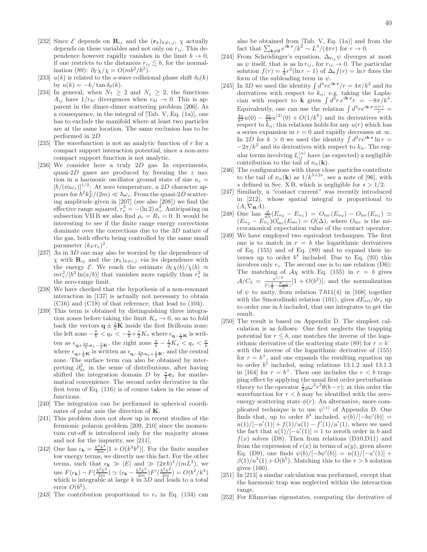- [232] Since  $\mathcal E$  depends on  $\mathbf{R}_{ij}$  and the  $(\mathbf{r}_k)_{k\neq i,j}, \chi$  actually depends on these variables and not only on  $r_{ij}$ . This dependence however rapidly vanishes in the limit  $b \to 0$ , if one restricts to the distances  $r_{ij} \lesssim b$ , for the normalization (89):  $\partial \varepsilon \chi / \chi = O(m b^2 / \hbar^2)$ .
- [233]  $u(k)$  is related to the s-wave collisional phase shift  $\delta_0(k)$ by  $u(k) = -k/\tan \delta_0(k)$ .
- [234] In general, when  $N_{\uparrow} \geq 2$  and  $N_{\downarrow} \geq 2$ , the functions  $A_{ij}$  have  $1/r_{kl}$  divergences when  $r_{kl} \rightarrow 0$ . This is apparent in the dimer-dimer scattering problem [206]. As a consequence, in the integral of [Tab. V, Eq. (1a)], one has to exclude the manifold where at least two particles are at the same location. The same exclusion has to be performed in 2D
- [235] The wavefunction is not an analytic function of  $r$  for a compact support interaction potential, since a non-zero compact support function is not analytic.
- [236] We consider here a truly 2D gas. In experiments, quasi- $2D$  gases are produced by freezing the  $z$  motion in a harmonic oscillator ground state of size  $a_z =$  $[\hbar/(m\omega_z)]^{1/2}$ : At zero temperature, a 2D character appears for  $\hbar^2 k_F^2/(2m) \ll \hbar \omega_z$ . From the quasi-2D scattering amplitude given in [207] (see also [208]) we find the effective range squared,  $r_e^2 = -(\ln 2) a_z^2$ . Anticipating on subsection VIIB we also find  $\rho_e = R_1 = 0$ . It would be interesting to see if the finite range energy corrections dominate over the corrections due to the 3D nature of the gas, both effects being controlled by the same small parameter  $(k_F r_e)^2$ .
- [237] As in 3D one may also be worried by the dependence of  $\chi$  with  $\mathbf{R}_{ij}$  and the  $(\mathbf{r}_k)_{k\neq i,j}$  via its dependence with the energy  $\mathcal{E}$ . We reach the estimate  $\partial \varepsilon \chi(b)/\chi(b) \approx$  $mr_e^2/[\hbar^2 \ln(a/b)]$  that vanishes more rapidly than  $r_e^2$  in the zero-range limit.
- [238] We have checked that the hypothesis of a non-resonant interaction in [137] is actually not necessary to obtain (C16) and (C18) of that reference, that lead to (104).
- [239] This term is obtained by distinguishing three integration zones before taking the limit  $K_x \to 0$ , so as to fold back the vectors  $q \pm \frac{1}{2}K$  inside the first Brillouin zone: the left zone  $-\frac{\pi}{b} < q_x < -\frac{\pi}{b} + \frac{1}{2}K_x$  where  $\epsilon_{\mathbf{q}-\frac{1}{2}\mathbf{K}}$  is written as  $\epsilon_{\mathbf{q}+\frac{2\pi}{b}\mathbf{e}_x-\frac{1}{2}\mathbf{K}}$ , the right zone  $\frac{\pi}{b}-\frac{1}{2}K_x < q_x < \frac{\pi}{b}$ <br>where  $\epsilon_{\mathbf{q}+\frac{1}{2}\mathbf{K}}$  is written as  $\epsilon_{\mathbf{q}-\frac{2\pi}{b}\mathbf{e}_x+\frac{1}{2}\mathbf{K}}$ , and the central zone. The surface term can also be obtained by interpreting  $\partial_{q_x}^2$  in the sense of distributions, after having shifted the integration domain  $D$  by  $\frac{\pi}{b}$ **e**<sub>x</sub> for mathematical convenience. The second order derivative in the first term of Eq. (116) is of course taken in the sense of functions.
- [240] The integration can be performed in spherical coordinates of polar axis the direction of K.
- [241] This problem does not show up in recent studies of the fermionic polaron problem [209, 210] since the momentum cut-off is introduced only for the majority atoms and not for the impurity, see [211].
- [242] One has  $\epsilon_{\mathbf{k}} = \frac{\hbar^2 k^2}{2m} [1 + O(k^2 b^2)]$ . For the finite number low energy terms, we directly use this fact. For the other terms, such that  $\epsilon_{\mathbf{k}} \gg |E|$  and  $\gg (2\pi\hbar)^2/(mL^2)$ , we use  $F(\epsilon_{\mathbf{k}}) - F(\frac{\hbar^2 k^2}{2m}) \simeq (\epsilon_{\mathbf{k}} - \frac{\hbar^2 k^2}{2m}) F'(\frac{\hbar^2 k^2}{2m}) = O(b^2/k^4)$ which is integrable at large  $k$  in 3D and leads to a total error  $O(b^2)$ .
- [243] The contribution proportional to  $r_e$  in Eq. (134) can

also be obtained from [Tab. V, Eq. (1a)] and from the fact that  $\sum_{\mathbf{k}\neq\mathbf{0}}e^{i\mathbf{k}\cdot\mathbf{r}}/k^2 \sim L^3/(4\pi r)$  for  $r \to 0$ .

- [244] From Schrödinger's equation,  $\Delta_{\mathbf{r}_{ij}}\psi$  diverges at most as  $\psi$  itself, that is as  $\ln r_{ij}$ , for  $r_{ij} \to 0$ . The particular solution  $f(r) = \frac{1}{4}r^2(\ln r - 1)$  of  $\Delta_{\mathbf{r}}f(r) = \ln r$  fixes the form of the subleading term in  $\psi$ .
- [245] In 3D we used the identity  $\int d^3r e^{i\mathbf{k}\cdot\mathbf{r}}/r = 4\pi/k^2$  and its derivatives with respect to  $k_{\alpha}$ ; e.g. taking the Laplacian with respect to k gives  $\int d^3r e^{i\mathbf{k}\cdot\mathbf{r}}r = -8\pi/k^4$ . Equivalently, one can use the relation  $\int d^3r e^{i\mathbf{k}\cdot\mathbf{r}} \frac{u(r)}{r}$  $\frac{4\pi}{k^2}u(0) - \frac{4\pi}{k^4}u^{(2)}(0) + O(1/k^6)$  and its derivatives with respect to  $k_{\alpha}$ ; this relations holds for any  $u(r)$  which has a series expansion in  $r = 0$  and rapidly decreases at  $\infty$ . In 2D for  $k > 0$  we used the identity  $\int d^2r e^{i\mathbf{k}\cdot\mathbf{r}} \ln r =$  $-2\pi/k^2$  and its derivatives with respect to  $k_{\alpha}$ . The regular terms involving  $L_{ij}^{(\alpha)}$  have (as expected) a negligible contribution to the tail of  $n_{\sigma}(\mathbf{k})$ .
- [246] The configurations with three close particles contribute to the tail of  $n_{\sigma}(\mathbf{k})$  as  $1/k^{5+2s}$ , see a note of [96], with s defined in Sec.  $X B$ , which is negligible for  $s > 1/2$ .
- [247] Similarly, a "contact current" was recently introduced in [212], whose spatial integral is proportional to  $(A, \nabla_{\mathbf{R}}A).$
- [248] One has  $\frac{d}{d\lambda}(E_{n_2} E_{n_1}) = O_{\text{mc}}(E_{n_2}) O_{\text{mc}}(E_{n_1}) \simeq$  $(E_{n_2} - E_{n_1}^{\alpha}) O'_{\text{mc}}(E_{\text{mc}}) = O(\Delta)$ , where  $O_{\text{mc}}$  is the microcanonical expectation value of the contact operator.
- [249] We have employed two equivalent techniques. The first one is to match in  $r = b$  the logarithmic derivatives of Eq. (155) and of Eq. (89) and to expand their inverses up to order  $b^4$  included. Due to Eq. (93) this involves only  $r_e$ . The second one is to use relation (D6): The matching of  $A\chi$  with Eq. (155) in  $r = b$  gives  $A/C_3 = \frac{\pi^{1/2}}{\Gamma(3 - E)}$  $\frac{\pi^{1/2}}{\Gamma(\frac{3}{4}-\frac{E_{\text{rel}}}{2})}[1+O(b^2)],$  and the normalization of  $\psi$  to unity, from relation 7.611(4) in [168] together with the Smorodinski relation (101), gives  $dE_{rel}/dr_e$  up to order one in b included, that one integrates to get the result.
- [250] The result is based on Appendix D. The simplest calculation is as follows: One first neglects the trapping potential for  $r \leq b$ , one matches the inverse of the logarithmic derivative of the scattering state (89) for  $r = b^$ with the inverse of the logarithmic derivative of (155) for  $r = b^{+}$ , and one expands the resulting equation up to order  $b<sup>5</sup>$  included, using relations 13.1.2 and 13.1.3 in [164] for  $r = b^+$ . Then one includes the  $r < b$  trapping effect by applying the usual first order perturbation theory to the operator  $\frac{1}{2}\mu\omega^2r^2\theta(b-r)$ ; at this order the wavefunction for  $r < b$  may be identified with the zeroenergy scattering state  $\phi(r)$ . An alternative, more complicated technique is to use  $\psi^{(1)}$  of Appendix D. One finds that, up to order  $b^4$  included,  $\psi(b)/[-b\psi'(b)] =$  $u(1)/[-u'(1)] + f(1)/u(1) - f'(1)/u'(1)$ , where we used the fact that  $u(1)/[-u'(1)] = 1$  to zeroth order in b and  $f(x)$  solves (D8). Then from relations (D10,D11) and from the expression of  $v(x)$  in terms of  $u(y)$ , given above Eq. (D9), one finds  $\psi(b)/[-b\psi'(b)] = u(1)/[-u'(1)] +$  $\beta(1)/u^2(1) + O(b^5)$ . Matching this to the  $r > b$  solution gives (160).
- [251] In [213] a similar calculation was performed, except that the harmonic trap was neglected within the interaction range.
- [252] For Efimovian eigenstates, computing the derivative of